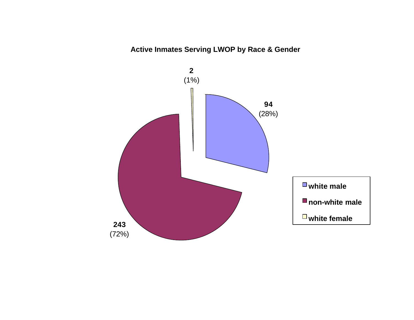# **Active Inmates Serving LWOP by Race & Gender**

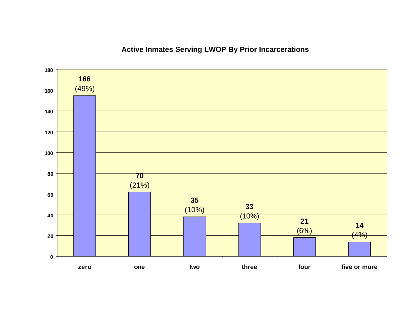# **Active Inmates Serving LWOP By Prior Incarcerations**

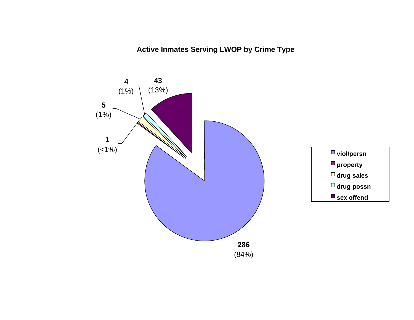**Active Inmates Serving LWOP by Crime Type**

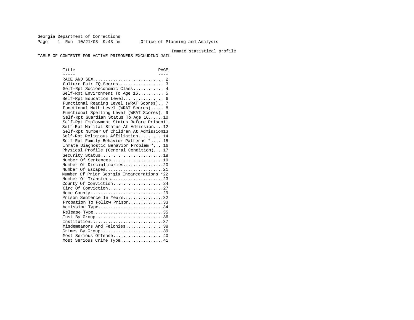Georgia Department of Corrections Page 1 Run 10/21/03 9:43 am Office of Planning and Analysis

#### Inmate statistical profile

TABLE OF CONTENTS FOR ACTIVE PRISONERS EXCLUDING JAIL

Title PAGE ----- ---- RACE AND SEX............................ 2 Culture Fair IQ Scores.................. 3 Self-Rpt Socioeconomic Class............ 4 Self-Rpt Environment To Age 16.......... 5 Self-Rpt Education Level................ 6 Functional Reading Level (WRAT Scores).. 7 Functional Math Level (WRAT Scores)..... 8 Functional Spelling Level (WRAT Scores). 9 Self-Rpt Guardian Status To Age 16......10 Self-Rpt Employment Status Before Prison11 Self-Rpt Marital Status At Admission....12 Self-Rpt Number Of Children At Admission13 Self-Rpt Religious Affiliation..........14 Self-Rpt Family Behavior Patterns \*.....15 Inmate Diagnostic Behavior Problem \*....16 Physical Profile (General Condition)....17 Security Status............................18 Number Of Sentences.....................19 Number Of Disciplinaries................20 Number Of Escapes.........................21 Number Of Prior Georgia Incarcerations \*22 Number Of Transfers.....................23 County Of Conviction....................24 Circ Of Conviction........................27 Home County.............................29 Prison Sentence In Years................32 Probation To Follow Prison...............33 Admission Type.............................34 Release Type................................35 Inst By Group..............................36 Institution.............................37 Misdemeanors And Felonies...............38 Crimes By Group.............................39 Most Serious Offense....................40 Most Serious Crime Type.................41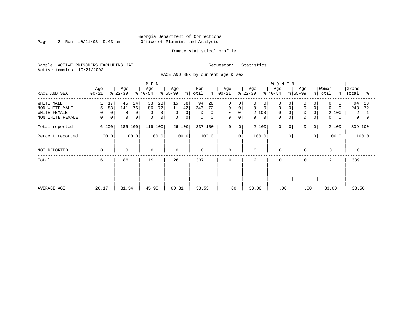Page 2 Run  $10/21/03$  9:43 am

# Inmate statistical profile

Sample: ACTIVE PRISONERS EXCLUDING JAIL Requestor: Statistics Active inmates 10/21/2003

RACE AND SEX by current age & sex

|                                                                  |                                             |                                                     | M E N                                           |                                                                           |                                                                    |                                                                               |                                                                           | <b>WOMEN</b>                                          |                                                                       |                                                                        |                                 |
|------------------------------------------------------------------|---------------------------------------------|-----------------------------------------------------|-------------------------------------------------|---------------------------------------------------------------------------|--------------------------------------------------------------------|-------------------------------------------------------------------------------|---------------------------------------------------------------------------|-------------------------------------------------------|-----------------------------------------------------------------------|------------------------------------------------------------------------|---------------------------------|
| RACE AND SEX                                                     | Age<br>$ 00 - 21 $                          | Age<br>$ 22-39 $                                    | Age<br>$ 40-54 $                                | Age<br>$ 55-99 $                                                          | Men<br>န္<br>$\frac{1}{2}$ Total                                   | Age<br>$ 00 - 21 $                                                            | Age<br>$ 22-39 $                                                          | Age<br>$ 40-54 $                                      | Age<br>$8 55-99$                                                      | Women<br>% Total<br>$\approx$                                          | Grand<br>Total<br>°≈            |
| WHITE MALE<br>NON WHITE MALE<br>WHITE FEMALE<br>NON WHITE FEMALE | 17<br>83<br>5<br>$\mathbf 0$<br>0<br>0<br>0 | 45<br>24<br>76<br>141<br>0<br>0<br>$\mathbf 0$<br>0 | 33<br>28<br>72<br>86<br>$\Omega$<br>0<br>0<br>0 | 15<br>58<br>11<br>42<br>$\mathbf 0$<br>$\overline{0}$<br>$\mathbf 0$<br>0 | 94<br>28<br>243<br>72<br>$\Omega$<br>$\Omega$<br>$\mathsf{O}$<br>0 | 0<br>0<br>$\mathbf 0$<br>$\mathbf 0$<br>$\mathsf{O}$<br>0<br>$\mathbf 0$<br>0 | 0<br>0<br>$\Omega$<br>$\mathbf 0$<br>2 100<br>$\mathbf 0$<br>$\mathbf{0}$ | 0<br>0<br>$\mathbf 0$<br>$\Omega$<br>0<br>$\mathbf 0$ | 0<br>$\mathbf 0$<br>$\overline{0}$<br>$\mathbf 0$<br>$\mathbf 0$<br>0 | 0<br>$\Omega$<br>$\Omega$<br>2<br>100<br>$\mathbf 0$<br>$\overline{0}$ | 94<br>28<br>243<br>72<br>2<br>0 |
| Total reported                                                   | 6 100                                       | 186 100                                             | 119 100                                         | 26 100                                                                    | 337 100                                                            | $\mathbf 0$<br>0                                                              | 2 100                                                                     | 0<br>$\Omega$                                         | 0<br>$\overline{0}$                                                   | 2 100                                                                  | 339 100                         |
| Percent reported                                                 | 100.0                                       | 100.0                                               | 100.0                                           | 100.0                                                                     | 100.0                                                              | $\cdot$ 0                                                                     | 100.0                                                                     | $\cdot$ 0                                             | $\cdot$ 0                                                             | 100.0                                                                  | 100.0                           |
| NOT REPORTED                                                     | 0                                           | $\mathbf 0$                                         | 0                                               | $\mathbf 0$                                                               | 0                                                                  | 0                                                                             | $\mathbf 0$                                                               | $\mathbf 0$                                           | $\mathbf 0$                                                           | $\mathbf 0$                                                            | $\mathbf 0$                     |
| Total                                                            | 6                                           | 119<br>186                                          |                                                 | 26                                                                        | 337                                                                | 0                                                                             | 2                                                                         | $\Omega$                                              | 0                                                                     | 2                                                                      | 339                             |
| AVERAGE AGE                                                      | 20.17                                       | 31.34                                               | 45.95                                           | 60.31                                                                     | 38.53                                                              | .00                                                                           | 33.00                                                                     | .00                                                   | .00                                                                   | 33.00                                                                  | 38.50                           |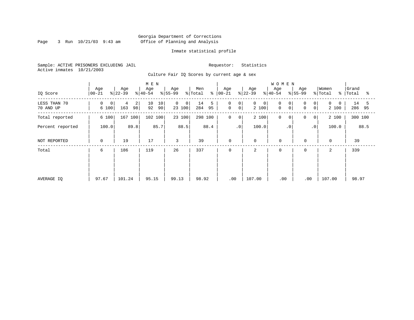Page 3 Run  $10/21/03$  9:43 am

# Inmate statistical profile

Sample: ACTIVE PRISONERS EXCLUDING JAIL Requestor: Statistics Active inmates 10/21/2003

Culture Fair IQ Scores by current age & sex

|                           |                            |                                  | M E N                |                                          |                      |                                                                |                                      | <b>WOMEN</b>                |                                      |                   |                         |
|---------------------------|----------------------------|----------------------------------|----------------------|------------------------------------------|----------------------|----------------------------------------------------------------|--------------------------------------|-----------------------------|--------------------------------------|-------------------|-------------------------|
| IQ Score                  | Age<br>$ 00-21 $           | Age<br>$ 22-39 $                 | Age<br>$ 40-54 $     | Age<br>$ 55-99$                          | Men<br>% Total       | Age<br>$8   00 - 21$                                           | Age<br>$ 22-39 $                     | Age<br>$8 40-54$            | Age<br>$ 55-99 $                     | Women<br>% Total  | Grand<br>%   Total<br>ႜ |
| LESS THAN 70<br>70 AND UP | 0<br>$\mathbf{0}$<br>6 100 | $\overline{2}$<br>4<br>163<br>98 | 10<br>10<br>92<br>90 | $\mathbf{0}$<br>0 <sup>1</sup><br>23 100 | 14<br>5<br>95<br>284 | $\mathbf 0$<br>0 <sup>1</sup><br>$\overline{0}$<br>$\mathbf 0$ | $\mathbf 0$<br>$\mathbf{0}$<br>2 100 | 0<br>0<br>$\mathsf{O}$<br>0 | $\Omega$<br>0<br>0<br>0 <sup>1</sup> | $\Omega$<br>2 100 | 14<br>5<br>286<br>95    |
| Total reported            | 6 100                      | 167<br>100                       | 102 100              | 23 100                                   | 298 100              | $\mathbf 0$<br>$\mathbf 0$                                     | 2 100                                | $\mathbf 0$<br>0            | 0<br>0                               | 2 100             | 300 100                 |
| Percent reported          | 100.0                      | 89.8                             | 85.7                 | 88.5                                     | 88.4                 | $\cdot$ 0                                                      | 100.0                                | $\cdot$ 0                   | $\cdot$ 0                            | 100.0             | 88.5                    |
| NOT REPORTED              | 0                          | 19                               | 17                   | 3                                        | 39                   | 0                                                              | $\mathbf 0$                          | $\mathbf 0$                 | $\mathbf 0$                          | $\mathbf 0$       | 39                      |
| Total                     | 6                          | 186                              | 119                  | 26                                       | 337                  | 0                                                              | 2                                    | $\mathbf 0$                 | $\mathbf 0$                          | 2                 | 339                     |
|                           |                            |                                  |                      |                                          |                      |                                                                |                                      |                             |                                      |                   |                         |
|                           |                            |                                  |                      |                                          |                      |                                                                |                                      |                             |                                      |                   |                         |
| AVERAGE IQ                | 97.67                      | 101.24                           | 95.15                | 99.13                                    | 98.92                | .00                                                            | 107.00                               | .00                         | .00                                  | 107.00            | 98.97                   |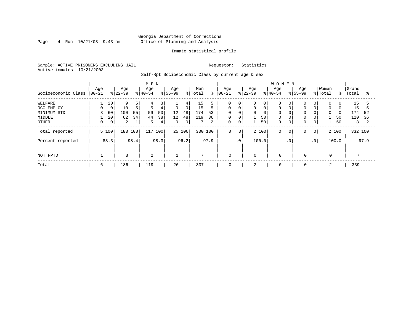Page  $4$  Run  $10/21/03$  9:43 am

# Inmate statistical profile

Sample: ACTIVE PRISONERS EXCLUDING JAIL Requestor: Statistics Active inmates 10/21/2003

Self-Rpt Socioeconomic Class by current age & sex

|                     | M E N            |                |                  |      |                  |                |                  |             |                |      |                   |                 |                 |       | <b>WOMEN</b>     |           |                    |                 |                  |          |                |      |
|---------------------|------------------|----------------|------------------|------|------------------|----------------|------------------|-------------|----------------|------|-------------------|-----------------|-----------------|-------|------------------|-----------|--------------------|-----------------|------------------|----------|----------------|------|
| Socioeconomic Class | Age<br>$00 - 21$ |                | Age<br>$ 22-39 $ |      | Age<br>$ 40-54 $ |                | Age<br>$8 55-99$ |             | Men<br>% Total | ి    | Age<br>$ 00 - 21$ |                 | Age<br>$ 22-39$ |       | Age<br>$8 40-54$ |           | Age<br>$8155 - 99$ |                 | Women<br>% Total | %        | Grand<br>Total | °    |
| WELFARE             |                  | 20             | 9                | 5.   | 4                | 3 <sup>1</sup> |                  | 4           | 15             |      | 0                 | 0               | 0               | 0     |                  |           | 0                  | $\overline{0}$  | 0                |          | 15             |      |
| OCC EMPLOY          | 0                | $\mathbf 0$    | 10               | 5    | 5                | 4              | $\mathbf 0$      | $\mathbf 0$ | 15             |      | $\Omega$          | $\mathbf 0$     | 0               |       | $\Omega$         |           | $\mathbf 0$        | 0               | $\mathbf 0$      | $\Omega$ | 15             |      |
| MINIMUM STD         | 3                | 60             | 100              | 55   | 59               | 50             | 12               | 48          | 174            | 53   | $\Omega$          | $\Omega$        | 0               |       |                  |           | $\mathbf 0$        | 0               | $\Omega$         | $\Omega$ | 174            | 52   |
| MIDDLE              |                  | 20             | 62               | 34   | 44               | 38             | 12               | 48          | 119            | 36   | 0                 | 0               |                 | 50    | $\mathbf 0$      |           | 0                  | 0 <sup>1</sup>  |                  | 50       | 120            | 36   |
| OTHER               | 0                | 0 <sup>1</sup> | 2                | 1    | 5                | 4              | 0                | 0           |                | 2    | 0                 | $\mathbf 0$     |                 | 50    | $\Omega$         | 0         | 0                  | $\overline{0}$  |                  | 50       | 8              |      |
| Total reported      |                  | 5 100          | 183 100          |      | 117              | 100            |                  | 25 100      | 330 100        |      | $\mathbf 0$       | 0 <sup>1</sup>  |                 | 2 100 | $\mathbf 0$      | 0         | 0                  | 0 <sup>1</sup>  |                  | 2 100    | 332 100        |      |
| Percent reported    |                  | 83.3           |                  | 98.4 |                  | 98.3           |                  | 96.2        |                | 97.9 |                   | .0 <sup>′</sup> |                 | 100.0 |                  | $\cdot$ 0 |                    | .0 <sup>1</sup> |                  | 100.0    |                | 97.9 |
| NOT RPTD            |                  |                | 3                |      | 2                |                |                  |             | $\mathcal{L}$  |      | $\mathbf 0$       |                 | $\mathbf 0$     |       | $\mathbf 0$      |           | $\mathbf 0$        |                 | 0                |          |                |      |
| Total               | 6                |                | 186              |      | 119              |                | 26               |             | 337            |      | 0                 |                 | 2               |       | 0                |           | 0                  |                 | 2                |          | 339            |      |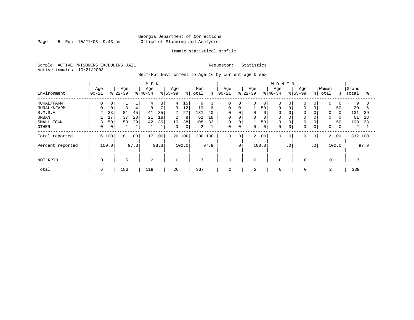Page 5 Run  $10/21/03$  9:43 am

# Inmate statistical profile

Sample: ACTIVE PRISONERS EXCLUDING JAIL Requestor: Statistics Active inmates 10/21/2003

Self-Rpt Environment To Age 16 by current age & sex

|                  |                   |                |                  |      | M E N            |      |                  |             |                |      |                  |                |                  |             | <b>WOMEN</b>     |             |                    |                 |             |             |         |      |
|------------------|-------------------|----------------|------------------|------|------------------|------|------------------|-------------|----------------|------|------------------|----------------|------------------|-------------|------------------|-------------|--------------------|-----------------|-------------|-------------|---------|------|
| Environment      | Age<br>$ 00 - 21$ |                | Age<br>$ 22-39 $ |      | Age<br>$ 40-54 $ |      | Age<br>$8 55-99$ |             | Men<br>% Total | နွ   | Age<br>$00 - 21$ |                | Age<br>$ 22-39 $ |             | Age<br>$8 40-54$ |             | Age<br>$8155 - 99$ |                 | Women       | $\approx$ 1 | Grand   |      |
|                  |                   |                |                  |      |                  |      |                  |             |                |      |                  |                |                  |             |                  |             |                    |                 | % Total     |             | Total   | ႜ    |
| RURAL/FARM       | 0                 | 0              |                  |      | 4                | 3    | 4                | 15          | 9              |      | 0                | 0              | $\Omega$         | 0           | $\Omega$         |             | $\mathbf 0$        | $\overline{0}$  | $\Omega$    | 0           | 9       |      |
| RURAL/NFARM      | 0                 | 0              | 8                | 4    | 8                | 7    | 3                | 12          | 19             | 6    | $\Omega$         | $\mathbf{0}$   |                  | 50          | $\Omega$         |             | 0                  | $\overline{0}$  |             | 50          | 20      | b    |
| S.M.S.A          | 2                 | 33             | 81               | 45   | 41               | 35   | 7                | 27          | 131            | 40   | 0                | $\mathbf 0$    | 0                | 0           |                  |             | $\mathbf 0$        | 0               | $\Omega$    | $\Omega$    | 131     | 39   |
| URBAN            |                   | 17             | 37               | 20   | 21               | 18   | $\overline{2}$   | 8           | 61             | 18   | 0                | 0              | 0                | 0           |                  |             | $\mathbf 0$        | $\overline{0}$  | $\mathbf 0$ | 0           | 61      | 18   |
| SMALL TOWN       | 3                 | 50             | 53               | 29   | 42               | 36   | 10               | 38          | 108            | 33   | 0                | 0              |                  | 50          |                  |             | 0                  | 0               |             | 50          | 109     | 33   |
| OTHER            | 0                 | $\overline{0}$ |                  | ⊥    |                  |      | $\Omega$         | $\mathbf 0$ | 2              |      | $\Omega$         | $\mathbf 0$    | $\Omega$         | $\mathbf 0$ |                  |             | $\mathbf 0$        | 0 <sub>1</sub>  | $\mathbf 0$ | 0           | 2       |      |
| Total reported   | 6 100             |                | 181              | 100  | 117              | 100  |                  | 26 100      | 330            | 100  | $\mathbf 0$      | $\overline{0}$ |                  | 2 100       | $\Omega$         | $\mathbf 0$ | 0                  | $\circ$         |             | 2 100       | 332 100 |      |
| Percent reported |                   | 100.0          |                  | 97.3 |                  | 98.3 |                  | 100.0       |                | 97.9 |                  | $\cdot$ 0      |                  | 100.0       |                  | $\cdot$ 0   |                    | .0 <sup>1</sup> |             | 100.0       |         | 97.9 |
| NOT RPTD         | $\mathbf 0$       |                | 5                |      | 2                |      | $\Omega$         |             | $\mathcal{L}$  |      | $\mathbf 0$      |                | $\Omega$         |             | $\Omega$         |             | 0                  |                 | $\Omega$    |             |         |      |
| Total            | 6                 |                | 186              |      | 119              |      | 26               |             | 337            |      | 0                |                | 2                |             | 0                |             | 0                  |                 |             |             | 339     |      |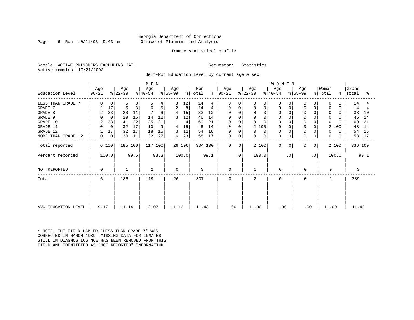Page 6 Run  $10/21/03$  9:43 am

# Inmate statistical profile

Sample: ACTIVE PRISONERS EXCLUDING JAIL Requestor: Statistics Active inmates 10/21/2003

Self-Rpt Education Level by current age & sex

|                     | M E N            |              |                  |      |                  |      |                  |        |                            |         |                |           |                  |             | <b>WOMEN</b> |           |             |                |                  |          |                    |      |
|---------------------|------------------|--------------|------------------|------|------------------|------|------------------|--------|----------------------------|---------|----------------|-----------|------------------|-------------|--------------|-----------|-------------|----------------|------------------|----------|--------------------|------|
| Education Level     | Age<br>$ 00-21 $ |              | Age<br>$ 22-39 $ |      | Age<br>$ 40-54 $ |      | Age<br>$ 55-99 $ |        | Men<br>$\frac{1}{2}$ Total | ႜ       | Age<br>  00-21 |           | Age<br>$ 22-39 $ | $ 40-54 $   | Age          | $ 55-99 $ | Age         |                | Women<br>% Total |          | Grand<br>%   Total | ႜ    |
| LESS THAN GRADE 7   | 0                | $\mathbf{0}$ | б                | 3    | 5                | 4    | 3                | 12     | 14                         |         | $\Omega$       | $\Omega$  | O                | 0           | <sup>0</sup> |           | 0           |                | $\Omega$         | O        | 14                 | 4    |
| GRADE 7             |                  | 17           | 5                | 3    | 6                | 5    | 2                | 8      | 14                         | 4       | 0              | 0         | 0                | 0           | 0            |           | 0           | 0              | 0                | 0        | 14                 | 4    |
| GRADE 8             | 2                | 33           | 20               | 11   |                  | 6    | 4                | 15     | 33                         | 10      |                |           | $\Omega$         |             |              |           | $\Omega$    |                | $\Omega$         |          | 33                 | 10   |
| GRADE 9             | 0                | $\mathbf 0$  | 29               | 16   | 14               | 12   | 3                | 12     | 46                         | 14      |                |           | 0                |             |              |           | 0           |                | $\Omega$         |          | 46                 | 14   |
| GRADE 10            | 2                | 33           | 41               | 22   | 25               | 21   |                  | 4      | 69                         | 21      | 0              | $\Omega$  | 0                |             | $\Omega$     |           | $\mathbf 0$ | 0              | $\Omega$         |          | 69                 | 21   |
| GRADE 11            | $\Omega$         | $\mathbf 0$  | 32               | 17   | 10               | 9    | 4                | 15     | 46                         | 14      | 0              | $\Omega$  | 2 100            |             | $\Omega$     |           | $\mathbf 0$ |                |                  | 2 100    | 48                 | 14   |
| GRADE 12            |                  | 17           | 32               | 17   | 18               | 15   | 3                | 12     | 54                         | 16      | 0              |           | 0                | 0           |              |           | 0           |                | $\Omega$         | 0        | 54                 | 16   |
| MORE THAN GRADE 12  | 0                | $\mathbf 0$  | 20               | 11   | 32               | 27   | 6                | 23     | 58                         | 17      | 0              | 0         | 0                | $\mathbf 0$ | $\Omega$     | 0         | $\mathbf 0$ | 0              | 0                | $\Omega$ | 58                 | 17   |
| Total reported      |                  | 6 100        | 185 100          |      | 117 100          |      |                  | 26 100 |                            | 334 100 | $\Omega$       | 0         | 2 100            |             | $\Omega$     | 0         | 0           | 0 <sup>1</sup> |                  | 2 100    | 336 100            |      |
| Percent reported    |                  | 100.0        |                  | 99.5 |                  | 98.3 |                  | 100.0  |                            | 99.1    |                | $\cdot$ 0 | 100.0            |             |              | $\cdot$ 0 |             | $\cdot$ 0      |                  | 100.0    |                    | 99.1 |
| NOT REPORTED        | 0                |              |                  |      | 2                |      | $\Omega$         |        | 3                          |         | $\mathbf 0$    |           | $\Omega$         |             | 0            |           | 0           |                |                  |          | 3                  |      |
| Total               | 6                |              | 186              |      | 119              |      | 26               |        | 337                        |         | $\Omega$       |           | 2                |             | $\Omega$     |           | $\Omega$    |                | 2                |          | 339                |      |
|                     |                  |              |                  |      |                  |      |                  |        |                            |         |                |           |                  |             |              |           |             |                |                  |          |                    |      |
| AVG EDUCATION LEVEL | 9.17             |              | 11.14            |      | 12.07            |      | 11.12            |        | 11.43                      |         | .00            |           | 11.00            |             | .00          |           | .00         |                | 11.00            |          | 11.42              |      |

\* NOTE: THE FIELD LABLED "LESS THAN GRADE 7" WAS CORRECTED IN MARCH 1989: MISSING DATA FOR INMATES STILL IN DIAGNOSTICS NOW HAS BEEN REMOVED FROM THIS FIELD AND IDENTIFIED AS "NOT REPORTED" INFORMATION.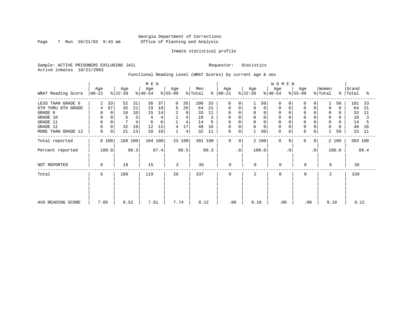Page 7 Run  $10/21/03$  9:43 am

# Inmate statistical profile

Sample: ACTIVE PRISONERS EXCLUDING JAIL Requestor: Statistics Active inmates 10/21/2003

Functional Reading Level (WRAT Scores) by current age & sex

|                    |                    |           |          | M E N            |      |                  |                |                |               |                    |                |                  |             | <b>WOMEN</b>     |           |                  |                |                  |       |                    |      |
|--------------------|--------------------|-----------|----------|------------------|------|------------------|----------------|----------------|---------------|--------------------|----------------|------------------|-------------|------------------|-----------|------------------|----------------|------------------|-------|--------------------|------|
| WRAT Reading Score | Age<br>$ 00 - 21 $ | $ 22-39 $ | Age      | Age<br>$ 40-54 $ |      | Age<br>$ 55-99 $ |                | Men<br>% Total | $\frac{8}{6}$ | Age<br>$ 00 - 21 $ |                | Age<br>$ 22-39 $ |             | Age<br>$ 40-54 $ |           | Age<br>$ 55-99 $ |                | Women<br>% Total |       | Grand<br>%   Total | ႜ    |
| LESS THAN GRADE 6  | $\overline{a}$     | 33        | 52<br>31 | 38               | 37   | 8                | 35             | 100            | 33            | $\Omega$           | $\Omega$       |                  | 50          | $\Omega$         | 0         | $\Omega$         | 0              |                  | 50    | 101                | 33   |
| 6TH THRU 8TH GRADE | 4                  | 67        | 35<br>21 | 19               | 18   | 6                | 26             | 64             | 21            | 0                  | 0              | 0                | $\mathbf 0$ | $\Omega$         |           | $\mathbf 0$      | 0              | $\Omega$         | 0     | 64                 | 21   |
| GRADE 9            | 0                  | $\Omega$  | 10<br>16 | 15               | 14   | 2                | 9              | 33             | 11            |                    |                | $\Omega$         |             |                  |           | 0                |                | 0                |       | 33                 | 11   |
| GRADE 10           | 0                  | $\Omega$  | 5<br>3   | 4                | 4    |                  | 4              | 10             | 3             | 0                  | 0              | 0                | 0           | $\mathbf 0$      |           | $\mathbf 0$      |                | $\mathbf{0}$     | 0     | 10                 |      |
| GRADE 11           | $\mathbf 0$        |           | 4        | 6                | 6    |                  | $\overline{4}$ | 14             |               | <sup>0</sup>       |                | $\Omega$         |             |                  |           | $\Omega$         |                | $\mathbf 0$      |       | 14                 |      |
| GRADE 12           | $\mathbf 0$        |           | 32<br>19 | 12               | 12   | 4                | 17             | 48             | 16            | 0                  |                | 0                |             |                  |           | $\mathbf 0$      |                | 0                | 0     | 48                 | 16   |
| MORE THAN GRADE 12 | 0                  | 0         | 21<br>13 | 10               | 10   |                  | 4              | 32             | 11            | 0                  | $\mathbf 0$    |                  | 50          | $\Omega$         | 0         | 0                | 0              |                  | 50    | 33                 | 11   |
| Total reported     | 6 100              |           | 168 100  | 104 100          |      |                  | 23 100         |                | 301 100       | $\mathbf 0$        | 0 <sup>1</sup> |                  | 2 100       | $\Omega$         | 0         | $\mathbf 0$      | 0 <sup>1</sup> |                  | 2 100 | 303 100            |      |
| Percent reported   | 100.0              |           | 90.3     |                  | 87.4 |                  | 88.5           |                | 89.3          |                    | $\cdot$ 0      |                  | 100.0       |                  | $\cdot$ 0 |                  | $\cdot$ 0      |                  | 100.0 |                    | 89.4 |
| NOT REPORTED       | 0                  |           | 18       | 15               |      | 3                |                | 36             |               | $\mathbf 0$        |                | $\mathbf 0$      |             | $\mathbf 0$      |           | 0                |                | $\Omega$         |       | 36                 |      |
| Total              | 6                  |           | 186      | 119              |      | 26               |                | 337            |               | $\Omega$           |                | 2                |             | $\Omega$         |           | 0                |                | 2                |       | 339                |      |
|                    |                    |           |          |                  |      |                  |                |                |               |                    |                |                  |             |                  |           |                  |                |                  |       |                    |      |
|                    |                    |           |          |                  |      |                  |                |                |               |                    |                |                  |             |                  |           |                  |                |                  |       |                    |      |
| AVG READING SCORE  | 7.05               |           | 8.52     | 7.61             |      | 7.74             |                | 8.12           |               | .00                |                | 9.10             |             | .00              |           | .00              |                | 9.10             |       | 8.12               |      |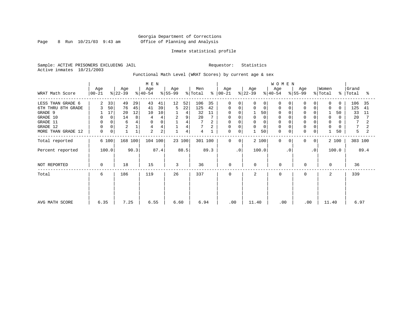Page 8 Run  $10/21/03$  9:43 am

# Inmate statistical profile

Sample: ACTIVE PRISONERS EXCLUDING JAIL Requestor: Statistics Active inmates 10/21/2003

Functional Math Level (WRAT Scores) by current age & sex

|                    |                  |                  |         | M E N            |          |                  |        |                |               |              |              |                    |             | <b>WOMEN</b>     |           |                |           |                  |          |                    |      |
|--------------------|------------------|------------------|---------|------------------|----------|------------------|--------|----------------|---------------|--------------|--------------|--------------------|-------------|------------------|-----------|----------------|-----------|------------------|----------|--------------------|------|
| WRAT Math Score    | Age<br>$00 - 21$ | Age<br>$ 22-39 $ |         | Age<br>$ 40-54 $ |          | Age<br>$ 55-99 $ |        | Men<br>% Total | $\frac{8}{6}$ | Age<br>00-21 |              | Age<br>$ 22 - 39 $ |             | Age<br>$ 40-54 $ |           | Age<br>% 55-99 |           | Women<br>% Total |          | Grand<br>%   Total | ႜ    |
| LESS THAN GRADE 6  | 2                | 33<br>49         | 29      | 43               | 41       | 12               | 52     | 106            | 35            | $\Omega$     | $\Omega$     | 0                  | $\Omega$    | O                |           |                |           | $\Omega$         | $\Omega$ | 106                | 35   |
| 6TH THRU 8TH GRADE | 3                | 50<br>76         | 45      | 41               | 39       | 5                | 22     | 125            | 42            | 0            | 0            | 0                  | $\mathbf 0$ | 0                |           |                |           | 0                | $\Omega$ | 125                | 41   |
| GRADE 9            |                  | 17<br>20         | 12      | 10               | 10       |                  | 4      | 32             | 11            | 0            |              |                    | 50          | 0                |           |                |           |                  | 50       | 33                 | 11   |
| GRADE 10           |                  | 14<br>0          | 8       |                  |          | 2                | 9      | 20             |               | 0            |              |                    | 0           | 0                |           |                |           | 0                | 0        | 20                 |      |
| GRADE 11           |                  | 6                |         | $\Omega$         | $\Omega$ |                  | 4      |                |               | 0            |              |                    | $\Omega$    |                  |           |                |           | $\Omega$         |          | 7                  |      |
| GRADE 12           |                  | $\sqrt{2}$       |         | 4                |          |                  | 4      | 7              |               | 0            | $\Omega$     | 0                  | $\Omega$    | $\Omega$         |           |                |           | $\mathbf 0$      |          |                    |      |
| MORE THAN GRADE 12 | 0                | 0                |         | $\overline{a}$   | 2        |                  | 4      | 4              |               | 0            | 0            |                    | 50          | $\mathbf 0$      | 0         | $\mathbf 0$    | 0         |                  | 50       | 5                  |      |
| Total reported     | 6 100            |                  | 168 100 | 104 100          |          |                  | 23 100 | 301 100        |               | $\mathbf 0$  | $\mathbf{0}$ |                    | 2 100       | $\Omega$         | $\Omega$  | 0              | 0         |                  | 2 100    | 303 100            |      |
| Percent reported   | 100.0            |                  | 90.3    |                  | 87.4     |                  | 88.5   |                | 89.3          |              | $\cdot$ 0    |                    | 100.0       |                  | $\cdot$ 0 |                | $\cdot$ 0 |                  | 100.0    |                    | 89.4 |
| NOT REPORTED       | 0                | 18               |         | 15               |          | 3                |        | 36             |               | 0            |              | $\Omega$           |             | $\mathbf 0$      |           | 0              |           | $\Omega$         |          | 36                 |      |
| Total              | 6                | 186              |         | 119              |          | 26               |        | 337            |               | 0            |              | 2                  |             | $\Omega$         |           | $\Omega$       |           | 2                |          | 339                |      |
|                    |                  |                  |         |                  |          |                  |        |                |               |              |              |                    |             |                  |           |                |           |                  |          |                    |      |
|                    |                  |                  |         |                  |          |                  |        |                |               |              |              |                    |             |                  |           |                |           |                  |          |                    |      |
| AVG MATH SCORE     | 6.35             | 7.25             |         | 6.55             |          | 6.60             |        | 6.94           |               | .00          |              | 11.40              |             | .00              |           | .00            |           | 11.40            |          | 6.97               |      |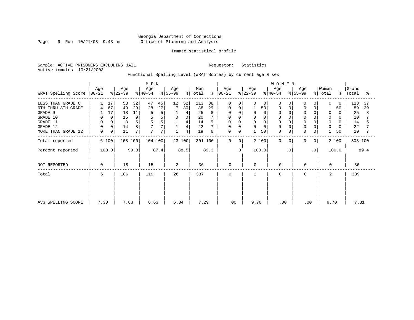Page 9 Run  $10/21/03$  9:43 am

# Inmate statistical profile

Sample: ACTIVE PRISONERS EXCLUDING JAIL Requestor: Statistics Active inmates 10/21/2003

Functional Spelling Level (WRAT Scores) by current age & sex

|                             |             |       |                  | M E N |                  |      |                  |                |                |      |                      | WOMEN          |                  |             |                  |           |                  |                |                              |       |                    |      |
|-----------------------------|-------------|-------|------------------|-------|------------------|------|------------------|----------------|----------------|------|----------------------|----------------|------------------|-------------|------------------|-----------|------------------|----------------|------------------------------|-------|--------------------|------|
| WRAT Spelling Score   00-21 | Age         |       | Age<br>$ 22-39 $ |       | Age<br>$8 40-54$ |      | Age<br>$8 55-99$ |                | Men<br>% Total |      | Age<br>$8   00 - 21$ |                | Age<br>$ 22-39 $ |             | Age<br>$ 40-54 $ |           | Age<br>$ 55-99 $ |                | Women<br>$\frac{1}{2}$ Total |       | Grand<br>%   Total | ႜ    |
| LESS THAN GRADE 6           |             | 17    | 53               | 32    | 47               | 45   | 12               | 52             | 113            | 38   | $\mathbf 0$          | 0              | $\Omega$         | $\mathbf 0$ | $\Omega$         | $\Omega$  | 0                | 0              | $\Omega$                     | 0     | 113                | 37   |
| 6TH THRU 8TH GRADE          |             | 67    | 49               | 29    | 28               | 27   |                  | 30             | 88             | 29   | 0                    | 0              |                  | 50          | 0                | 0         | 0                | 0              |                              | 50    | 89                 | 29   |
| GRADE 9                     |             | 17    | 18               | 11    | 5                | 5    |                  | 4              | 25             |      | 0                    |                | 0                | 0           |                  |           | $\Omega$         |                | $\Omega$                     |       | 25                 | 8    |
| GRADE 10                    | 0           | 0     | 15               | 9     |                  | 5    | $\mathbf 0$      | $\mathbf 0$    | 20             |      | 0                    | 0              | 0                |             | $\Omega$         |           | 0                | 0              | 0                            | 0     | 20                 |      |
| GRADE 11                    | 0           | 0     | 8                | 5     |                  | 5    |                  | 4              | 14             |      |                      |                | $\Omega$         |             |                  |           |                  |                | $\Omega$                     |       | 14                 |      |
| GRADE 12                    | $\mathbf 0$ | 0     | 14               | 8     |                  | 7    |                  | $\overline{4}$ | 22             |      | 0                    | $\Omega$       | 0                | 0           | $\Omega$         |           | 0                | 0              | 0                            | 0     | 22                 |      |
| MORE THAN GRADE 12          | 0           | 0     | 11               | 7     | 7                | 7    |                  | 4              | 19             | 6    | 0                    | $\mathbf 0$    |                  | 50          | $\mathbf 0$      | 0         | 0                | 0              |                              | 50    | 20                 |      |
| Total reported              |             | 6 100 | 168 100          |       | 104 100          |      |                  | 23 100         | 301 100        |      | $\mathbf 0$          | 0 <sup>1</sup> |                  | 2 100       | $\Omega$         | $\Omega$  | $\mathbf 0$      | 0 <sup>1</sup> |                              | 2 100 | 303 100            |      |
| Percent reported            |             | 100.0 |                  | 90.3  |                  | 87.4 |                  | 88.5           |                | 89.3 |                      | $\cdot$ 0      |                  | 100.0       |                  | $\cdot$ 0 |                  | $\cdot$ 0      |                              | 100.0 |                    | 89.4 |
| NOT REPORTED                | 0           |       | 18               |       | 15               |      | 3                |                | 36             |      | $\mathbf 0$          |                | $\mathbf 0$      |             | $\Omega$         |           | 0                |                | $\Omega$                     |       | 36                 |      |
| Total                       | 6           |       | 186              |       | 119              |      | 26               |                | 337            |      | $\mathbf 0$          |                | 2                |             | $\Omega$         |           | 0                |                | 2                            |       | 339                |      |
|                             |             |       |                  |       |                  |      |                  |                |                |      |                      |                |                  |             |                  |           |                  |                |                              |       |                    |      |
| AVG SPELLING SCORE          | 7.30        |       | 7.83             |       | 6.63             |      | 6.34             |                | 7.29           |      | .00                  |                | 9.70             |             | .00              |           | .00              |                | 9.70                         |       | 7.31               |      |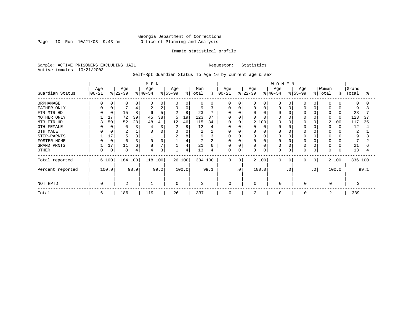Page 10 Run  $10/21/03$  9:43 am

# Inmate statistical profile

Sample: ACTIVE PRISONERS EXCLUDING JAIL Requestor: Statistics Active inmates 10/21/2003

Self-Rpt Guardian Status To Age 16 by current age & sex

|                                      |                 |         |                           |         | $M$ $\,$ E $\,$ N |         |                 |              |                |         |                          |     |                  |                      | <b>WOMEN</b>     |          |                          |           |                      |          |                    |      |
|--------------------------------------|-----------------|---------|---------------------------|---------|-------------------|---------|-----------------|--------------|----------------|---------|--------------------------|-----|------------------|----------------------|------------------|----------|--------------------------|-----------|----------------------|----------|--------------------|------|
| Guardian Status                      | Age<br>$ 00-21$ |         | Age<br>$ 22-39 $          |         | Age<br>$ 40-54 $  |         | Age<br>$ 55-99$ |              | Men<br>% Total | ៖       | Age<br>$ 00 - 21 $       |     | Age<br>$ 22-39 $ |                      | Age<br>$ 40-54 $ |          | Age<br>$8 55-99$         |           | Women<br>% Total     |          | Grand<br>%   Total | °    |
| ORPHANAGE<br>FATHER ONLY             |                 |         | $\Omega$                  | 4       |                   | 0<br>2  | $\Omega$<br>0   | 0<br>0       | $\Omega$<br>9  |         | $\Omega$<br>$\Omega$     |     | O.               | $\Omega$<br>$\Omega$ | O                |          |                          |           | $\Omega$             |          | $\Omega$<br>9      |      |
| FTR MTR HD<br>MOTHER ONLY            |                 | 17      | 15<br>72                  | 8<br>39 | 45                | 5<br>38 | 2<br>5          | 8<br>19      | 23<br>123      | 37      | <sup>0</sup><br>$\Omega$ |     | U                |                      |                  |          |                          |           | $\Omega$<br>U        | $\Omega$ | 23<br>123          | 37   |
| MTR FTR HD<br>OTH FEMALE<br>OTH MALE | κ               | 50      | 52<br>6<br>$\overline{c}$ | 28<br>3 | 48                | 41<br>3 | 12<br>2<br>0    | 46<br>8<br>0 | 115<br>12<br>2 | 34<br>4 | $\Omega$                 |     | N                | 2 100<br>O           |                  |          |                          |           | 2<br><sup>0</sup>    | 100      | 117<br>12<br>2     | 35   |
| STEP-PARNTS<br>FOSTER HOME           |                 | 17<br>0 | 6                         | 3<br>3  |                   |         | 2               | 8<br>4       | 9              |         | 0<br>0                   |     | 0<br>Ω           |                      | 0<br>0           |          |                          |           |                      |          | 9                  |      |
| GRAND PRNTS<br><b>OTHER</b>          |                 | 17<br>0 | 11<br>8                   | 6<br>4  | 8<br>4            | 3       |                 | 4<br>4       | 21<br>13       | 6<br>4  | 0<br>0                   | 0   | 0<br>0           | $\Omega$<br>0        | 0<br>0           | $\Omega$ | $\Omega$<br><sup>0</sup> |           | $\Omega$<br>$\Omega$ |          | 21<br>13           |      |
| Total reported                       |                 | 6 100   | 184 100                   |         | 118 100           |         |                 | 26 100       | 334 100        |         | $\Omega$                 | 0   |                  | 2 100                | $\mathbf 0$      | $\Omega$ | $\Omega$                 | $\Omega$  |                      | 2 100    | 336 100            |      |
| Percent reported                     |                 | 100.0   |                           | 98.9    |                   | 99.2    |                 | 100.0        |                | 99.1    |                          | .0' |                  | 100.0                |                  | . 0      |                          | $\cdot$ 0 |                      | 100.0    |                    | 99.1 |
| NOT RPTD                             |                 |         | 2                         |         |                   |         | $\Omega$        |              | 3              |         | $\Omega$                 |     | $\Omega$         |                      | $\Omega$         |          | $\Omega$                 |           | $\Omega$             |          | 3                  |      |
| Total                                | 6               |         | 186                       |         | 119               |         | 26              |              | 337            |         | $\Omega$                 |     | 2                |                      | $\Omega$         |          | $\Omega$                 |           | 2                    |          | 339                |      |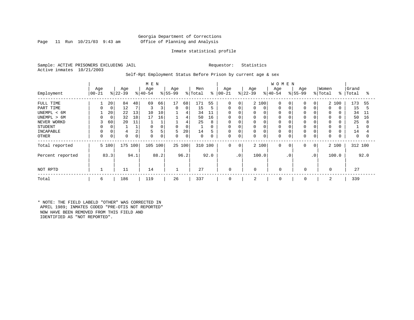# Georgia Department of Corrections Page 11 Run 10/21/03 9:43 am Office of Planning and Analysis

# Inmate statistical profile

Sample: ACTIVE PRISONERS EXCLUDING JAIL Requestor: Statistics Active inmates 10/21/2003

# Self-Rpt Employment Status Before Prison by current age & sex

|                  |                   | M E N       |                 |      |                  |      |                  |        | <b>WOMEN</b>   |      |                      |                 |                  |             |                 |           |                  |           |                  |          |                |      |
|------------------|-------------------|-------------|-----------------|------|------------------|------|------------------|--------|----------------|------|----------------------|-----------------|------------------|-------------|-----------------|-----------|------------------|-----------|------------------|----------|----------------|------|
| Employment       | Age<br>$ 00 - 21$ |             | Age<br>$ 22-39$ |      | Age<br>$ 40-54 $ |      | Age<br>$8 55-99$ |        | Men<br>% Total |      | Age<br>$8   00 - 21$ |                 | Age<br>$ 22-39 $ |             | Age<br>$ 40-54$ |           | Age<br>$8 55-99$ |           | Women<br>% Total | ိ        | Grand<br>Total | °    |
| FULL TIME        |                   | 20          | 84              | 48   | 69               | 66   | 17               | 68     | 171            | 55   | $\mathbf 0$          | 0 <sup>1</sup>  |                  | 2 100       | $\mathbf 0$     |           | $\Omega$         | $\Omega$  |                  | 2 100    | 173            | 55   |
| PART TIME        | 0                 | 0           | 12              |      | 3                | 3    | $\mathbf 0$      | 0      | 15             | 5    | 0                    | 0               | 0                | 0           | 0               |           | $\Omega$         | $\Omega$  | $\Omega$         | $\Omega$ | 15             | 5    |
| UNEMPL < 6M      |                   | 20          | 22              | 13   | 10               | 10   |                  | 4      | 34             | 11   | $\mathbf 0$          |                 | 0                | $\Omega$    | 0               |           |                  |           |                  |          | 34             | 11   |
| UNEMPL > 6M      | 0                 | $\mathbf 0$ | 32              | 18   | 17               | 16   |                  | 4      | 50             | 16   | $\mathbf 0$          |                 | 0                | $\Omega$    | 0               |           |                  |           |                  |          | 50             | 16   |
| NEVER WORKD      | 3                 | 60          | 20              | 11   |                  |      |                  | 4      | 25             | 8    | $\mathbf 0$          |                 | 0                |             | 0               |           |                  |           | $\Omega$         |          | 25             | 8    |
| <b>STUDENT</b>   | 0                 | 0           |                 |      | 0                | 0    |                  | 0      | 1              | 0    | 0                    |                 | 0                | 0           | 0               |           |                  |           | 0                |          |                |      |
| INCAPABLE        |                   |             |                 | 2    | 5                | 5    | 5                | 20     | 14             | 5    | $\mathbf 0$          |                 | 0                | $\mathbf 0$ | 0               |           | $\Omega$         |           | $\Omega$         |          | 14             |      |
| OTHER            | 0                 | 0           | $\Omega$        |      | $\mathbf 0$      | 0    | 0                | 0      | 0              |      | 0                    | 0               | 0                | $\mathbf 0$ | 0               |           | $\Omega$         | 0         | 0                |          | 0              | 0    |
| Total reported   |                   | 5 100       | 175             | 100  | 105 100          |      |                  | 25 100 | 310 100        |      | 0                    | 0               |                  | 2 100       | $\mathbf 0$     | 0         | 0                | 0         |                  | 2 100    | 312 100        |      |
| Percent reported |                   | 83.3        |                 | 94.1 |                  | 88.2 |                  | 96.2   |                | 92.0 |                      | .0 <sup>1</sup> |                  | 100.0       |                 | $\cdot$ 0 |                  | $\cdot$ 0 |                  | 100.0    |                | 92.0 |
| NOT RPTD         |                   |             | 11              |      | 14               |      | $\mathbf{1}$     |        | 27             |      | $\mathbf 0$          |                 | $\Omega$         |             | $\Omega$        |           | $\mathbf 0$      |           | $\Omega$         |          | 27             |      |
| Total            | 6                 |             | 186             |      | 119              |      | 26               |        | 337            |      | 0                    |                 | 2                |             | 0               |           | 0                |           | 2                |          | 339            |      |

\* NOTE: THE FIELD LABELD "OTHER" WAS CORRECTED IN APRIL 1989; INMATES CODED "PRE-OTIS NOT REPORTED" NOW HAVE BEEN REMOVED FROM THIS FIELD AND IDENTIFIED AS "NOT REPORTED".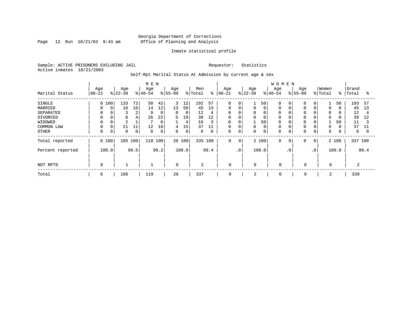Page 12 Run  $10/21/03$  9:43 am

# Inmate statistical profile

Sample: ACTIVE PRISONERS EXCLUDING JAIL Requestor: Statistics Active inmates 10/21/2003

Self-Rpt Marital Status At Admission by current age & sex

|                  |                  |       |                  |      | M E N            |      |                  |        |                |      |                   |             |                  |             | <b>WOMEN</b>    |           |                  |                |                  |               |                |      |
|------------------|------------------|-------|------------------|------|------------------|------|------------------|--------|----------------|------|-------------------|-------------|------------------|-------------|-----------------|-----------|------------------|----------------|------------------|---------------|----------------|------|
| Marital Status   | Age<br>$ 00-21 $ |       | Age<br>$ 22-39 $ |      | Age<br>$ 40-54 $ |      | Age<br>$8 55-99$ |        | Men<br>% Total | ៖    | Age<br>$ 00 - 21$ |             | Age<br>$ 22-39 $ |             | Age<br>$ 40-54$ |           | Age<br>$8 55-99$ |                | Women<br>% Total | $\frac{8}{6}$ | Grand<br>Total | °≈   |
|                  |                  |       |                  |      |                  |      |                  |        |                |      |                   |             |                  |             |                 |           |                  |                |                  |               |                |      |
| <b>SINGLE</b>    |                  | 6 100 | 133              | 72   | 50               | 42   | 3                | 12     | 192            | 57   | $\mathbf 0$       | 0           |                  | 50          | $\Omega$        |           |                  | 0              |                  | 50            | 193            | 57   |
| MARRIED          | $\Omega$         | 0     | 18               | 10   | 14               | 12   | 13               | 50     | 45             | 13   | 0                 | 0           | 0                | 0           | 0               |           |                  |                | 0                |               | 45             | 13   |
| SEPARATED        | $\Omega$         |       | 3                | ∠    | 9                | 8    | 0                | 0      | 12             | 4    | 0                 | 0           | 0                | 0           | 0               |           |                  |                | 0                |               | 12             | 4    |
| DIVORCED         | $\Omega$         |       | 8                |      | 26               | 22   | 5                | 19     | 39             | 12   | 0                 | 0           | 0                | 0           | 0               |           |                  |                | 0                |               | 39             | 12   |
| WIDOWED          |                  |       | $\overline{2}$   |      |                  | 6    |                  | 4      | 10             | 3    | 0                 |             |                  | 50          | 0               |           |                  |                |                  | 50            | 11             |      |
| COMMON LAW       |                  | 0     | 21               | 11   | 12               | 10   | 4                | 15     | 37             | 11   | $\mathbf 0$       |             |                  | 0           | 0               |           |                  |                | 0                |               | 37             | 11   |
| <b>OTHER</b>     | 0                | 0     | $\Omega$         | 0    | $\mathbf 0$      | 0    | 0                | 0      | $\mathbf 0$    | 0    | 0                 | 0           | 0                | $\mathbf 0$ | 0               |           |                  | 0              | $\mathbf 0$      |               | $\mathbf{0}$   |      |
| Total reported   |                  | 6 100 | 185 100          |      | 118 100          |      |                  | 26 100 | 335 100        |      | $\mathbf 0$       | $\mathbf 0$ |                  | 2 100       | $\mathbf 0$     | 0         | 0                | $\overline{0}$ |                  | 2 100         | 337 100        |      |
| Percent reported |                  | 100.0 |                  | 99.5 |                  | 99.2 |                  | 100.0  |                | 99.4 |                   | $\cdot$ 0   |                  | 100.0       |                 | $\cdot$ 0 |                  | $\cdot$ 0      |                  | 100.0         |                | 99.4 |
|                  |                  |       |                  |      |                  |      |                  |        |                |      |                   |             |                  |             |                 |           |                  |                |                  |               |                |      |
| NOT RPTD         | 0                |       |                  |      |                  |      | $\mathbf 0$      |        | $\overline{2}$ |      | 0                 |             | $\Omega$         |             | $\mathbf 0$     |           | $\mathbf 0$      |                | $\mathbf 0$      |               | $\overline{2}$ |      |
| Total            | 6                |       | 186              |      | 119              |      | 26               |        | 337            |      | 0                 |             | 2                |             | 0               |           | 0                |                | 2                |               | 339            |      |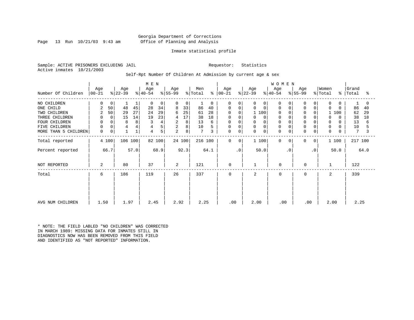# Georgia Department of Corrections Page 13 Run 10/21/03 9:43 am Office of Planning and Analysis

# Inmate statistical profile

Sample: ACTIVE PRISONERS EXCLUDING JAIL Requestor: Statistics Active inmates 10/21/2003

# Self-Rpt Number Of Children At Admission by current age & sex

|                      |                  |                |                  |              | M E N            |        |                  |        |                 |               |                  |             |                  |                | <b>WOMEN</b>     |           |                  |             |                  |               |                |      |
|----------------------|------------------|----------------|------------------|--------------|------------------|--------|------------------|--------|-----------------|---------------|------------------|-------------|------------------|----------------|------------------|-----------|------------------|-------------|------------------|---------------|----------------|------|
| Number Of Children   | Age<br>$ 00-21 $ |                | Age<br>$ 22-39 $ |              | Age<br>$ 40-54 $ |        | Age<br>$ 55-99 $ |        | Men<br>% Total  | $\frac{8}{6}$ | Age<br>$ 00-21 $ |             | Age<br>$ 22-39 $ |                | Age<br>$ 40-54 $ |           | Age<br>$ 55-99 $ |             | Women<br>% Total | $\frac{8}{3}$ | Grand<br>Total | °≈   |
|                      |                  |                |                  |              |                  |        |                  |        |                 |               |                  |             |                  |                |                  |           |                  |             |                  |               |                |      |
| NO CHILDREN          | 0                | 0              |                  | 1            | 0                | 0      | $\Omega$         | 0      |                 | 0             | $\Omega$         | $\Omega$    | 0                | $\overline{0}$ | $\Omega$         |           | $\Omega$         | 0           | $\mathbf 0$      | 0             |                |      |
| ONE CHILD            | 2                | 50             | 48               | 45           | 28               | 34     | 8                | 33     | 86              | 40            | 0                | 0           | 0                | 0              | 0                |           | $\Omega$         | 0           | $\Omega$         | $\Omega$      | 86             | 40   |
| TWO CHILDREN         | 2                | 50             | 29               | 27           | 24               | 29     | 6                | 25     | 61              | 28            |                  | $\Omega$    |                  | 1 100          | 0                |           |                  |             |                  | 100           | 62             | 29   |
| THREE CHILDREN       | 0                | $\overline{0}$ | 15               | 14           | 19               | 23     | 4                | 17     | 38              | 18            | 0                | 0           | $\Omega$         | $\Omega$       | $\mathbf 0$      |           | $\Omega$         |             | 0                | $\Omega$      | 38             | 18   |
| FOUR CHILDREN        | 0                |                | 8                | 8            | 3                | 4      | 2                | 8      | 13              | 6             | 0                |             | 0                |                | $\Omega$         |           |                  |             | 0                | $\Omega$      | 13             | 6    |
| FIVE CHILDREN        | 0                |                | 4                | 4            |                  | 5      | 2                | 8      | 10              |               | 0                | $\Omega$    | 0                | 0              | $\mathbf 0$      |           |                  | 0           | 0                |               | 10             |      |
| MORE THAN 5 CHILDREN | $\mathsf{O}$     | 0              |                  | $\mathbf{1}$ | 4                | 5      | 2                | 8      | $7\phantom{.0}$ | 3             | 0                | $\mathbf 0$ | 0                | 0              | $\Omega$         | 0         | $\mathbf 0$      | $\mathbf 0$ | $\mathbf 0$      | 0             | 7              |      |
| Total reported       |                  | 4 100          | 106 100          |              |                  | 82 100 |                  | 24 100 | 216 100         |               | $\mathbf 0$      | 0           |                  | 1 100          | $\Omega$         | $\Omega$  | 0                | 0           |                  | 1 100         | 217 100        |      |
| Percent reported     |                  | 66.7           |                  | 57.0         |                  | 68.9   |                  | 92.3   |                 | 64.1          |                  | $\cdot$ 0   |                  | 50.0           |                  | $\cdot$ 0 |                  | $\cdot$ 0   |                  | 50.0          |                | 64.0 |
| NOT REPORTED         | 2                |                | 80               |              | 37               |        | 2                |        | 121             |               | $\mathbf 0$      |             |                  |                | $\mathbf 0$      |           | 0                |             | 1                |               | 122            |      |
| Total                | 6                |                | 186              |              | 119              |        | 26               |        | 337             |               | $\mathbf 0$      |             | 2                |                | $\Omega$         |           | $\mathbf 0$      |             | 2                |               | 339            |      |
|                      |                  |                |                  |              |                  |        |                  |        |                 |               |                  |             |                  |                |                  |           |                  |             |                  |               |                |      |
|                      |                  |                |                  |              |                  |        |                  |        |                 |               |                  |             |                  |                |                  |           |                  |             |                  |               |                |      |
| AVG NUM CHILDREN     | 1.50             |                | 1.97             |              | 2.45             |        | 2.92             |        | 2.25            |               | .00              |             | 2.00             |                | .00              |           | .00              |             | 2.00             |               | 2.25           |      |

\* NOTE: THE FIELD LABLED "NO CHILDREN" WAS CORRECTED IN MARCH 1989: MISSING DATA FOR INMATES STILL IN DIAGNOSTICS NOW HAS BEEN REMOVED FROM THIS FIELD AND IDENTIFIED AS "NOT REPORTED" INFORMATION.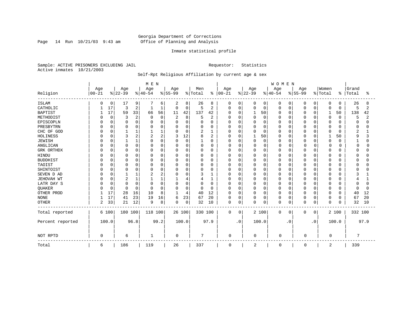Page 14 Run  $10/21/03$  9:43 am

# Inmate statistical profile

Sample: ACTIVE PRISONERS EXCLUDING JAIL Requestor: Statistics Active inmates 10/21/2003

# Self-Rpt Religious Affiliation by current age & sex

|                  |           |          |                |                | M E N    |          |                |          |              |                |             |             |          |             | WOMEN       |             |          |           |                |          |         |      |
|------------------|-----------|----------|----------------|----------------|----------|----------|----------------|----------|--------------|----------------|-------------|-------------|----------|-------------|-------------|-------------|----------|-----------|----------------|----------|---------|------|
|                  | Age       |          | Age            |                | Age      |          | Age            |          | Men          |                | Age         |             | Age      |             | Age         |             | Age      |           | Women          |          | Grand   |      |
| Religion         | $00 - 21$ |          | $ 22-39$       |                | $ 40-54$ |          | $ 55-99$       |          | % Total      | $\frac{8}{6}$  | $00 - 21$   |             | $ 22-39$ |             | $ 40-54 $   |             | $ 55-99$ |           | % Total        | ి        | Total   | ႜ    |
| <b>ISLAM</b>     | O         | 0        | 17             | 9              |          | 6        | 2              | 8        | 26           | 8              | 0           | 0           | 0        | 0           | 0           | 0           | 0        | 0         | 0              | 0        | 26      | 8    |
| CATHOLIC         |           | 17       | 3              | $\overline{2}$ |          | 1        | $\mathbf 0$    | 0        | 5            | $\overline{2}$ | $\Omega$    | $\mathbf 0$ | 0        | $\mathbf 0$ | 0           | $\mathbf 0$ | 0        | $\Omega$  | $\mathbf 0$    | 0        | 5       | 2    |
| <b>BAPTIST</b>   |           | 17       | 59             | 33             | 66       | 56       | 11             | 42       | 137          | 42             | $\Omega$    | 0           |          | 50          | 0           | 0           | O        | $\Omega$  | 1              | 50       | 138     | 42   |
| METHODIST        |           | $\Omega$ | 3              | $\overline{2}$ | C        | $\Omega$ | $\overline{2}$ | 8        | 5            | $\overline{2}$ |             | $\Omega$    | $\Omega$ | $\Omega$    | 0           | 0           |          | n         | $\mathbf 0$    | $\Omega$ | 5       | 2    |
| EPISCOPLN        |           | O        | $\Omega$       | $\Omega$       |          | 0        | $\Omega$       | 0        | 0            | 0              |             | $\mathbf 0$ | 0        | $\Omega$    | Ω           | $\mathbf 0$ | O        | $\Omega$  | $\Omega$       | O        |         |      |
| PRESBYTRN        |           |          | 0              | $\Omega$       |          | O        | 0              | 0        | O            | 0              |             | $\Omega$    | 0        | $\Omega$    | 0           | 0           |          | $\Omega$  | $\Omega$       |          |         |      |
| CHC OF GOD       |           | U        |                |                |          |          | $\Omega$       | 0        | 2            | 1              |             | $\Omega$    | 0        | $\Omega$    | 0           | $\Omega$    |          | $\Omega$  | $\Omega$       | U        | 2       |      |
| HOLINESS         |           |          | 3              | 2              | 2        | 2        | 3              | 12       | 8            | 2              | U           | $\Omega$    |          | 50          | O           | $\Omega$    |          | n         | $\mathbf{1}$   | 50       | q       |      |
| <b>JEWISH</b>    |           |          |                |                | O        | O        | $\Omega$       | $\Omega$ | $\mathbf{1}$ | 0              | U           | $\Omega$    | $\Omega$ | $\mathbf 0$ | O           | 0           | O        | O         | $\mathbf 0$    | O        |         |      |
| ANGLICAN         |           | $\Omega$ | 0              | O              |          | U        | $\Omega$       | 0        | 0            | 0              | O           | $\Omega$    | 0        | $\mathbf 0$ | O           | $\Omega$    | $\Omega$ | O         | $\Omega$       |          | n       |      |
| GRK ORTHDX       |           | 0        | $\Omega$       | 0              | O        | 0        | 0              | 0        | 0            | 0              | U           | 0           | 0        | $\Omega$    | 0           | 0           |          | O         | 0              |          |         |      |
| <b>HINDU</b>     |           |          | $\Omega$       |                |          | 0        | 0              | 0        | 0            | 0              |             | $\Omega$    | 0        | $\Omega$    | Ω           | 0           |          | O         | 0              |          |         |      |
| <b>BUDDHIST</b>  |           |          | $\Omega$       | $\Omega$       |          | O        | $\Omega$       | 0        | 0            | $\Omega$       |             | $\Omega$    | 0        | $\Omega$    | Ω           | 0           |          | $\Omega$  | $\Omega$       |          |         |      |
| TAOIST           |           |          | 0              | N              |          | 0        | 0              | 0        | 0            | 0              |             | $\Omega$    | 0        | $\cap$      | Ω           | $\Omega$    |          | O         | $\Omega$       |          |         |      |
| SHINTOIST        |           |          | $\Omega$       |                | U        | O        | U              | 0        | 0            | U              |             | $\Omega$    | U        | ∩           | O           | $\Omega$    |          | $\Omega$  | $\Omega$       | ∩        |         |      |
| SEVEN D AD       |           |          |                |                |          | 2        | $\Omega$       | 0        | 3            | 1              | U           | $\Omega$    | O        | $\cap$      | O           | $\Omega$    |          | $\Omega$  | $\Omega$       |          |         |      |
| JEHOVAH WT       |           | O        | $\overline{2}$ |                |          |          |                | 4        | 4            | 1              | U           | $\Omega$    | 0        | $\Omega$    | 0           | 0           | O        | $\Omega$  | 0              |          |         |      |
| LATR DAY S       |           |          | $\Omega$       | $\Omega$       | C        | O        | 0              | 0        | 0            | 0              |             | $\Omega$    | 0        | $\Omega$    | 0           | 0           |          | O         | 0              |          |         |      |
| QUAKER           |           | $\Omega$ | $\Omega$       | 0              | $\cap$   | $\Omega$ | O              | 0        | 0            | 0              | U           | $\Omega$    | 0        | $\Omega$    | 0           | 0           | O        | O         | 0              | 0        |         |      |
| OTHER PROD       |           | 17       | 28             | 16             | 10       | 8        | 1              | 4        | 40           | 12             | $\Omega$    | $\Omega$    | 0        | $\Omega$    | O           | 0           | O        | $\Omega$  | 0              | $\Omega$ | 40      | 12   |
| <b>NONE</b>      |           | 17       | 41             | 23             | 19       | 16       | 6              | 23       | 67           | 20             | $\Omega$    | 0           | 0        | 0           | 0           | 0           | 0        | 0         | 0              | $\Omega$ | 67      | 20   |
| <b>OTHER</b>     | 2         | 33       | 21             | 12             | 9        | 8        | $\Omega$       | 0        | 32           | 10             | $\Omega$    | 0           | $\Omega$ | 0           | 0           | 0           | 0        | $\Omega$  | $\mathbf 0$    | $\Omega$ | 32      | 10   |
| Total reported   |           | 6 100    | 180 100        |                | 118 100  |          | 26 100         |          | 330 100      |                | $\mathbf 0$ | 0           |          | 2 100       | 0           | 0           | 0        | 0         |                | 2 100    | 332 100 |      |
| Percent reported |           | 100.0    |                | 96.8           |          | 99.2     |                | 100.0    |              | 97.9           |             | $\cdot$ 0   |          | 100.0       |             | . 0         |          | $\cdot$ 0 |                | 100.0    |         | 97.9 |
| NOT RPTD         | $\Omega$  |          | 6              |                |          |          | $\mathbf 0$    |          | 7            |                | $\Omega$    |             | 0        |             | $\mathbf 0$ |             | $\cap$   |           | $\Omega$       |          | 7       |      |
| Total            | 6         |          | 186            |                | 119      |          | 26             |          | 337          |                | 0           |             | 2        |             | 0           |             | 0        |           | $\overline{2}$ |          | 339     |      |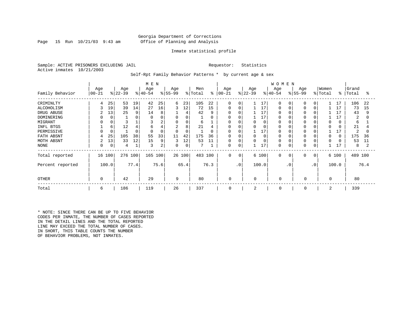# Georgia Department of Corrections Page 15 Run 10/21/03 9:43 am Office of Planning and Analysis

### Inmate statistical profile

Sample: ACTIVE PRISONERS EXCLUDING JAIL **Requestor:** Statistics Active inmates 10/21/2003

Self-Rpt Family Behavior Patterns \* by current age & sex

|                  |           | M E N |           |      |           |          |                |        |         |          |             |                |           |       | WOMEN        |             |             |                |          |               |         |      |
|------------------|-----------|-------|-----------|------|-----------|----------|----------------|--------|---------|----------|-------------|----------------|-----------|-------|--------------|-------------|-------------|----------------|----------|---------------|---------|------|
|                  | Age       |       | Age       |      | Age       |          | Age            |        | Men     |          | Age         |                | Age       |       | Age          |             | Age         |                | Women    |               | Grand   |      |
| Family Behavior  | $00 - 21$ |       | $ 22-39 $ |      | $ 40-54 $ |          | $ 55-99$       |        | % Total | ႜ        | $00 - 21$   |                | $ 22-39 $ |       | $8 40-54$    |             | $ 55-99 $   |                | % Total  | $\frac{8}{6}$ | Total   | ႜ    |
| CRIMINLTY        | 4         | 25    | 53        | 19   | 42        | 25       | 6              | 23     | 105     | 22       | $\Omega$    | $\Omega$       |           | 17    | $\cap$       | $\Omega$    | $\Omega$    | $\overline{0}$ |          | 17            | 106     | 22   |
| ALCOHOLISM       |           | 19    | 39        | 14   | 27        | 16       | 3              | 12     | 72      | 15       | $\Omega$    | 0              |           | 17    | $\Omega$     | 0           | $\Omega$    | 0              |          | 17            | 73      | 15   |
| DRUG ABUSE       | 2         | 13    | 25        | 9    | 14        | 8        |                | 4      | 42      | 9        | 0           | 0              |           | 17    |              |             |             |                |          | 17            | 43      | 9    |
| DOMINERING       |           |       |           | 0    |           |          | 0              | 0      |         | $\Omega$ | 0           |                |           | 17    |              |             |             |                |          |               | 2       | 0    |
| MIGRANT          |           |       |           |      |           | 2        | $\mathbf 0$    | 0      | 6       |          | 0           | 0              | 0         | 0     |              |             | $\Omega$    |                | $\Omega$ | 0             | 6       |      |
| INFL BTGS        |           | 6     | 12        | 4    | b         |          | $\overline{2}$ | 8      | 21      | 4        | 0           | 0              | 0         |       |              |             |             |                | $\Omega$ |               | 21      |      |
| PERMISSIVE       |           |       |           | 0    |           | $\Omega$ | $\Omega$       | 0      |         | $\Omega$ | $\Omega$    | $\mathbf C$    |           | 17    | <sup>0</sup> |             | $\Omega$    |                |          |               | 2       | O    |
| FATH ABSNT       |           | 25    | 105       | 38   | 55        | 33       | 11             | 42     | 175     | 36       | O           |                | $\Omega$  |       |              |             | $\Omega$    |                | $\Omega$ | $\Omega$      | 175     | 36   |
| MOTH ABSNT       | 2         | 13    | 33        | 12   | 15        | 9        | 3              | 12     | 53      | 11       | 0           | 0              | $\Omega$  |       | $\Omega$     |             |             |                | $\Omega$ |               | 53      | 11   |
| NONE             | 0         | 0     | 4         | ┻    | 3         | 2        | 0              | 0      |         |          | 0           | 0              |           | 17    | $\Omega$     |             | 0           | 0              |          | 17            | 8       |      |
| Total reported   | 16        | 100   | 276 100   |      | 165 100   |          |                | 26 100 | 483 100 |          | $\mathbf 0$ | $\overline{0}$ |           | 6 100 | $\mathbf 0$  | $\mathbf 0$ | $\mathbf 0$ | $\circ$        |          | 6 100         | 489 100 |      |
| Percent reported |           | 100.0 |           | 77.4 |           | 75.6     |                | 65.4   |         | 76.3     |             | $\cdot$ 0      |           | 100.0 |              | $\cdot$ 0   |             | $\cdot$ 0      |          | 100.0         |         | 76.4 |
| <b>OTHER</b>     | 0         |       | 42        |      | 29        |          | 9              |        | 80      |          | 0           |                | 0         |       | 0            |             | 0           |                | 0        |               | 80      |      |
| Total            | 6         |       | 186       |      | 119       |          | 26             |        | 337     |          | $\mathbf 0$ |                | 2         |       | 0            |             | 0           |                | 2        |               | 339     |      |

\* NOTE: SINCE THERE CAN BE UP TO FIVE BEHAVIOR CODES PER INMATE, THE NUMBER OF CASES REPORTED IN THE DETAIL LINES AND THE TOTAL REPORTED LINE MAY EXCEED THE TOTAL NUMBER OF CASES. IN SHORT, THIS TABLE COUNTS THE NUMBER OF BEHAVIOR PROBLEMS, NOT INMATES.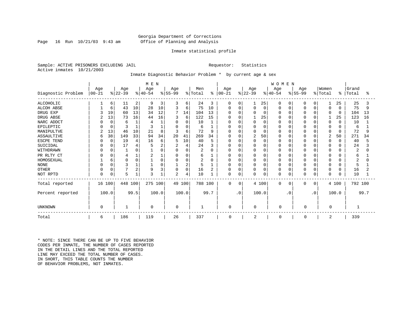# Georgia Department of Corrections Page 16 Run 10/21/03 9:43 am Office of Planning and Analysis

### Inmate statistical profile

Sample: ACTIVE PRISONERS EXCLUDING JAIL **Requestor:** Statistics Active inmates 10/21/2003

# Inmate Diagnostic Behavior Problem \* by current age & sex

|                    | M E N      |          |           |      |                |          |                |             |         |      |               |             |                |          | WOMEN     |             |              |              |                |          |         |      |
|--------------------|------------|----------|-----------|------|----------------|----------|----------------|-------------|---------|------|---------------|-------------|----------------|----------|-----------|-------------|--------------|--------------|----------------|----------|---------|------|
|                    | Age        |          | Age       |      | Age            |          | Age            |             | Men     |      | Age           |             | Age            |          | Age       |             | Age          |              | Women          |          | Grand   |      |
| Diagnostic Problem | $ 00 - 21$ |          | $ 22-39 $ |      | $ 40-54 $      |          | $ 55-99$       |             | % Total |      | $8   00 - 21$ |             | $ 22-39 $      |          | $ 40-54 $ |             | $ 55-99 $    |              | % Total        | ႜ        | Total   | °≈   |
| <b>ALCOHOLIC</b>   |            | 6        | 11        | 2    | 9              | 3        | 3              | 6           | 24      | 3    | 0             | 0           |                | 25       | $\Omega$  | 0           | 0            | 0            | 1              | 25       | 25      | 3    |
| ALCOH ABSE         |            | 6        | 43        | 10   | 28             | 10       | 3              | 6           | 75      | 10   | $\Omega$      | 0           |                | $\Omega$ | O         | 0           | O            | $\Omega$     | $\Omega$       | $\Omega$ | 75      | 9    |
| DRUG EXP           |            | 19       | 60        | 13   | 34             | 12       | 7              | 14          | 104     | 13   | O             | O           |                | 0        |           | $\Omega$    |              | $\Omega$     | $\Omega$       | $\Omega$ | 104     | 13   |
| DRUG ABSE          |            | 13       | 73        | 16   | 44             | 16       | 3              | 6           | 122     | 15   | O             | O           |                | 25       |           | $\Omega$    |              | $\Omega$     |                | 25       | 123     | 16   |
| NARC ADDCT         |            | $\Omega$ | 6         |      |                |          | $\Omega$       | $\Omega$    | 10      |      | 0             | O           |                | $\Omega$ |           | $\Omega$    |              | $\Omega$     | 0              | $\Omega$ | 10      |      |
| EPILEPTIC          |            | $\Omega$ |           |      | 3              |          | $\Omega$       | $\Omega$    | 6       |      | 0             | O           |                | $\Omega$ |           | $\Omega$    |              | $\Omega$     | 0              | O        | 6       |      |
| MANIPULTVE         |            | 13       | 46        | 10   | 21             | 8        | 3              | 6           | 72      | 9    |               | O           |                | $\Omega$ |           | $\Omega$    |              | $\Omega$     | 0              | $\Omega$ | 72      |      |
| ASSAULTIVE         | 6          | 38       | 149       | 33   | 94             | 34       | 20             | 41          | 269     | 34   | $\Omega$      | O           | $\overline{c}$ | 50       |           | $\Omega$    | $\Omega$     | $\Omega$     | $\overline{c}$ | 50       | 271     | 34   |
| ESCPE TEND         |            | $\Omega$ | 19        |      | 16             | 6        | 5              | 10          | 40      | 5    | 0             | 0           |                | 0        |           | $\Omega$    |              | $\cap$       | 0              | $\Omega$ | 40      |      |
| SUICIDAL           |            |          | 17        |      |                |          | $\overline{2}$ | 4           | 24      | 3    | O             | $\Omega$    |                | $\Omega$ |           | $\Omega$    |              |              | $\Omega$       | O        | 24      |      |
| WITHDRAWN          |            |          |           |      |                |          | $\Omega$       | $\Omega$    | 2       | O    | O             | O           |                | $\Omega$ |           | $\Omega$    |              | $\cap$       | 0              |          | 2       |      |
| PR RLTY CT         |            |          |           |      | $\overline{2}$ |          | 0              | 0           | 6       |      | 0             | 0           |                | 0        |           | $\Omega$    | 0            | <sup>0</sup> | 0              |          | 6       |      |
| HOMOSEXUAL         |            | 6        | $\Omega$  |      |                | $\Omega$ | $\Omega$       | 0           | 2       | O    | <sup>0</sup>  | 0           |                | $\Omega$ |           | $\Omega$    | O            | $\cap$       | $\Omega$       | U        |         |      |
| <b>NONE</b>        |            |          | 3         |      |                |          |                | 2           | 5       |      | 0             | 0           |                | $\Omega$ |           | $\Omega$    | 0            | $\Omega$     | $\Omega$       | O        | 5       |      |
| <b>OTHER</b>       |            |          |           | 2    | 9              | 3        | $\Omega$       | $\mathbf 0$ | 16      |      | 0             | 0           | <sup>0</sup>   | 0        |           | $\mathbf 0$ | <sup>0</sup> | $\Omega$     | 0              | $\Omega$ | 16      |      |
| NOT RPTD           | O          | $\Omega$ | 5         |      | 3              |          | $\overline{c}$ | 4           | 10      |      | $\Omega$      | 0           |                | 0        | n         | $\mathbf 0$ |              | $\Omega$     | $\Omega$       | 0        | 10      |      |
| Total reported     | 16 100     |          | 448 100   |      | 275 100        |          |                | 49 100      | 788 100 |      | $\mathbf 0$   | $\mathbf 0$ |                | 4 100    | 0         | 0           | $\Omega$     | $\Omega$     |                | 4 100    | 792 100 |      |
| Percent reported   |            | 100.0    |           | 99.5 |                | 100.0    |                | 100.0       |         | 99.7 |               | $\cdot$ 0   |                | 100.0    |           | $\cdot$ 0   |              | $\cdot$ 0    |                | 100.0    |         | 99.7 |
| <b>UNKNOWN</b>     | $\Omega$   |          |           |      | $\Omega$       |          | $\mathbf 0$    |             |         |      | $\mathbf 0$   |             | 0              |          | 0         |             | 0            |              | 0              |          |         |      |
| Total              | 6          |          | 186       |      | 119            |          | 26             |             | 337     |      | 0             |             | 2              |          | 0         |             | 0            |              | 2              |          | 339     |      |

\* NOTE: SINCE THERE CAN BE UP TO FIVE BEHAVIOR CODES PER INMATE, THE NUMBER OF CASES REPORTED IN THE DETAIL LINES AND THE TOTAL REPORTED LINE MAY EXCEED THE TOTAL NUMBER OF CASES. IN SHORT, THIS TABLE COUNTS THE NUMBER OF BEHAVIOR PROBLEMS, NOT INMATES.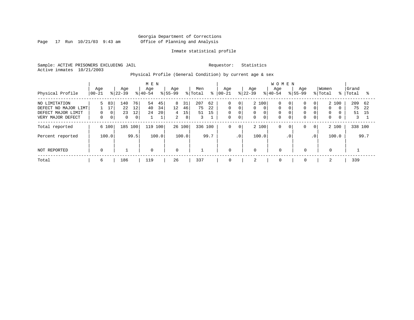Page 17 Run  $10/21/03$  9:43 am

# Inmate statistical profile

Sample: ACTIVE PRISONERS EXCLUDING JAIL Requestor: Statistics Active inmates 10/21/2003

Physical Profile (General Condition) by current age & sex

|                                                                                  |                     |                              |                             |                                  | M E N            |                     |                                |                     |                      |                |                                                          |                             |                    |                                       | <b>WOMEN</b>                      |                      |                                              |                                                   |                                       |          |                      |                 |
|----------------------------------------------------------------------------------|---------------------|------------------------------|-----------------------------|----------------------------------|------------------|---------------------|--------------------------------|---------------------|----------------------|----------------|----------------------------------------------------------|-----------------------------|--------------------|---------------------------------------|-----------------------------------|----------------------|----------------------------------------------|---------------------------------------------------|---------------------------------------|----------|----------------------|-----------------|
| Physical Profile                                                                 | Age<br>$00 - 21$    |                              | Age<br>$ 22-39 $            |                                  | Age<br>$8 40-54$ |                     | Age<br>$8155 - 99$             |                     | Men<br>% Total       | ៖              | Age<br>$ 00-21$                                          |                             | Age<br>$ 22-39 $   |                                       | Age<br>$8 40-54$                  |                      | Aqe<br>$8155 - 99$                           |                                                   | Women<br>% Total                      | ႜႜ       | Grand<br>Total       | °≈              |
| NO LIMITATION<br>DEFECT NO MAJOR LIMT<br>DEFECT MAJOR LIMIT<br>VERY MAJOR DEFECT | 5.<br>0<br>$\Omega$ | 83<br>17<br>0<br>$\mathbf 0$ | 140<br>22<br>23<br>$\Omega$ | 76<br>12<br>12<br>0 <sup>1</sup> | 54<br>40<br>24   | 45<br>34<br>20<br>1 | 8<br>12<br>4<br>$\overline{2}$ | 31<br>46<br>15<br>8 | 207<br>75<br>51<br>3 | 62<br>22<br>15 | $\mathbf 0$<br>$\mathbf 0$<br>$\mathbf 0$<br>$\mathbf 0$ | 0<br>0<br>0<br>$\mathbf{0}$ | 0<br>0<br>$\Omega$ | 2 100<br>$\Omega$<br>0<br>$\mathbf 0$ | 0<br>$\mathbf 0$<br>0<br>$\Omega$ | 0  <br>$\Omega$<br>0 | $\Omega$<br>$\Omega$<br>$\Omega$<br>$\Omega$ | 0 <sup>1</sup><br>$\Omega$<br>0<br>$\overline{0}$ | 2 100<br>$\Omega$<br>0<br>$\mathbf 0$ | $\Omega$ | 209<br>75<br>51<br>3 | 62<br>2.2<br>15 |
| Total reported                                                                   |                     | 6 100                        | 185 100                     |                                  | 119              | 100                 |                                | 26 100              | 336 100              |                | $\mathbf 0$                                              | $\mathbf 0$                 | 2 100              |                                       | 0                                 | $\circ$              | 0                                            | $\mathbf{0}$                                      | 2 100                                 |          | 338 100              |                 |
| Percent reported                                                                 |                     | 100.0                        |                             | 99.5                             |                  | 100.0               |                                | 100.0               |                      | 99.7           |                                                          | .0                          | 100.0              |                                       |                                   | $\cdot$ 0            |                                              | $\cdot$ 0                                         | 100.0                                 |          |                      | 99.7            |
| NOT REPORTED                                                                     | $\mathbf 0$         |                              |                             |                                  | $\mathbf 0$      |                     | $\mathbf 0$                    |                     |                      |                | $\mathbf 0$                                              |                             | $\mathbf 0$        |                                       | $\Omega$                          |                      | $\mathbf 0$                                  |                                                   | $\mathbf 0$                           |          |                      |                 |
| Total                                                                            | 6                   |                              | 186                         |                                  | 119              |                     | 26                             |                     | 337                  |                | 0                                                        |                             | 2                  |                                       | $\mathbf 0$                       |                      | 0                                            |                                                   | 2                                     |          | 339                  |                 |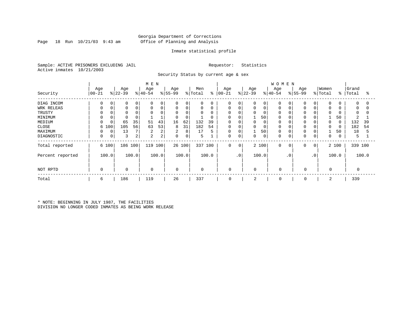# Georgia Department of Corrections Page 18 Run 10/21/03 9:43 am Office of Planning and Analysis

# Inmate statistical profile

Sample: ACTIVE PRISONERS EXCLUDING JAIL Requestor: Statistics Active inmates 10/21/2003

Security Status by current age & sex

|                  |                   |             |                 |       | M E N           |       |                 |        |                |       |                   |             |                  |             | <b>WOMEN</b>    |             |                  |                |                  |       |                    |       |
|------------------|-------------------|-------------|-----------------|-------|-----------------|-------|-----------------|--------|----------------|-------|-------------------|-------------|------------------|-------------|-----------------|-------------|------------------|----------------|------------------|-------|--------------------|-------|
| Security         | Age<br>$ 00 - 21$ |             | Age<br>$ 22-39$ |       | Age<br>$ 40-54$ |       | Age<br>$ 55-99$ |        | Men<br>% Total | ိ     | Age<br>$ 00 - 21$ |             | Age<br>$ 22-39 $ |             | Age<br>$ 40-54$ |             | Age<br>$8 55-99$ |                | Women<br>% Total |       | Grand<br>%   Total | ႜ     |
|                  |                   |             |                 |       |                 |       |                 |        |                |       |                   |             |                  |             |                 |             |                  |                |                  |       |                    |       |
| DIAG INCOM       | <sup>0</sup>      | $\Omega$    | $\Omega$        |       | $\Omega$        | 0     | $\Omega$        | 0      | 0              |       | $\Omega$          |             |                  | 0           |                 | $\mathbf 0$ | $\Omega$         |                | $\Omega$         |       | $\Omega$           |       |
| WRK RELEAS       | $\Omega$          | 0           | 0               | 0     | $\Omega$        | 0     | $\mathbf 0$     | 0      | 0              | 0     | 0                 | $\mathbf 0$ |                  | $\mathbf 0$ | 0               | 0           | $\Omega$         |                | $\Omega$         |       | 0                  |       |
| TRUSTY           |                   |             |                 |       |                 |       |                 | 0      | 0              |       | 0                 |             |                  | 0           |                 |             |                  |                |                  |       | 0                  |       |
| MINIMUM          |                   |             |                 |       |                 |       | $\Omega$        | 0      |                |       | 0                 |             |                  | 50          |                 |             | <sup>0</sup>     |                |                  | 50    |                    |       |
| MEDIUM           | $\Omega$          |             | 65              | 35    | 51              | 43    | 16              | 62     | 132            | 39    | $\mathbf 0$       |             | 0                | $\mathbf 0$ | 0               |             |                  |                | $\Omega$         | 0     | 132                | 39    |
| CLOSE            | 6                 | 100         | 105             | 56    | 63              | 53    | 8               | 31     | 182            | 54    | 0                 |             | 0                | 0           | 0               | 0           | $\Omega$         |                |                  | 0     | 182                | 54    |
| MAXIMUM          |                   | 0           | 13              |       | 2               | 2     | 2               | 8      | 17             | 5     | 0                 | $\Omega$    |                  | 50          | O               | $\Omega$    | $\Omega$         |                |                  | 50    | 18                 |       |
| DIAGNOSTIC       | 0                 | $\mathbf 0$ | 3               | 2     | 2               | 2     | $\mathbf 0$     | 0      | 5              |       | 0                 | 0           | 0                | 0           | 0               | 0           | 0                |                | 0                | 0     | 5                  |       |
| Total reported   |                   | 6 100       | 186 100         |       | 119 100         |       |                 | 26 100 | 337            | 100   | $\mathbf 0$       | 0           |                  | 2 100       | 0               | 0           | 0                | 0 <sup>1</sup> |                  | 2 100 | 339 100            |       |
| Percent reported |                   | 100.0       |                 | 100.0 |                 | 100.0 |                 | 100.0  |                | 100.0 |                   | .0'         |                  | 100.0       |                 | $\cdot$ 0   |                  | $\cdot$ 0      |                  | 100.0 |                    | 100.0 |
| NOT RPTD         | $\Omega$          |             | $\mathbf 0$     |       | $\mathbf 0$     |       | $\mathbf 0$     |        | $\mathbf 0$    |       | 0                 |             | 0                |             | $\Omega$        |             | $\mathbf 0$      |                | 0                |       |                    |       |
| Total            | 6                 |             | 186             |       | 119             |       | 26              |        | 337            |       | 0                 |             | 2                |             | 0               |             | 0                |                | 2                |       | 339                |       |

\* NOTE: BEGINNING IN JULY 1987, THE FACILITIES DIVISION NO LONGER CODED INMATES AS BEING WORK RELEASE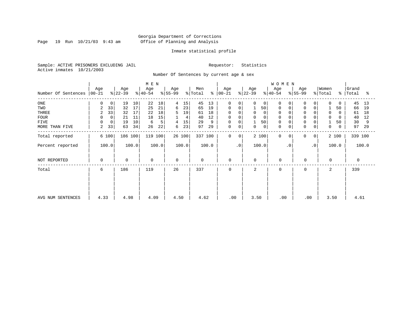Page 19 Run  $10/21/03$  9:43 am

# Inmate statistical profile

Sample: ACTIVE PRISONERS EXCLUDING JAIL Requestor: Statistics Active inmates 10/21/2003

Number Of Sentences by current age & sex

|                     | M E N           |             |                  |                 |                  |       |                  |        |                            |         |                  |           |                  |       | WOMEN            |             |                  |                |                  |             |                |       |
|---------------------|-----------------|-------------|------------------|-----------------|------------------|-------|------------------|--------|----------------------------|---------|------------------|-----------|------------------|-------|------------------|-------------|------------------|----------------|------------------|-------------|----------------|-------|
| Number Of Sentences | Age<br>$ 00-21$ |             | Age<br>$ 22-39 $ |                 | Age<br>$ 40-54 $ |       | Age<br>$ 55-99 $ |        | Men<br>$\frac{1}{2}$ Total | နွ      | Age<br>$ 00-21 $ |           | Age<br>$ 22-39 $ |       | Age<br>$ 40-54 $ |             | Age<br>$ 55-99 $ |                | Women<br>% Total | $\approx$ 1 | Grand<br>Total | ႜ     |
|                     |                 |             |                  |                 |                  |       |                  |        |                            |         |                  |           |                  |       |                  |             |                  |                |                  |             |                |       |
| $_{\rm ONE}$        | 0               | 0           | 19               | 10 <sup>°</sup> | 22               | 18    | 4                | 15     | 45                         | 13      | 0                | 0         | $\Omega$         | 0     | 0                |             | $\mathbf 0$      | 0              | 0                | 0           | 45             | 13    |
| TWO                 | 2               | 33          | 32               | 17              | 25               | 21    | 6                | 23     | 65                         | 19      | $\mathbf 0$      |           |                  | 50    | 0                | 0           | $\mathbf 0$      | 0              |                  | 50          | 66             | 19    |
| THREE               | 2               | 33          | 32               | 17              | 22               | 18    | 5                | 19     | 61                         | 18      | 0                |           | $\mathbf 0$      |       | $\Omega$         |             | $\Omega$         |                | $\Omega$         | 0           | 61             | 18    |
| <b>FOUR</b>         | 0               | $\mathbf 0$ | 21               | 11              | 18               | 15    |                  | 4      | 40                         | 12      | $\mathbf 0$      |           | $\Omega$         |       |                  |             |                  |                | $\Omega$         |             | 40             | 12    |
| FIVE                | $\Omega$        | 0           | 19               | 10              | 6                | 5     | 4                | 15     | 29                         | 9       | 0                |           |                  | 50    | $\mathbf 0$      |             | $\Omega$         |                |                  | 50          | 30             | 9     |
| MORE THAN FIVE      | 2               | 33          | 63               | 34              | 26               | 22    | 6                | 23     | 97                         | 29      | $\mathsf 0$      | 0         | $\mathbf 0$      | 0     | $\mathbf 0$      | $\mathbf 0$ | $\mathbf 0$      | 0              | 0                | 0           | 97             | 29    |
| Total reported      |                 | 6 100       | 186 100          |                 | 119 100          |       |                  | 26 100 |                            | 337 100 | $\Omega$         | $\Omega$  |                  | 2 100 | $\Omega$         | $\Omega$    | $\Omega$         | 0 <sup>1</sup> |                  | 2 100       | 339 100        |       |
| Percent reported    |                 | 100.0       |                  | 100.0           |                  | 100.0 |                  | 100.0  |                            | 100.0   |                  | $\cdot$ 0 |                  | 100.0 |                  | $\cdot$ 0   |                  | $\cdot$ 0      |                  | 100.0       |                | 100.0 |
| NOT REPORTED        | $\mathbf 0$     |             | 0                |                 | 0                |       | $\mathbf 0$      |        | 0                          |         | $\mathbf 0$      |           | $\mathbf 0$      |       | $\mathbf 0$      |             | $\mathbf 0$      |                | $\Omega$         |             | 0              |       |
| Total               | 6               |             | 186              |                 | 119              |       | 26               |        | 337                        |         | $\Omega$         |           | 2                |       | $\Omega$         |             | $\Omega$         |                | 2                |             | 339            |       |
|                     |                 |             |                  |                 |                  |       |                  |        |                            |         |                  |           |                  |       |                  |             |                  |                |                  |             |                |       |
|                     |                 |             |                  |                 |                  |       |                  |        |                            |         |                  |           |                  |       |                  |             |                  |                |                  |             |                |       |
|                     |                 |             |                  |                 |                  |       |                  |        |                            |         |                  |           |                  |       |                  |             |                  |                |                  |             |                |       |
| AVG NUM SENTENCES   | 4.33            |             | 4.98             |                 | 4.09             |       | 4.50             |        | 4.62                       |         |                  | .00       | 3.50             |       | .00              |             | .00              |                | 3.50             |             | 4.61           |       |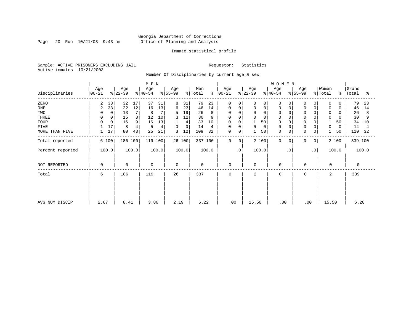Page 20 Run  $10/21/03$  9:43 am

# Inmate statistical profile

Sample: ACTIVE PRISONERS EXCLUDING JAIL Requestor: Statistics Active inmates 10/21/2003

Number Of Disciplinaries by current age & sex

|                  | M E N            |             |                  |       |                  |       |                 |             |                |       |                  |           |                  |          | WOMEN            |           |                 |           |                  |           |                |       |
|------------------|------------------|-------------|------------------|-------|------------------|-------|-----------------|-------------|----------------|-------|------------------|-----------|------------------|----------|------------------|-----------|-----------------|-----------|------------------|-----------|----------------|-------|
| Disciplinaries   | Age<br>$00 - 21$ |             | Age<br>$ 22-39 $ |       | Age<br>$ 40-54 $ |       | Age<br>$ 55-99$ |             | Men<br>% Total | န္    | Age<br>$ 00-21 $ |           | Age<br>$ 22-39 $ |          | Age<br>$ 40-54 $ |           | Age<br>$ 55-99$ |           | Women<br>% Total | $\approx$ | Grand<br>Total | °≈    |
| ZERO             | 2                | 33          | 32               | 17    | 37               | 31    | 8               | 31          | 79             | 23    | $\mathbf 0$      | 0         | $\Omega$         | $\Omega$ | $\Omega$         | $\Omega$  | $\Omega$        | $\Omega$  | $\mathbf 0$      |           | 79             | 23    |
| ONE              | 2                | 33          | 22               | 12    | 16               | 13    | 6               | 23          | 46             | 14    | 0                | 0         | 0                | 0        | 0                |           | $\Omega$        | 0         | 0                |           | 46             | 14    |
| TWO              |                  | 0           | 13               |       | 8                | 7     | 5               | 19          | 26             | 8     | $\Omega$         | $\Omega$  | $\Omega$         | $\Omega$ | $\mathbf 0$      |           |                 |           | $\Omega$         |           | 26             | 8     |
| THREE            | $\Omega$         |             | 15               | 8     | 12               | 10    |                 | 12          | 30             |       | 0                |           |                  | $\Omega$ | $\mathbf 0$      |           |                 |           | $\mathbf 0$      |           | 30             |       |
| <b>FOUR</b>      | $\Omega$         | $\mathbf 0$ | 16               |       | 16               | 13    |                 | 4           | 33             | 10    | 0                |           |                  | 50       | $\Omega$         |           |                 |           |                  | 50        | 34             | 10    |
| <b>FIVE</b>      |                  | 17          | 8                |       | 5                | 4     | 0               | $\mathbf 0$ | 14             | 4     | 0                | $\Omega$  | 0                | 0        | $\mathbf 0$      |           | $\Omega$        | 0         | $\Omega$         | $\Omega$  | 14             |       |
| MORE THAN FIVE   |                  | 17          | 80               | 43    | 25               | 21    | 3               | 12          | 109            | 32    | $\mathsf 0$      | 0         |                  | 50       | $\mathbf 0$      | 0         | $\mathbf 0$     | 0         |                  | 50        | 110            | 32    |
| Total reported   | 6 100            |             | 186 100          |       | 119 100          |       |                 | 26 100      | 337 100        |       | $\mathbf 0$      | 0         |                  | 2 100    | $\mathbf 0$      | 0         | 0               | 0         |                  | 2 100     | 339 100        |       |
| Percent reported | 100.0            |             |                  | 100.0 |                  | 100.0 |                 | 100.0       |                | 100.0 |                  | $\cdot$ 0 |                  | 100.0    |                  | $\cdot$ 0 |                 | $\cdot$ 0 |                  | 100.0     |                | 100.0 |
| NOT REPORTED     | $\Omega$         |             | $\mathbf 0$      |       | 0                |       | $\mathbf 0$     |             | $\mathbf 0$    |       | 0                |           | 0                |          | $\mathbf 0$      |           | $\mathbf 0$     |           | $\mathbf 0$      |           | $\Omega$       |       |
| Total            | 6                |             | 186              |       | 119              |       | 26              |             | 337            |       | 0                |           | 2                |          | $\mathbf 0$      |           | $\mathbf 0$     |           | 2                |           | 339            |       |
|                  |                  |             |                  |       |                  |       |                 |             |                |       |                  |           |                  |          |                  |           |                 |           |                  |           |                |       |
|                  |                  |             |                  |       |                  |       |                 |             |                |       |                  |           |                  |          |                  |           |                 |           |                  |           |                |       |
| AVG NUM DISCIP   | 2.67             |             | 8.41             |       | 3.86             |       | 2.19            |             | 6.22           |       | .00              |           | 15.50            |          | .00              |           | .00             |           | 15.50            |           | 6.28           |       |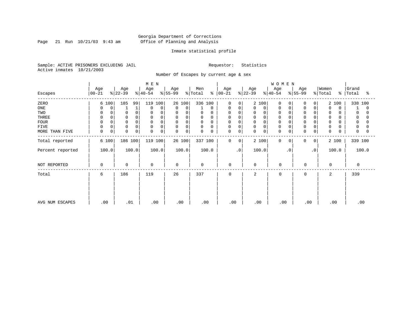Page 21 Run  $10/21/03$  9:43 am

# Inmate statistical profile

Sample: ACTIVE PRISONERS EXCLUDING JAIL Requestor: Statistics Active inmates 10/21/2003

Number Of Escapes by current age & sex

|                  |                  |                 | M E N            |                   |                      |                             |                  | WOMEN                |                  |                                     |                     |
|------------------|------------------|-----------------|------------------|-------------------|----------------------|-----------------------------|------------------|----------------------|------------------|-------------------------------------|---------------------|
| Escapes          | Age<br>$00 - 21$ | Age<br>$ 22-39$ | Age<br>$ 40-54 $ | Age<br>$ 55-99 $  | Men<br>% Total<br>%  | Age<br>$ 00 - 21 $          | Age<br>$ 22-39 $ | Age<br>$ 40-54 $     | Age<br>$ 55-99 $ | Women<br>%   Total<br>$\frac{8}{6}$ | Grand<br>Total<br>ႜ |
| ZERO             | 6 100            | 185<br>99       | 119 100          | 26 100            | 336 100              | $\Omega$<br>$\Omega$        | 2 100            | $\Omega$<br>$\Omega$ | $\Omega$<br>0    | 2 100                               | 338 100             |
| ONE              | 0<br>0           |                 | 0<br>0           | $\mathbf 0$<br>0  | 0                    | 0<br>0                      | 0<br>0           | 0<br>0               | 0<br>0           | $\mathbf 0$<br>$\Omega$             | $\Omega$            |
| TWO              | 0                | 0               | $\Omega$         | 0<br>$\Omega$     | 0<br>0               | 0<br>0                      | 0<br>$\Omega$    | 0                    | 0                | 0                                   | 0                   |
| THREE            | $\mathbf 0$      | $\Omega$        | $\Omega$         | $\mathsf{O}$<br>0 | $\mathbf 0$<br>0     | 0<br>$\Omega$               | 0<br>0           | 0                    | $\mathbf 0$      | 0                                   | 0                   |
| <b>FOUR</b>      | $\Omega$         |                 | $\Omega$         | 0<br>$\Omega$     | $\Omega$<br>$\Omega$ | $\Omega$                    | 0                | $\Omega$             | $\Omega$         | $\Omega$                            |                     |
| FIVE             | 0<br>0           | 0               | $\Omega$<br>0    | 0<br>0            | 0<br>0               | 0<br>0                      | 0<br>$\Omega$    | 0                    | $\Omega$         | 0                                   | 0                   |
| MORE THAN FIVE   | $\mathsf 0$<br>0 | $\Omega$<br>0   | 0<br>0           | $\mathbf 0$<br>0  | $\mathbf 0$<br>0     | 0<br>0                      | 0<br>0           | $\mathbf 0$<br>0     | 0<br>0           | 0<br>U                              | 0                   |
| Total reported   | 6 100            | 186 100         | 119 100          | 26 100            | 337 100              | $\mathbf 0$<br>$\mathbf{0}$ | 2 100            | $\mathbf 0$<br>0     | 0<br>0           | 2 100                               | 339 100             |
| Percent reported | 100.0            | 100.0           | 100.0            | 100.0             | 100.0                | $\cdot$ 0                   | 100.0            | $\cdot$ 0            | $\cdot$ 0        | 100.0                               | 100.0               |
| NOT REPORTED     | 0                | $\mathbf 0$     | $\mathbf 0$      | $\mathbf 0$       | $\mathbf 0$          | 0                           | 0                | $\overline{0}$       | 0                | 0                                   | 0                   |
| Total            | 6                | 186             | 119              | 26                | 337                  | $\mathbf 0$                 | $\overline{a}$   | $\Omega$             | $\mathbf 0$      | 2                                   | 339                 |
| AVG NUM ESCAPES  | .00              | .01             | .00              | .00               | .00                  | .00                         | .00              | .00                  | .00              | .00                                 | .00                 |
|                  |                  |                 |                  |                   |                      |                             |                  |                      |                  |                                     |                     |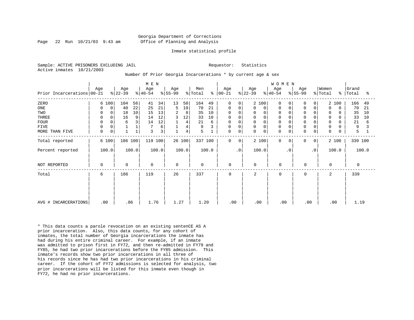# Georgia Department of Corrections Page 22 Run 10/21/03 9:43 am Office of Planning and Analysis

#### Inmate statistical profile

Sample: ACTIVE PRISONERS EXCLUDING JAIL **Requestor:** Statistics Active inmates 10/21/2003

Number Of Prior Georgia Incarcerations \* by current age & sex

|                            |                  |                  | M E N            |                  |                             |                      |                  | W O M E N                                 |                                 |                     |
|----------------------------|------------------|------------------|------------------|------------------|-----------------------------|----------------------|------------------|-------------------------------------------|---------------------------------|---------------------|
| Prior Incarcerations 00-21 | Age              | Age<br>$ 22-39 $ | Age<br>$ 40-54 $ | Age<br>$ 55-99 $ | Men<br>$\approx$<br>% Total | Age<br>$ 00 - 21 $   | Age<br>$ 22-39 $ | Age<br>Age<br>$ 40-54 $<br>$ 55-99 $      | Women<br>% Total<br>$\approx$ 1 | Grand<br>Total<br>ႜ |
| ZERO                       | 6 100            | 104<br>56        | 41<br>34         | 13<br>50         | 164<br>49                   | $\mathbf 0$<br>0     | 2 100            | $\Omega$<br>$\Omega$                      | 2 100<br>$\overline{0}$         | 166<br>49           |
| ONE                        | $\mathbf 0$<br>0 | 22<br>40         | 21<br>25         | 19<br>5          | 70<br>21                    | 0<br>0               | $\mathbf 0$<br>0 | $\mathbf 0$<br>0<br>0                     | 0<br>$\Omega$<br>0              | 70<br>21            |
| TWO                        | $\Omega$         | 18<br>10         | 13<br>15         | 2<br>8           | 35<br>10                    | $\mathbf 0$          | $\mathbf 0$      | $\Omega$<br>$\Omega$                      | $\Omega$<br>O                   | 35<br>10            |
| THREE                      | 0<br>0           | 9<br>16          | 12<br>14         | 3<br>12          | 33<br>10                    | $\mathbf 0$          | $\mathbf 0$      | $\mathbf 0$<br>$\Omega$                   | $\mathbf 0$<br>0<br>0           | 33<br>10            |
| <b>FOUR</b>                | $\Omega$         | 3<br>6           | 12<br>14         | 4                | 21<br>6                     | 0                    | $\mathbf 0$      | $\mathbf 0$<br>$\Omega$                   | 0<br>0                          | 21<br>6             |
| FIVE                       | 0<br>$\Omega$    |                  | 6                | $\,4$            | 9                           | 0                    | $\mathsf 0$      | $\mathbf 0$<br>$\Omega$                   | $\Omega$                        | 9                   |
| MORE THAN FIVE             | 0<br>0           | 1                | 3<br>3           | $\overline{4}$   | 5                           | 0<br>0               | $\mathbf 0$<br>0 | $\mathbf 0$<br>$\mathbf 0$<br>$\mathbf 0$ | 0<br>0<br>O                     | 5                   |
| Total reported             | 6 100            | 186 100          | 119 100          | 26 100           | 337 100                     | $\Omega$<br>$\Omega$ | 2 100            | $\Omega$<br>$\Omega$                      | 2 100<br>0<br>0 <sup>1</sup>    | 339 100             |
| Percent reported           | 100.0            | 100.0            | 100.0            | 100.0            | 100.0                       | $\cdot$ 0            | 100.0            | $\cdot$ 0                                 | .0'<br>100.0                    | 100.0               |
| NOT REPORTED               | $\Omega$         | $\Omega$         | $\mathbf 0$      | $\Omega$         | $\mathbf 0$                 | $\mathbf 0$          | $\mathbf 0$      | $\Omega$                                  | $\Omega$<br>$\Omega$            | $\Omega$            |
| Total                      | 6                | 186              | 119              | 26               | 337                         | 0                    | 2                | $\Omega$                                  | 0<br>2                          | 339                 |
|                            |                  |                  |                  |                  |                             |                      |                  |                                           |                                 |                     |
|                            |                  |                  |                  |                  |                             |                      |                  |                                           |                                 |                     |
| AVG # INCARCERATIONS       | .00              | .86              | 1.76             | 1.27             | 1.20                        | .00                  | .00              | .00                                       | .00<br>.00                      | 1.19                |

\* This data counts a parole revocation on an existing sentenCE AS A prior incarceration. Also, this data counts, for any cohort of inmates, the total number of Georgia incarcerations the inmate has had during his entire criminal career. For example, if an inmate was admitted to prison first in FY72, and then re-admitted in FY79 and FY85, he had two prior incarcerations before the FY85 admission. This inmate's records show two prior incarcerations in all three of his records since he has had two prior incarcerations in his criminal career. If the cohort of FY72 admissions is selected for analysis, two prior incarcerations will be listed for this inmate even though in FY72, he had no prior incarcerations.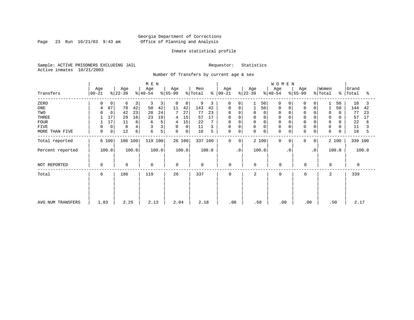Page 23 Run  $10/21/03$  9:43 am

# Inmate statistical profile

Sample: ACTIVE PRISONERS EXCLUDING JAIL Requestor: Statistics Active inmates 10/21/2003

Number Of Transfers by current age & sex

|                   |                    |                      | M E N            |                  |                |                         |                  | <b>WOMEN</b>            |                   |                  |                          |
|-------------------|--------------------|----------------------|------------------|------------------|----------------|-------------------------|------------------|-------------------------|-------------------|------------------|--------------------------|
| Transfers         | Age<br>$ 00 - 21 $ | Age<br>$ 22-39 $     | Age<br>$ 40-54 $ | Age<br>$ 55-99 $ | Men<br>% Total | Age<br>$8   00 - 21$    | Age<br>$ 22-39 $ | Age<br>$ 40-54 $        | Age<br>$ 55-99 $  | Women<br>% Total | Grand<br>%   Total<br>°≈ |
| ZERO              | <sup>0</sup>       | 0<br>6               | 3<br>3<br>3      | 0<br>0           | 9<br>3         | $\mathbf 0$<br>$\Omega$ | 50               | 0<br>0                  | 0<br><sup>0</sup> | 50               | 10<br>3                  |
| ONE               | 67<br>4            | 78                   | 42<br>50<br>42   | 11<br>42         | 143<br>42      | 0<br>0                  | 50               | 0                       | 0                 | 50               | 144<br>42                |
| TWO               |                    | 42<br>$\mathbf 0$    | 28<br>24<br>23   | 7<br>27          | 77<br>23       | $\Omega$<br>$\Omega$    | 0<br>0           | 0                       |                   | 0                | 77<br>23                 |
| THREE             | 17                 | 29                   | 16<br>19<br>23   | 15<br>4          | 17<br>57       | 0                       | 0                | 0                       | $\Omega$          | 0                | 57<br>17                 |
| <b>FOUR</b>       | 17                 | 11                   | 5<br>6<br>6      | 15<br>4          | 22             | 0<br>$\Omega$           | $\mathbf 0$<br>0 |                         |                   | 0                | 22<br>6                  |
| FIVE              |                    | 8<br>0               |                  | 0<br>0           | 11             | 0<br>$\Omega$           | 0<br>0           | 0                       | $\Omega$          | 0                | 11                       |
| MORE THAN FIVE    | 0                  | 0 <sup>1</sup><br>12 | 5<br>6<br>6      | 0<br>0           | 18<br>5        | $\mathbf 0$<br>0        | $\mathbf 0$<br>0 | $\mathbf 0$<br>0        | 0<br>0            | $\mathbf 0$      | 18<br>5                  |
| Total reported    | 6 100              | 186 100              | 119 100          | 26 100           | 337 100        | $\mathbf 0$<br>0        | 2 100            | $\mathbf 0$<br>$\Omega$ | 0<br>0            | 2 100            | 339 100                  |
| Percent reported  | 100.0              | 100.0                | 100.0            | 100.0            | 100.0          | $\cdot$ 0               | 100.0            | $\cdot$ 0               | $\cdot$ 0         | 100.0            | 100.0                    |
| NOT REPORTED      | $\Omega$           | $\mathbf 0$          | 0                | $\Omega$         | $\mathbf 0$    | $\mathbf 0$             | $\Omega$         | 0                       | $\mathbf 0$       | 0                | $\Omega$                 |
| Total             | 6                  | 186                  | 119              | 26               | 337            | $\mathbf 0$             | 2                | $\mathbf 0$             | $\mathbf 0$       | 2                | 339                      |
|                   |                    |                      |                  |                  |                |                         |                  |                         |                   |                  |                          |
|                   |                    |                      |                  |                  |                |                         |                  |                         |                   |                  |                          |
| AVG NUM TRANSFERS | 1.83               | 2.25                 | 2.13             | 2.04             | 2.18           | .00                     | .50              | $.00 \,$                | .00               | .50              | 2.17                     |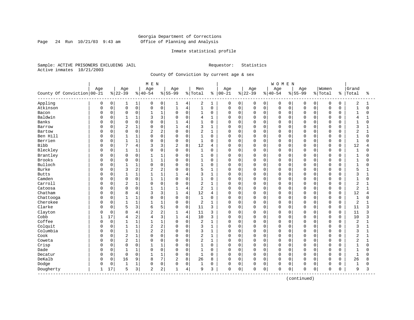Page 24 Run  $10/21/03$  9:43 am

# Inmate statistical profile

Sample: ACTIVE PRISONERS EXCLUDING JAIL Requestor: Statistics Active inmates 10/21/2003

County Of Conviction by current age & sex

|                              |     |              |                |                | M E N          |                |                |                |                |              |              |             |             |             | <b>WOMEN</b> |          |              |             |             |             |                |              |
|------------------------------|-----|--------------|----------------|----------------|----------------|----------------|----------------|----------------|----------------|--------------|--------------|-------------|-------------|-------------|--------------|----------|--------------|-------------|-------------|-------------|----------------|--------------|
|                              | Age |              | Age            |                | Age            |                | Age            |                | Men            |              | Age          |             | Age         |             | Age          |          | Age          |             | Women       |             | Grand          |              |
| County Of Conviction 00-21   |     |              | $8 22-39$      |                | $8140 - 54$    |                | $8155 - 99$    |                | % Total        | ႜ            | $ 00 - 21$   |             | $8 22-39$   |             | $8 40-54$    |          | $8 55-99$    |             | % Total     | ႜ           | Total          | ႜ            |
| Appling                      | 0   | 0            | 1              | 1              | 0              | 0              | 1              | 4              | 2              | 1            | 0            | 0           | 0           | 0           | 0            | 0        | 0            | 0           | 0           | 0           | 2              | 1            |
| Atkinson                     | 0   | 0            | $\mathsf 0$    | 0              | $\Omega$       | 0              | $\mathbf{1}$   | $\,4$          | $\mathbf{1}$   | $\mathbf 0$  | $\Omega$     | $\mathbf 0$ | $\mathsf 0$ | $\mathbf 0$ | $\mathbf 0$  | 0        | $\Omega$     | $\mathbf 0$ | $\mathbf 0$ | $\mathbf 0$ | $\mathbf{1}$   | $\Omega$     |
| Bacon                        | O   | 0            | $\mathbf 0$    | 0              | $\mathbf{1}$   | $1\,$          | $\Omega$       | $\mathbf 0$    | $\mathbf{1}$   | $\mathbf 0$  | 0            | $\mathbf 0$ | $\mathbf 0$ | $\mathbf 0$ | $\mathbf 0$  | 0        | $\Omega$     | $\Omega$    | $\mathbf 0$ | $\Omega$    | $\mathbf{1}$   | $\Omega$     |
| Baldwin                      | C   | 0            | 1              | 1              |                | 3              | $\Omega$       | $\mathbf 0$    | 4              | 1            | 0            | $\mathbf 0$ | 0           | 0           | $\Omega$     | 0        | $\cap$       | $\cap$      | $\mathbf 0$ | 0           | 4              |              |
| Banks                        |     | 0            | $\Omega$       | 0              | $\cap$         | $\Omega$       | $\mathbf{1}$   | 4              | $\mathbf{1}$   | $\Omega$     | <sup>0</sup> | $\Omega$    | 0           | $\Omega$    | $\Omega$     | $\Omega$ | $\cap$       | $\cap$      | $\Omega$    | $\Omega$    | $\mathbf{1}$   | U            |
| Barrow                       | C   | 0            | 2              | $\mathbf{1}$   | $\Omega$       | $\mathbf 0$    | 1              | $\overline{4}$ | 3              | $\mathbf{1}$ | 0            | $\Omega$    | 0           | $\Omega$    | $\Omega$     | $\Omega$ | $\Omega$     | $\Omega$    | $\mathbf 0$ | $\Omega$    | 3              |              |
| Bartow                       |     | 0            | $\mathbf 0$    | 0              | $\overline{2}$ | $\overline{c}$ | $\Omega$       | $\mathsf 0$    | 2              | $\mathbf{1}$ | $\Omega$     | $\mathbf 0$ | 0           | 0           | $\Omega$     | 0        | $\Omega$     | 0           | $\mathbf 0$ | 0           | $\overline{2}$ |              |
| Ben Hill                     |     | 0            | $\mathbf{1}$   | $\mathbf 1$    | $\Omega$       | $\mathbf 0$    | $\Omega$       | $\mathbf 0$    | $\mathbf{1}$   | $\mathbf 0$  | 0            | $\mathbf 0$ | 0           | $\mathbf 0$ | $\Omega$     | 0        | $\Omega$     | $\Omega$    | $\mathbf 0$ | $\Omega$    | $\mathbf{1}$   | $\Omega$     |
| Berrien                      | C   | 0            | $\mathbf{1}$   | 1              | $\Omega$       | 0              | $\Omega$       | $\mathbf 0$    | 1              | 0            | 0            | 0           | 0           | $\Omega$    | $\Omega$     | 0        | $\Omega$     | $\Omega$    | $\mathbf 0$ | 0           | $\mathbf{1}$   | 0            |
| Bibb                         | C   | 0            | 7              | 4              |                | 3              | $\overline{2}$ | 8              | 12             | 4            | $\Omega$     | $\mathbf 0$ | 0           | $\mathbf 0$ | 0            | 0        | $\Omega$     | $\Omega$    | $\mathbf 0$ | 0           | 12             | 4            |
| Bleckley                     | U   | 0            | $\mathbf{1}$   | 1              | $\Omega$       | $\mathbf 0$    | $\Omega$       | $\mathbf 0$    | $\mathbf{1}$   | 0            | 0            | $\mathbf 0$ | 0           | $\mathbf 0$ | $\mathbf 0$  | 0        | $\Omega$     | $\Omega$    | $\mathbf 0$ | 0           | 1              | 0            |
| Brantley                     | O   | 0            | $\mathbf 0$    | 0              | 1              | $\mathbf{1}$   | $\Omega$       | 0              | 1              | $\Omega$     | $\Omega$     | $\Omega$    | 0           | $\Omega$    | $\mathbf 0$  | $\Omega$ | $\Omega$     | $\Omega$    | $\mathbf 0$ | $\Omega$    | $\mathbf{1}$   | 0            |
| Brooks                       |     | 0            | $\mathbf 0$    | 0              |                | $1\,$          | $\Omega$       | $\mathbf 0$    | 1              | $\mathbf 0$  | 0            | $\mathbf 0$ | 0           | $\mathbf 0$ | $\Omega$     | 0        | $\Omega$     | $\Omega$    | $\mathbf 0$ | 0           | 1              | O            |
| Bulloch                      |     | 0            | $\mathbf{1}$   | $\mathbf 1$    | $\Omega$       | $\mathbf 0$    | $\Omega$       | $\mathbf 0$    | $\mathbf{1}$   | $\mathbf 0$  | $\Omega$     | $\Omega$    | 0           | $\mathbf 0$ | $\Omega$     | 0        | $\Omega$     | $\Omega$    | $\mathbf 0$ | $\Omega$    | $\mathbf{1}$   | U            |
| Burke                        | C   | 0            | 3              | 2              | $\overline{c}$ | $\overline{c}$ | $\Omega$       | $\mathbf 0$    | 5              | $\mathbf{1}$ | 0            | $\mathbf 0$ | $\mathbf 0$ | $\mathbf 0$ | $\Omega$     | 0        | $\Omega$     | $\Omega$    | $\mathbf 0$ | 0           | 5              |              |
| <b>Butts</b>                 | ſ   | 0            | $\mathbf{1}$   | 1              |                | $\mathbf{1}$   |                | $\overline{4}$ | 3              | $\mathbf{1}$ | 0            | $\mathbf 0$ | 0           | $\Omega$    | $\Omega$     | 0        | $\Omega$     | $\Omega$    | $\mathbf 0$ | $\Omega$    | 3              |              |
| Camden                       |     | $\Omega$     | $\mathbf 0$    | 0              | 1              | $\mathbf{1}$   | $\Omega$       | $\mathbf 0$    | 1              | $\Omega$     | 0            | $\Omega$    | 0           | $\Omega$    | $\mathbf 0$  | $\Omega$ | $\Omega$     | $\cap$      | $\Omega$    | $\Omega$    | $\mathbf{1}$   | U            |
| Carroll                      | C   | 0            | 2              | $\mathbf 1$    | $\Omega$       | $\mathbf 0$    | $\mathbf 0$    | $\mathbf 0$    | 2              | $\mathbf{1}$ | 0            | $\Omega$    | 0           | $\mathbf 0$ | $\Omega$     | 0        | $\Omega$     | $\Omega$    | $\mathbf 0$ | 0           | 2              |              |
| Catoosa                      | C   | 0            | $\Omega$       | 0              | $\mathbf{1}$   | $1\,$          | $\mathbf{1}$   | 4              | $\overline{2}$ | $\mathbf{1}$ | $\Omega$     | $\mathbf 0$ | 0           | $\mathbf 0$ | 0            | 0        | $\Omega$     | $\Omega$    | $\mathbf 0$ | $\mathbf 0$ | $\overline{2}$ |              |
| Chatham                      |     | 0            | 8              | 4              | ζ              | 3              | $\mathbf{1}$   | 4              | 12             | 4            | 0            | $\mathbf 0$ | $\mathbf 0$ | $\mathbf 0$ | 0            | 0        | $\Omega$     | $\Omega$    | $\mathbf 0$ | 0           | 12             | 4            |
| Chattooga                    | C   | 0            | 1              | 1              | $\Omega$       | $\mathbf 0$    | 0              | $\mathbf 0$    | $\mathbf{1}$   | 0            | 0            | 0           | 0           | $\Omega$    | $\Omega$     | 0        | $\Omega$     | $\Omega$    | $\mathbf 0$ | 0           | 1              | 0            |
| Cherokee                     | C   | 0            | $\overline{1}$ | $\mathbf 1$    |                | $\mathbf{1}$   | $\Omega$       | $\mathbf 0$    | $\overline{2}$ | $\mathbf{1}$ | $\Omega$     | $\mathbf 0$ | 0           | $\mathbf 0$ | $\mathbf 0$  | 0        | $\Omega$     | $\Omega$    | $\mathbf 0$ | $\mathbf 0$ | 2              |              |
| Clarke                       | U   | 0            | 5              | 3              | 6              | 5              | $\Omega$       | $\mathbf 0$    | 11             | 3            | 0            | $\Omega$    | 0           | $\Omega$    | 0            | $\Omega$ | $\Omega$     | $\Omega$    | $\Omega$    | $\Omega$    | 11             | 3            |
| Clayton                      | O   | 0            | 8              | 4              | $\overline{2}$ | $\overline{c}$ |                | 4              | 11             | 3            | 0            | $\mathbf 0$ | 0           | $\mathbf 0$ | 0            | $\Omega$ | <sup>0</sup> | $\Omega$    | $\mathbf 0$ | 0           | 11             | 3            |
| Cobb                         |     | 17           | 4              | $\overline{c}$ | 4              | 3              | $\mathbf{1}$   | $\overline{4}$ | 10             | 3            | 0            | $\mathbf 0$ | 0           | 0           | $\mathbf 0$  | 0        | $\Omega$     | $\mathbf 0$ | $\mathbf 0$ | $\mathbf 0$ | 10             | 3            |
| Coffee                       |     | $\mathsf{O}$ | $\mathbf{1}$   | $\mathbf 1$    | $\mathbf{1}$   | $1\,$          | $\Omega$       | $\mathsf 0$    | $\overline{2}$ | 1            | 0            | $\mathbf 0$ | 0           | 0           | $\Omega$     | 0        | $\Omega$     | $\Omega$    | $\mathbf 0$ | 0           | $\overline{2}$ | $\mathbf{1}$ |
| Colquit                      | C   | 0            | $\mathbf{1}$   | 1              | $\overline{2}$ | $\overline{2}$ | $\Omega$       | $\mathbf 0$    | 3              | $\mathbf{1}$ | 0            | 0           | 0           | 0           | $\Omega$     | 0        | $\Omega$     | $\cap$      | $\mathbf 0$ | 0           | 3              | 1            |
| Columbia                     | C   | 0            | $\overline{1}$ | $\mathbf 1$    | $\overline{2}$ | 2              | $\Omega$       | $\mathbf 0$    | 3              | $\mathbf{1}$ | 0            | $\Omega$    | 0           | $\Omega$    | $\mathbf 0$  | 0        | $\Omega$     | $\Omega$    | $\mathbf 0$ | $\Omega$    | 3              |              |
| Cook                         | U   | 0            | $\overline{2}$ | $\mathbf{1}$   | $\Omega$       | $\mathbf 0$    | $\Omega$       | $\Omega$       | 2              | 1            | 0            | $\mathbf 0$ | 0           | $\Omega$    | $\mathbf 0$  | $\Omega$ | $\Omega$     | $\Omega$    | $\mathbf 0$ | $\Omega$    | $\overline{2}$ | $\mathbf{1}$ |
| Coweta                       | 0   | 0            | $\overline{2}$ | $\mathbf{1}$   | $\Omega$       | $\mathbf 0$    | $\Omega$       | $\mathbf 0$    | 2              | 1            | 0            | $\mathbf 0$ | 0           | $\mathbf 0$ | 0            | 0        | $\Omega$     | $\Omega$    | $\mathbf 0$ | 0           | $\overline{2}$ | 1            |
| Crisp                        |     | 0            | $\mathbf 0$    | 0              |                | 1              | $\Omega$       | $\mathbf 0$    | $\mathbf{1}$   | $\mathbf 0$  | 0            | $\mathbf 0$ | 0           | $\mathbf 0$ | 0            | 0        | $\Omega$     | $\Omega$    | $\mathbf 0$ | 0           | $\mathbf{1}$   | 0            |
| Dade                         | C   | 0            | $\mathbf{1}$   | $\mathbf 1$    | $\Omega$       | 0              | $\Omega$       | $\mathbf 0$    | $\mathbf{1}$   | $\Omega$     | 0            | $\mathbf 0$ | $\mathbf 0$ | $\Omega$    | $\mathbf 0$  | 0        | $\Omega$     | $\Omega$    | $\mathbf 0$ | $\Omega$    | $\mathbf{1}$   | 0            |
| Decatur                      | C   | 0            | $\Omega$       | 0              |                | 1              | $\Omega$       | $\mathbf 0$    | 1              | $\Omega$     | $\Omega$     | $\mathbf 0$ | 0           | $\Omega$    | $\mathbf 0$  | 0        | $\Omega$     | $\Omega$    | $\Omega$    | $\Omega$    | $\mathbf{1}$   | $\Omega$     |
| DeKalb                       | 0   | $\mathbf 0$  | 16             | 9              | 8              | 7              | 2              | 8              | 26             | 8            | 0            | $\Omega$    | 0           | $\Omega$    | $\Omega$     | 0        | $\Omega$     | $\Omega$    | $\Omega$    | $\Omega$    | 26             | 8            |
| Dodge                        | 0   | 0            | $\mathbf{1}$   | 1              | $\Omega$       | 0              | $\mathbf 0$    | $\mathbf 0$    | 1              | 0            | 0            | $\mathbf 0$ | 0           | 0           | $\Omega$     | 0        | $\Omega$     | 0           | $\mathbf 0$ | $\Omega$    | -1             | 0            |
| Dougherty<br>--------------- | 1   | 17           | 5              | 3              | 2              | 2              |                | $\overline{4}$ | 9              | 3            | 0            | 0           | 0           | 0           | $\mathbf 0$  | 0        | 0            | 0           | $\mathbf 0$ | 0           | 9              | 3            |

(continued)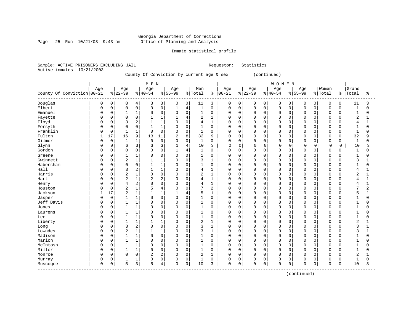Page 25 Run  $10/21/03$  9:43 am

# Inmate statistical profile

Sample: ACTIVE PRISONERS EXCLUDING JAIL Requestor: Statistics Active inmates 10/21/2003

# County Of Conviction by current age & sex (continued)

|                                    |              |          |                |                | M E N          |                |              |                |                |                |              |             |             |             | WOMEN       |          |           |             |             |          |                |                |
|------------------------------------|--------------|----------|----------------|----------------|----------------|----------------|--------------|----------------|----------------|----------------|--------------|-------------|-------------|-------------|-------------|----------|-----------|-------------|-------------|----------|----------------|----------------|
|                                    | Age          |          | Age            |                | Age            |                | Age          |                | Men            |                | Age          |             | Age         |             | Age         |          | Age       |             | Women       |          | Grand          |                |
| County Of Conviction 00-21         |              |          | $ 22-39$       |                | $ 40-54$       |                | $8155 - 99$  |                | % Total        | ᡷ              | $ 00 - 21$   |             | $8 22-39$   |             | $8 40-54$   |          | $8 55-99$ |             | % Total     | နွ       | Total          | ႜ              |
| Douglas                            | 0            | 0        | 8              | 4              | 3              | 3              | 0            | 0              | 11             | 3              | 0            | 0           | 0           | 0           | 0           | 0        | 0         | 0           | 0           | 0        | 11             | 3              |
| Elbert                             | $\Omega$     | 0        | $\Omega$       | $\mathsf 0$    | $\Omega$       | $\mathsf 0$    | $\mathbf{1}$ | $\overline{4}$ | $\mathbf{1}$   | $\mathbf 0$    | 0            | $\mathbf 0$ | $\mathbf 0$ | $\mathbf 0$ | $\mathbf 0$ | 0        | $\Omega$  | $\Omega$    | $\mathbf 0$ | $\Omega$ | $\mathbf{1}$   | $\Omega$       |
| Emanuel                            | <sup>0</sup> | $\Omega$ | $\mathbf{1}$   | 1              | $\mathbf 0$    | $\Omega$       | $\Omega$     | $\mathbf 0$    | $\mathbf 1$    | $\Omega$       | $\Omega$     | $\mathbf 0$ | 0           | $\Omega$    | $\mathbf 0$ | $\Omega$ | $\Omega$  | $\Omega$    | $\Omega$    | $\Omega$ | $\mathbf{1}$   | $\Omega$       |
| Fayette                            | 0            | $\Omega$ | $\Omega$       | $\mathbf 0$    |                | $\mathbf{1}$   |              | $\overline{4}$ | 2              | $\mathbf{1}$   | 0            | $\mathbf 0$ | 0           | $\Omega$    | $\Omega$    | $\Omega$ | $\Omega$  | $\Omega$    | $\mathbf 0$ | $\Omega$ | $\overline{2}$ | 1              |
| Floyd                              |              | 0        | 3              | $\sqrt{2}$     |                | $\mathbf{1}$   | $\Omega$     | $\mathbf 0$    | 4              | $\mathbf{1}$   | 0            | $\mathbf 0$ | 0           | $\mathbf 0$ | $\Omega$    | 0        | $\Omega$  | $\mathbf 0$ | $\Omega$    | $\Omega$ | $\overline{4}$ |                |
| Forsyth                            | O            | 0        | $\Omega$       | $\mathbf 0$    |                | 1              | $\mathbf 0$  | $\Omega$       | $\mathbf{1}$   | $\Omega$       | $\Omega$     | $\Omega$    | 0           | $\Omega$    | $\Omega$    | 0        | $\Omega$  | $\Omega$    | $\Omega$    | $\Omega$ | $\mathbf{1}$   | $\Omega$       |
| Franklin                           | <sup>0</sup> | 0        | 1              | $\mathbf{1}$   | $\Omega$       | $\Omega$       | $\Omega$     | $\Omega$       | 1              | $\Omega$       | 0            | 0           | 0           | $\Omega$    | $\mathbf 0$ | 0        | $\Omega$  | $\Omega$    | $\Omega$    | $\Omega$ | $\mathbf{1}$   | $\Omega$       |
| Fulton                             | 1            | 17       | 16             | 9              | 13             | 11             | 2            | 8              | 32             | 9              | 0            | $\mathbf 0$ | 0           | 0           | $\mathbf 0$ | 0        | $\Omega$  | O           | $\Omega$    | $\Omega$ | 32             | 9              |
| Gilmer                             | U            | $\Omega$ | $\mathbf{1}$   | $\mathbf{1}$   | $\Omega$       | $\Omega$       | $\Omega$     | $\Omega$       | $\mathbf{1}$   | $\Omega$       | $\Omega$     | $\Omega$    | 0           | $\Omega$    | $\Omega$    | $\Omega$ | $\Omega$  | $\cap$      | $\Omega$    | $\Omega$ | $\mathbf{1}$   | $\Omega$       |
| Glynn                              | O            | $\Omega$ | 6              | $\overline{3}$ | 3              | 3              | $\mathbf{1}$ | $\overline{4}$ | 10             | 3              | $\Omega$     | $\Omega$    | $\Omega$    | $\Omega$    | $\mathbf 0$ | $\Omega$ | $\Omega$  | $\Omega$    | $\Omega$    | $\Omega$ | 10             | 3              |
| Gordon                             | U            | $\Omega$ | $\Omega$       | $\mathbf 0$    | $\Omega$       | $\mathbf 0$    | 1            | $\overline{4}$ | $\mathbf{1}$   | $\Omega$       | 0            | $\mathbf 0$ | 0           | $\mathbf 0$ | $\Omega$    | 0        | $\Omega$  | $\Omega$    | $\Omega$    | $\Omega$ | $\mathbf{1}$   | O              |
| Greene                             | 0            | $\Omega$ |                | 1              | 0              | $\Omega$       | $\Omega$     | $\mathbf 0$    | 1              | $\Omega$       | 0            | 0           | 0           | $\Omega$    | $\Omega$    | $\Omega$ | $\Omega$  | $\Omega$    | $\Omega$    | O        | 1              | O              |
| Gwinnett                           | 0            | 0        | $\overline{2}$ | $\mathbf 1$    |                | $\mathbf{1}$   | $\Omega$     | $\mathsf 0$    | 3              | $\mathbf{1}$   | 0            | $\mathbf 0$ | 0           | $\mathbf 0$ | $\Omega$    | 0        | $\Omega$  | 0           | $\Omega$    | $\Omega$ | 3              |                |
| Habersham                          | <sup>0</sup> | 0        | $\Omega$       | $\mathbf 0$    |                | 1              | $\Omega$     | $\mathbf 0$    | $\mathbf{1}$   | $\Omega$       | $\Omega$     | $\Omega$    | $\mathbf 0$ | $\Omega$    | $\Omega$    | 0        | $\Omega$  | $\Omega$    | $\Omega$    | $\Omega$ | $\mathbf{1}$   | $\Omega$       |
| Hall                               | <sup>0</sup> | $\Omega$ | 3              | $\overline{2}$ |                | $\mathbf{1}$   | $\Omega$     | $\mathbf 0$    | 4              | $\mathbf{1}$   | 0            | 0           | 0           | $\Omega$    | $\Omega$    | $\Omega$ | $\Omega$  | $\Omega$    | $\Omega$    | $\Omega$ | 4              |                |
| Harris                             | O            | 0        | $\overline{2}$ | $1\,$          | $\Omega$       | $\mathbf 0$    | $\Omega$     | $\mathbf 0$    | 2              | $\mathbf{1}$   | 0            | $\mathbf 0$ | 0           | $\mathbf 0$ | $\mathbf 0$ | 0        | $\Omega$  | O           | $\Omega$    | $\Omega$ | $\overline{2}$ |                |
| Hart                               | U            | $\Omega$ | $\overline{2}$ | $\mathbf 1$    | $\overline{c}$ | 2              | $\Omega$     | $\Omega$       | 4              | $\mathbf{1}$   | $\Omega$     | $\Omega$    | 0           | $\Omega$    | $\Omega$    | $\Omega$ | $\Omega$  | $\cap$      | $\Omega$    | $\cap$   | $\overline{4}$ | $\mathbf{1}$   |
| Henry                              |              | $\Omega$ | $\overline{4}$ | $\overline{2}$ | $\Omega$       | $\Omega$       | $\Omega$     | $\Omega$       | 4              | $\mathbf{1}$   | 0            | $\Omega$    | 0           | $\Omega$    | $\Omega$    | $\Omega$ | $\Omega$  | $\Omega$    | $\Omega$    | $\Omega$ | 4              |                |
| Houston                            | 0            | 0        | 2              | $\mathbf 1$    | 5              | $\overline{4}$ | $\Omega$     | $\mathbf 0$    | 7              | $\overline{2}$ | 0            | $\mathbf 0$ | 0           | $\mathbf 0$ | $\mathbf 0$ | 0        | $\Omega$  | 0           | $\Omega$    | $\Omega$ | 7              | $\overline{2}$ |
| Jackson                            | $\mathbf{1}$ | 17       | $\overline{2}$ | $\mathbf 1$    |                | $\mathbf{1}$   | $\mathbf{1}$ | $\overline{4}$ | 5              | $\mathbf{1}$   | 0            | $\mathbf 0$ | 0           | $\mathbf 0$ | $\Omega$    | 0        | $\Omega$  | $\mathbf 0$ | $\Omega$    | $\Omega$ | 5              | $\mathbf{1}$   |
| Jasper                             | <sup>0</sup> | 0        | 1              | $1\,$          | $\Omega$       | $\mathbf 0$    | $\Omega$     | $\Omega$       | 1              | $\Omega$       | <sup>0</sup> | $\Omega$    | 0           | $\Omega$    | $\Omega$    | 0        | $\Omega$  | O           | $\Omega$    | $\Omega$ | 1              | $\Omega$       |
| Jeff Davis                         | 0            | 0        |                | $\mathbf{1}$   | $\Omega$       | $\mathbf 0$    | 0            | $\mathbf 0$    | 1              | 0              | 0            | 0           | 0           | 0           | $\mathbf 0$ | 0        | $\Omega$  | $\Omega$    | 0           | $\Omega$ | $\mathbf{1}$   | O              |
| Jones                              | <sup>0</sup> | 0        | $\mathbf{1}$   | $1\,$          | $\Omega$       | $\mathsf 0$    | $\Omega$     | $\mathbf 0$    | 1              | $\mathbf 0$    | 0            | $\mathbf 0$ | 0           | $\Omega$    | $\mathbf 0$ | 0        | $\Omega$  | 0           | $\Omega$    | $\Omega$ | $\mathbf{1}$   |                |
| Laurens                            | O            | 0        |                | $1\,$          | $\Omega$       | $\mathbf 0$    | $\Omega$     | $\mathbf 0$    | 1              | 0              | 0            | 0           | 0           | 0           | $\mathbf 0$ | 0        | $\Omega$  | O           | $\Omega$    | O        | 1              |                |
| Lee                                | U            | $\Omega$ | $\mathbf{1}$   | $\mathbf 1$    | $\cap$         | $\Omega$       | $\Omega$     | $\Omega$       | $\mathbf{1}$   | $\Omega$       | $\Omega$     | $\Omega$    | 0           | $\Omega$    | $\Omega$    | $\Omega$ | $\Omega$  | $\Omega$    | $\Omega$    | $\cap$   | $\mathbf{1}$   | $\cap$         |
| Liberty                            | 0            | $\Omega$ | $\mathbf{1}$   | $\mathbf{1}$   |                | $\mathbf{1}$   | $\Omega$     | $\Omega$       | 2              | $\mathbf{1}$   | 0            | $\Omega$    | 0           | $\Omega$    | $\Omega$    | $\Omega$ | $\Omega$  | $\Omega$    | $\Omega$    | $\Omega$ | $\overline{c}$ |                |
| Long                               | 0            | $\Omega$ | 3              | $\overline{2}$ | $\Omega$       | $\mathbf 0$    | $\Omega$     | $\mathbf 0$    | 3              | $\mathbf{1}$   | 0            | $\mathbf 0$ | 0           | $\mathbf 0$ | 0           | 0        | $\Omega$  | 0           | $\mathbf 0$ | $\Omega$ | 3              |                |
| Lowndes                            | 0            | 0        | $\overline{2}$ | $\mathbf 1$    |                | $\mathbf{1}$   | $\Omega$     | $\mathbf 0$    | 3              | $\mathbf{1}$   | $\Omega$     | $\mathbf 0$ | 0           | $\mathbf 0$ | $\Omega$    | 0        | $\Omega$  | $\mathbf 0$ | $\Omega$    | $\Omega$ | 3              |                |
| Madison                            | <sup>0</sup> | $\Omega$ | 1              | $1\,$          | $\Omega$       | $\mathbf 0$    | $\Omega$     | $\Omega$       | 1              | $\Omega$       | 0            | $\mathbf 0$ | 0           | $\Omega$    | $\Omega$    | 0        | $\Omega$  | O           | $\Omega$    | $\Omega$ | 1              | $\Omega$       |
| Marion                             | <sup>0</sup> | 0        |                | $\mathbf{1}$   | $\Omega$       | $\mathbf 0$    | 0            | $\mathbf 0$    | 1              | 0              | 0            | 0           | 0           | 0           | $\mathbf 0$ | 0        | $\Omega$  | $\Omega$    | 0           | $\Omega$ | $\mathbf{1}$   | O              |
| McIntosh                           | <sup>0</sup> | 0        | 1              | $1\,$          | $\Omega$       | $\mathbf 0$    | $\Omega$     | $\mathbf 0$    | 1              | $\mathbf 0$    | 0            | $\mathbf 0$ | 0           | $\mathbf 0$ | $\mathbf 0$ | 0        | $\Omega$  | O           | $\Omega$    | $\Omega$ | $\mathbf{1}$   |                |
| Miller                             | <sup>0</sup> | $\Omega$ | $\mathbf{1}$   | $1\,$          | $\Omega$       | $\Omega$       | $\Omega$     | $\mathbf 0$    | $\mathbf 1$    | $\Omega$       | $\Omega$     | $\Omega$    | 0           | $\Omega$    | $\Omega$    | $\Omega$ | $\Omega$  | $\Omega$    | $\Omega$    | $\Omega$ | $\mathbf{1}$   | U              |
| Monroe                             | 0            | $\Omega$ | $\Omega$       | $\mathbf 0$    | $\overline{c}$ | $\overline{2}$ | $\Omega$     | $\Omega$       | $\overline{2}$ | $\mathbf{1}$   | $\Omega$     | $\Omega$    | 0           | $\Omega$    | $\Omega$    | $\Omega$ | $\Omega$  | $\Omega$    | $\Omega$    | $\Omega$ | $\overline{2}$ |                |
| Murray                             | 0            | 0        |                | $\mathbf 1$    |                | $\mathsf 0$    | $\Omega$     | $\mathsf 0$    | 1              | 0              | 0            | 0           | 0           | $\Omega$    | 0           | 0        | $\Omega$  | 0           | $\mathbf 0$ | 0        | 1              | O              |
| Muscogee<br>---------------------- | $\Omega$     | 0        | 5              | 3              | 5              | 4              | $\Omega$     | 0              | 10             | 3              | 0            | 0           | 0           | 0           | $\mathbf 0$ | 0        | $\Omega$  | 0           | $\Omega$    | 0        | 10             | 3              |

(continued)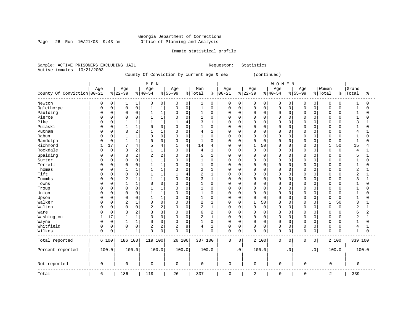Page 26 Run  $10/21/03$  9:43 am

# Inmate statistical profile

Sample: ACTIVE PRISONERS EXCLUDING JAIL Requestor: Statistics Active inmates 10/21/2003

County Of Conviction by current age & sex (continued)

|                            |              |             |                |                | M E N          |                |             |                |              |                |             |             |              |             | WOMEN       |             |             |             |             |               |                |                |
|----------------------------|--------------|-------------|----------------|----------------|----------------|----------------|-------------|----------------|--------------|----------------|-------------|-------------|--------------|-------------|-------------|-------------|-------------|-------------|-------------|---------------|----------------|----------------|
|                            | Age          |             | Age            |                | Age            |                | Age         |                | Men          |                | Age         |             | Age          |             | Age         |             | Age         |             | Women       |               | Grand          |                |
| County Of Conviction 00-21 |              |             | $ 22-39$       |                | $ 40-54$       |                | $8155 - 99$ |                | % Total      | နွ             | $ 00-21$    |             | $ 22-39$     |             | $ 40-54$    |             | $8155 - 99$ |             | % Total     | $\frac{8}{6}$ | Total          | ి              |
| Newton                     | 0            | 0           | 1              | 1              | 0              | 0              | 0           | 0              | 1            | 0              | 0           | 0           | 0            | 0           | 0           | 0           | 0           | 0           | 0           | 0             | 1              | 0              |
| Oglethorpe                 | $\Omega$     | $\mathbf 0$ | $\mathbf 0$    | $\mathbf 0$    | $\mathbf 1$    | $\mathbf{1}$   | 0           | $\mathsf{O}$   | $\mathbf{1}$ | $\mathbf 0$    | $\mathbf 0$ | 0           | $\mathbf 0$  | $\mathbf 0$ | $\mathbf 0$ | $\mathbf 0$ | $\mathbf 0$ | $\mathbf 0$ | $\mathbf 0$ | 0             | $\mathbf{1}$   | 0              |
| Paulding                   | 0            | $\mathsf 0$ | $\Omega$       | $\mathsf 0$    | $\mathbf 1$    | $1\,$          | 0           | $\mathsf 0$    | 1            | 0              | $\mathbf 0$ | $\mathbf 0$ | $\Omega$     | $\mathbf 0$ | $\Omega$    | $\mathbf 0$ | $\Omega$    | $\Omega$    | $\mathbf 0$ | 0             | $\mathbf{1}$   | $\Omega$       |
| Pierce                     |              | $\mathbf 0$ | $\Omega$       | $\Omega$       | $\mathbf{1}$   | 1              | $\Omega$    | $\Omega$       | 1            | $\mathbf 0$    | $\Omega$    | $\mathbf 0$ | $\Omega$     | $\Omega$    | $\Omega$    | $\Omega$    | $\Omega$    | $\Omega$    | $\circ$     | $\Omega$      | $\mathbf{1}$   | $\Omega$       |
| Pike                       |              | $\mathbf 0$ |                | $\mathbf{1}$   |                | $\mathbf{1}$   |             | $\overline{4}$ | 3            | 1              | $\mathbf 0$ | 0           | $\Omega$     | $\Omega$    | $\Omega$    | $\Omega$    | $\Omega$    | $\Omega$    | $\mathbf 0$ | U             | 3              |                |
| Pulaski                    |              | $\mathbf 0$ | 1              | $\mathbf{1}$   | $\Omega$       | $\mathbf 0$    | 0           | $\mathbf 0$    | $\mathbf{1}$ | $\mathbf 0$    | $\mathbf 0$ | $\Omega$    | $\Omega$     | $\Omega$    | $\Omega$    | $\Omega$    | $\Omega$    | $\Omega$    | $\mathbf 0$ | U             | $\mathbf{1}$   | $\Omega$       |
| Putnam                     | $\Omega$     | $\mathbf 0$ | 3              | $\overline{2}$ | 1              | $\mathbf{1}$   | 0           | $\mathbf 0$    | 4            | 1              | 0           | 0           | $\Omega$     | $\Omega$    | $\Omega$    | 0           | $\Omega$    | $\Omega$    | 0           | $\Omega$      | 4              |                |
| Rabun                      |              | $\mathsf 0$ |                | $\mathbf{1}$   | 0              | $\mathbf 0$    | 0           | $\mathbf 0$    | 1            | $\mathbf 0$    | 0           | 0           | $\Omega$     | $\mathbf 0$ | $\Omega$    | 0           | $\Omega$    | $\mathbf 0$ | $\mathbf 0$ | 0             | $\mathbf{1}$   | 0              |
| Randolph                   |              | 0           | $\mathbf{1}$   | $\mathbf{1}$   | 0              | $\mathbf 0$    | 0           | $\mathsf 0$    | $\mathbf{1}$ | 0              | $\mathbf 0$ | 0           | $\Omega$     | $\mathbf 0$ | $\Omega$    | 0           | 0           | $\Omega$    | $\mathbf 0$ | $\Omega$      | $\mathbf{1}$   | $\Omega$       |
| Richmond                   |              | 17          | 7              | 4              | 5              | 4              | 1           | 4              | 14           | 4              | 0           | 0           | 1            | 50          | $\Omega$    | 0           | 0           | $\Omega$    | 1           | 50            | 15             | 4              |
| Rockdale                   | <sup>0</sup> | 0           | 3              | $\overline{c}$ | $\mathbf{1}$   | $\mathbf{1}$   | $\Omega$    | $\mathbf 0$    | 4            | 1              | $\mathbf 0$ | 0           | $\Omega$     | 0           | $\Omega$    | 0           | 0           | $\Omega$    | $\mathbf 0$ | $\Omega$      | 4              | $\mathbf{1}$   |
| Spalding                   |              | $\mathbf 0$ | 3              | $\overline{2}$ | $\overline{c}$ | $\overline{2}$ | 0           | $\mathbf 0$    | 5            | 1              | $\mathbf 0$ | 0           | $\Omega$     | $\Omega$    | $\Omega$    | 0           | 0           | $\Omega$    | 0           | 0             | 5              | 1              |
| Sumter                     | <sup>0</sup> | $\mathbf 0$ | $\mathbf 0$    | $\mathbf 0$    | $\mathbf{1}$   | $\mathbf{1}$   | 0           | $\mathbf 0$    | $\mathbf{1}$ | $\mathbf 0$    | 0           | 0           | $\Omega$     | $\Omega$    | $\mathbf 0$ | 0           | 0           | $\Omega$    | $\mathbf 0$ | $\Omega$      | $\mathbf{1}$   | 0              |
| Terrell                    |              | $\mathsf 0$ | $\Omega$       | $\mathsf 0$    | 1              | $\mathbf{1}$   | 0           | $\mathbf 0$    | 1            | $\mathbf 0$    | 0           | 0           | $\Omega$     | $\mathbf 0$ | $\Omega$    | 0           | $\Omega$    | $\Omega$    | $\mathbf 0$ | 0             | $\mathbf{1}$   | 0              |
| Thomas                     |              | 0           | 1              | $\mathbf{1}$   | 1              | $\mathbf{1}$   | 0           | $\mathbf 0$    | 2            | $\mathbf{1}$   | $\mathbf 0$ | 0           | $\Omega$     | 0           | $\Omega$    | $\Omega$    | 0           | $\Omega$    | $\mathbf 0$ | O             | $\overline{2}$ | 1              |
| Tift                       | <sup>0</sup> | 0           | 0              | $\mathsf 0$    |                | 1              |             | 4              | 2            | 1              | $\mathbf 0$ | 0           | $\Omega$     | $\Omega$    | $\mathbf 0$ | 0           | $\Omega$    | $\Omega$    | $\mathbf 0$ | U             | $\overline{2}$ | 1              |
| Toombs                     |              | $\mathbf 0$ | $\overline{2}$ | $\mathbf{1}$   |                | $\mathbf{1}$   | 0           | $\mathbf 0$    | 3            | $\mathbf{1}$   | $\mathbf 0$ | $\Omega$    | $\Omega$     | $\Omega$    | $\Omega$    | $\Omega$    | $\Omega$    | $\cap$      | $\mathbf 0$ | 0             | 3              | 1              |
| Towns                      | <sup>0</sup> | $\mathbf 0$ |                | 1              | $\mathbf 0$    | $\Omega$       | $\Omega$    | $\mathbf 0$    | $\mathbf{1}$ | $\mathbf 0$    | $\mathbf 0$ | $\Omega$    | $\Omega$     | $\Omega$    | $\Omega$    | $\Omega$    | $\Omega$    | $\Omega$    | $\mathbf 0$ | <sup>0</sup>  | -1             | $\Omega$       |
| Troup                      | O            | $\mathbf 0$ | $\Omega$       | $\mathbf 0$    | $\mathbf{1}$   | $\mathbf{1}$   | 0           | $\mathbf 0$    | 1            | $\Omega$       | $\mathbf 0$ | $\mathbf 0$ | $\Omega$     | $\Omega$    | $\Omega$    | $\Omega$    | $\Omega$    | $\Omega$    | $\mathbf 0$ | 0             | $\mathbf{1}$   | 0              |
| Union                      |              | $\mathbf 0$ | $\Omega$       | $\mathbf 0$    | $\mathbf{1}$   | $\mathbf{1}$   | 0           | $\mathbf 0$    | $\mathbf{1}$ | $\Omega$       | $\Omega$    | 0           | $\Omega$     | $\mathbf 0$ | $\Omega$    | $\mathbf 0$ | $\Omega$    | $\Omega$    | $\circ$     | 0             | $\mathbf{1}$   | $\Omega$       |
| Upson                      | $\Omega$     | $\mathbf 0$ | $\Omega$       | $\mathbf 0$    | $\mathbf{1}$   | $\mathbf{1}$   | 0           | $\mathbf 0$    | $\mathbf{1}$ | $\mathbf 0$    | $\mathbf 0$ | 0           | $\Omega$     | $\Omega$    | $\Omega$    | $\Omega$    | $\Omega$    | $\Omega$    | $\mathbf 0$ | 0             | $\mathbf{1}$   | $\Omega$       |
| Walker                     | $\Omega$     | $\mathbf 0$ | $\overline{2}$ | $\mathbf{1}$   | $\Omega$       | $\mathbf 0$    | $\Omega$    | $\mathbf 0$    | 2            | $\mathbf{1}$   | $\mathbf 0$ | $\mathbf 0$ | $\mathbf{1}$ | 50          | $\Omega$    | $\Omega$    | $\Omega$    | $\Omega$    | $\mathbf 1$ | 50            | 3              | 1              |
| Walton                     | $\Omega$     | $\mathbf 0$ | $\Omega$       | $\mathbf 0$    | $\overline{2}$ | $\overline{2}$ | 0           | $\mathbf 0$    | 2            | $\mathbf{1}$   | $\mathbf 0$ | $\mathbf 0$ | $\Omega$     | $\mathbf 0$ | $\Omega$    | $\mathbf 0$ | $\mathbf 0$ | $\Omega$    | $\mathbf 0$ | $\Omega$      | 2              | $\mathbf{1}$   |
| Ware                       | <sup>0</sup> | $\mathbf 0$ | ζ              | $\overline{2}$ | 3              | 3              | $\Omega$    | $\mathbf 0$    | 6            | $\overline{2}$ | $\mathbf 0$ | $\Omega$    | $\Omega$     | $\Omega$    | $\Omega$    | $\Omega$    | 0           | $\Omega$    | $\mathbf 0$ | 0             | 6              | $\overline{2}$ |
| Washington                 |              | 17          | 1              | $\mathbf{1}$   | $\Omega$       | $\mathbf 0$    | 0           | $\mathbf 0$    | 2            | $\mathbf{1}$   | $\Omega$    | $\mathbf 0$ | $\Omega$     | $\Omega$    | $\Omega$    | $\Omega$    | $\mathbf 0$ | $\Omega$    | $\Omega$    | 0             | $\overline{2}$ | $\mathbf{1}$   |
| Wayne                      | $\Omega$     | $\mathsf 0$ | $\mathbf{1}$   | $1\,$          | $\Omega$       | $\mathbf 0$    | $\Omega$    | $\Omega$       | $\mathbf{1}$ | $\mathbf 0$    | $\mathbf 0$ | $\mathbf 0$ | $\Omega$     | $\Omega$    | $\Omega$    | $\mathbf 0$ | $\mathbf 0$ | $\Omega$    | $\Omega$    | O             | $\mathbf{1}$   | $\Omega$       |
| Whitfield                  | $\Omega$     | $\mathbf 0$ | $\mathbf 0$    | $\mathbf 0$    | 2              | 2              | 2           | 8              | 4            | 1              | $\mathbf 0$ | 0           | $\mathbf 0$  | $\mathbf 0$ | $\mathbf 0$ | $\mathbf 0$ | $\mathbf 0$ | $\mathbf 0$ | $\mathbf 0$ | 0             | 4              | $\mathbf{1}$   |
| Wilkes                     | $\mathbf 0$  | 0           |                | 1              | $\Omega$       | 0              | 0           | $\mathbf 0$    | $\mathbf{1}$ | $\mathbf 0$    | $\mathbf 0$ | $\mathbf 0$ | $\mathbf 0$  | 0           | $\mathbf 0$ | 0           | $\mathbf 0$ | 0           | $\mathbf 0$ | 0             | $\mathbf{1}$   | 0              |
| Total reported             |              | 6 100       | 186 100        |                | 119 100        |                | 26 100      |                | 337 100      |                | 0           | 0           |              | 2 100       | $\mathbf 0$ | 0           | 0           | 0           |             | 2 100         | 339 100        |                |
| Percent reported           |              | 100.0       | 100.0          |                | 100.0          |                | 100.0       |                | 100.0        |                |             | $\cdot$ 0   |              | 100.0       |             | $\cdot$ 0   |             | $\cdot$ 0   |             | 100.0         |                | 100.0          |
| Not reported               | 0            |             | 0              |                | 0              |                | 0           |                | 0            |                | $\mathbf 0$ |             | 0            |             | $\mathbf 0$ |             | 0           |             | $\mathbf 0$ |               | 0              |                |
| Total                      | 6            |             | 186            |                | 119            |                | 26          |                | 337          |                | $\mathbf 0$ |             | 2            |             | $\Omega$    |             | 0           |             | 2           |               | 339            |                |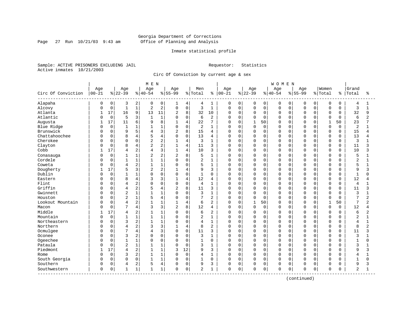Page 27 Run  $10/21/03$  9:43 am

# Inmate statistical profile

Sample: ACTIVE PRISONERS EXCLUDING JAIL Requestor: Statistics Active inmates 10/21/2003

Circ Of Conviction by current age & sex

|                    |           |             |                |                | M E N          |                |                |                |                |                |              |             |              |             | <b>WOMEN</b> |          |           |          |              |             |                |                |
|--------------------|-----------|-------------|----------------|----------------|----------------|----------------|----------------|----------------|----------------|----------------|--------------|-------------|--------------|-------------|--------------|----------|-----------|----------|--------------|-------------|----------------|----------------|
|                    | Age       |             | Age            |                | Age            |                | Age            |                | Men            |                | Age          |             | Age          |             | Age          |          | Age       |          | Women        |             | Grand          |                |
| Circ Of Conviction | $00 - 21$ |             | $ 22-39$       |                | $ 40-54$       |                | $8 55-99$      |                | % Total        | ႜ              | $00 - 21$    |             | $ 22-39$     |             | $ 40-54$     |          | $8 55-99$ | % Total  |              | နွ          | Total          | ႜ              |
| Alapaha            | 0         | 0           | 3              | 2              | 0              | 0              | 1              | 4              | 4              | 1              | 0            | 0           | 0            | 0           | 0            | 0        | 0         | 0        | $\mathbf 0$  | 0           | 4              | 1              |
| Alcovy             | O         | $\mathbf 0$ | $\mathbf{1}$   | $\mathbf 1$    | $\overline{2}$ | $\overline{c}$ | $\mathbf 0$    | $\mathsf 0$    | 3              | $\mathbf{1}$   | 0            | $\mathbf 0$ | 0            | $\mathbf 0$ | $\mathbf 0$  | 0        | $\Omega$  | $\Omega$ | $\mathbf 0$  | 0           | 3              | $\mathbf{1}$   |
| Atlanta            |           | 17          | 16             | 9              | 13             | 11             | $\overline{c}$ | 8              | 32             | 10             | 0            | $\mathbf 0$ | $\mathbf 0$  | 0           | $\Omega$     | 0        | $\Omega$  | $\Omega$ | $\mathbf 0$  | 0           | 32             | 9              |
| Atlantic           |           | $\mathbf 0$ | 5              | 3              | $\mathbf{1}$   | $\mathbf{1}$   | $\Omega$       | $\mathbf 0$    | 6              | $\overline{2}$ | <sup>0</sup> | $\mathbf 0$ | 0            | $\Omega$    | $\Omega$     | 0        | $\cap$    | $\cap$   | $\Omega$     | $\Omega$    | 6              | $\overline{a}$ |
| Augusta            |           | 17          | 11             | 6              | 9              | 8              | $\mathbf{1}$   | $\overline{4}$ | 22             | 7              | <sup>0</sup> | $\Omega$    | $\mathbf{1}$ | 50          | $\Omega$     | $\Omega$ | n         | U        | $\mathbf{1}$ | 50          | 23             | 7              |
| Blue Ridge         |           | $\mathbf 0$ | $\mathbf{1}$   | 1              |                | $1\,$          | $\mathbf 0$    | $\mathbf 0$    | $\overline{2}$ | $\mathbf{1}$   | 0            | $\mathbf 0$ | 0            | $\Omega$    | $\Omega$     | $\Omega$ | $\Omega$  | $\Omega$ | $\mathbf 0$  | $\mathbf 0$ | 2              |                |
| Brunswick          |           | 0           | 9              | 5              | 4              | 3              | 2              | 8              | 15             | 4              | 0            | 0           | 0            | $\mathbf 0$ | $\Omega$     | 0        | $\Omega$  | $\Omega$ | $\mathbf 0$  | $\mathbf 0$ | 15             | 4              |
| Chattahoochee      |           | 0           | 8              | 4              | 5              | 4              | $\Omega$       | $\mathbf 0$    | 13             | 4              | 0            | $\Omega$    | 0            | $\Omega$    | $\Omega$     | 0        | $\Omega$  | $\Omega$ | $\Omega$     | $\Omega$    | 13             | 4              |
| Cherokee           |           | 0           | $\Omega$       | 0              |                | $\overline{2}$ |                | $\overline{4}$ | 3              |                | 0            | 0           | 0            | $\Omega$    | $\Omega$     | 0        | $\Omega$  | $\Omega$ | $\mathbf 0$  | 0           | 3              |                |
| Clayton            |           | 0           | 8              | 4              |                | $\overline{c}$ |                | 4              | 11             | 3              | $\Omega$     | $\Omega$    | 0            | $\Omega$    | 0            | 0        | $\Omega$  | $\cap$   | $\Omega$     | $\mathbf 0$ | 11             | 3              |
| Cobb               |           | 17          | 4              | $\overline{2}$ | 4              | 3              | $\mathbf{1}$   | 4              | 10             | 3              | $\Omega$     | $\Omega$    | 0            | $\Omega$    | $\Omega$     | $\Omega$ | $\Omega$  | $\Omega$ | $\Omega$     | $\Omega$    | 10             | ς              |
| Conasauga          |           | $\mathbf 0$ | 1              | $\mathbf{1}$   | $\overline{2}$ | 2              | $\overline{a}$ | 8              | 5              | $\mathbf{1}$   | 0            | $\Omega$    | 0            | $\Omega$    | $\Omega$     | $\Omega$ | $\Omega$  | $\Omega$ | $\mathbf 0$  | $\Omega$    | 5              |                |
| Cordele            |           | 0           | $\mathbf{1}$   | 1              |                | $1\,$          | $\Omega$       | $\mathbf 0$    | 2              | $\mathbf{1}$   | $\Omega$     | $\mathbf 0$ | 0            | 0           | $\Omega$     | 0        | $\Omega$  | 0        | $\Omega$     | 0           | 2              |                |
| Coweta             |           | 0           | $\overline{4}$ | $\overline{2}$ | $\mathbf{1}$   | $1\,$          | $\cap$         | $\Omega$       | 5              | $\mathbf{1}$   | 0            | $\Omega$    | 0            | $\Omega$    | $\Omega$     | 0        | $\cap$    | $\cap$   | $\mathbf 0$  | $\Omega$    | 5              |                |
| Dougherty          |           | 17          | 5              | 3              | $\overline{c}$ | $\overline{2}$ |                | $\overline{4}$ | 9              | 3              | 0            | 0           | 0            | $\Omega$    | $\Omega$     | 0        | $\Omega$  | $\cap$   | 0            | 0           | 9              | 3              |
| Dublin             |           | $\mathbf 0$ | 1              | 1              | $\cap$         | $\mathbf 0$    | $\Omega$       | $\mathbf 0$    | 1              | 0              | 0            | $\Omega$    | 0            | $\Omega$    | $\Omega$     | 0        | $\cap$    | $\Omega$ | $\mathbf 0$  | 0           | -1             | n              |
| Eastern            |           | $\Omega$    | 8              | 4              | 3              | 3              | $\mathbf{1}$   | $\overline{4}$ | 12             | 4              | $\Omega$     | $\Omega$    | 0            | $\Omega$    | $\Omega$     | $\Omega$ | $\Omega$  | $\Omega$ | $\Omega$     | $\Omega$    | 12             |                |
| Flint              | C         | 0           | 4              | $\overline{c}$ |                | $\mathbf 0$    | $\Omega$       | $\mathbf 0$    | $\overline{4}$ | $\mathbf{1}$   | 0            | $\mathbf 0$ | 0            | $\Omega$    | $\Omega$     | $\Omega$ | $\Omega$  | $\Omega$ | $\mathbf 0$  | $\mathbf 0$ | 4              |                |
| Griffin            |           | 0           | 4              | 2              |                | 4              | $\overline{c}$ | 8              | 11             | 3              | $\Omega$     | $\Omega$    | 0            | $\Omega$    | $\Omega$     | 0        | $\Omega$  | $\Omega$ | $\mathbf 0$  | $\Omega$    | 11             | 3              |
| Gwinnett           |           | 0           | $\overline{2}$ | $\mathbf{1}$   | $\mathbf{1}$   | $\mathbf{1}$   | $\Omega$       | $\mathbf 0$    | 3              | $\mathbf{1}$   | $\Omega$     | $\mathbf 0$ | $\mathbf 0$  | $\Omega$    | $\Omega$     | $\Omega$ | $\Omega$  | $\Omega$ | $\Omega$     | $\Omega$    | 3              | $\mathbf{1}$   |
| Houston            |           | 0           | 2              | $1\,$          | 5              | $\overline{4}$ | $\Omega$       | 0              | 7              | $\overline{2}$ | 0            | $\mathbf 0$ | 0            | 0           | $\Omega$     | 0        | $\Omega$  | $\Omega$ | $\Omega$     | $\Omega$    | 7              | $\overline{2}$ |
| Lookout Mountain   |           | 0           | $\overline{4}$ | $\overline{2}$ | $\mathbf{1}$   | $\mathbf{1}$   | $\mathbf{1}$   | 4              | 6              | 2              | $\Omega$     | $\mathbf 0$ | $\mathbf{1}$ | 50          | $\Omega$     | $\Omega$ | $\Omega$  | $\cap$   | $\mathbf{1}$ | 50          | 7              | $\overline{a}$ |
| Macon              | በ         | 0           | 7              | 4              | 3              | 3              | $\overline{2}$ | 8              | 12             | 4              | 0            | $\mathbf 0$ | $\mathbf 0$  | $\Omega$    | 0            | $\Omega$ | $\Omega$  | $\Omega$ | $\Omega$     | $\mathbf 0$ | 12             | 4              |
| Middle             |           | 17          | 4              | 2              |                | $\mathbf{1}$   | $\Omega$       | $\Omega$       | 6              | $\overline{2}$ | $\Omega$     | $\Omega$    | $\Omega$     | $\Omega$    | $\Omega$     | $\Omega$ | $\Omega$  | $\Omega$ | $\Omega$     | $\Omega$    | 6              | $\overline{2}$ |
| Mountain           |           | $\mathbf 0$ | $\mathbf{1}$   | $\mathbf 1$    |                | $1\,$          | $\Omega$       | 0              | $\overline{2}$ | $\mathbf{1}$   | $\Omega$     | $\mathbf 0$ | 0            | $\Omega$    | $\Omega$     | 0        | $\Omega$  | $\Omega$ | $\Omega$     | $\Omega$    | $\overline{2}$ |                |
| Northeastern       |           | 0           | 3              | 2              | $\mathbf{1}$   | $1\,$          | $\Omega$       | $\Omega$       | 4              | $\mathbf{1}$   | $\Omega$     | $\Omega$    | 0            | $\Omega$    | $\Omega$     | 0        | $\Omega$  | $\Omega$ | $\Omega$     | $\Omega$    | 4              | $\mathbf{1}$   |
| Northern           |           | 0           | 4              | 2              |                | 3              |                | $\overline{4}$ | 8              | $\overline{2}$ | 0            | $\mathbf 0$ | 0            | 0           | $\Omega$     | 0        | $\Omega$  | $\Omega$ | $\mathbf 0$  | 0           | 8              | $\overline{2}$ |
| Ocmulgee           |           | $\Omega$    | 7              | $\overline{4}$ | 4              | 3              | $\Omega$       | $\mathbf 0$    | 11             | 3              | <sup>0</sup> | $\Omega$    | 0            | $\Omega$    | 0            | O        | $\Omega$  | $\cap$   | $\Omega$     | $\Omega$    | 11             | 3              |
| Oconee             |           | 0           | 3              | $\overline{c}$ | $\cap$         | $\mathbf 0$    | $\Omega$       | 0              | 3              | $\mathbf{1}$   | 0            | $\Omega$    | 0            | $\Omega$    | $\Omega$     | $\Omega$ | $\Omega$  | $\cap$   | $\Omega$     | $\Omega$    | 3              |                |
| Ogeechee           |           | 0           | $\mathbf{1}$   | $\mathbf 1$    | O              | 0              | $\Omega$       | $\mathsf 0$    | 1              | $\mathbf 0$    | 0            | $\mathbf 0$ | 0            | 0           | $\Omega$     | 0        | $\Omega$  | $\Omega$ | $\mathbf 0$  | 0           | 1              | 0              |
| Pataula            |           | 0           | $\overline{2}$ | $\mathbf 1$    |                | $1\,$          | $\Omega$       | $\mathbf 0$    | 3              | $\mathbf{1}$   | 0            | $\mathbf 0$ | 0            | $\mathbf 0$ | $\Omega$     | 0        | $\cap$    | $\Omega$ | $\mathbf 0$  | $\Omega$    | 3              |                |
| Piedmont           |           | 17          | 4              | $\overline{2}$ |                | $\mathbf{1}$   | 3              | 12             | 9              | 3              | 0            | 0           | 0            | $\mathbf 0$ | $\Omega$     | 0        | $\Omega$  | $\Omega$ | $\mathbf 0$  | 0           | 9              | 3              |
| Rome               |           | $\mathbf 0$ | 3              | $\overline{c}$ |                | 1              | $\Omega$       | $\mathbf 0$    | 4              | $\mathbf{1}$   | 0            | 0           | 0            | $\Omega$    | $\Omega$     | 0        | $\Omega$  | $\Omega$ | $\mathbf 0$  | 0           | 4              |                |
| South Georgia      | U         | 0           | $\Omega$       | 0              | $\mathbf{1}$   | 1              | $\Omega$       | $\mathbf 0$    | $\mathbf{1}$   | $\Omega$       | $\Omega$     | $\Omega$    | 0            | $\Omega$    | $\Omega$     | 0        | $\Omega$  | $\Omega$ | $\Omega$     | $\Omega$    | $\mathbf{1}$   | $\Omega$       |
| Southern           | 0         | 0           | 4              | 2              | 5              | $\overline{4}$ | $\Omega$       | $\mathbf 0$    | 9              | 3              | 0            | $\mathbf 0$ | 0            | 0           | $\Omega$     | 0        | $\Omega$  | $\Omega$ | $\Omega$     | $\Omega$    | 9              | 3              |
| Southwestern       | 0         | 0           | 1              | 1              | 1              | $\mathbf 1$    | $\Omega$       | 0              | 2              | 1              | 0            | 0           | 0            | 0           | $\mathbf 0$  | 0        | 0         | 0        | $\Omega$     | 0           | 2              | 1              |

(continued)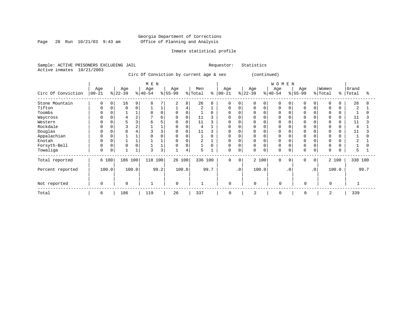Page 28 Run  $10/21/03$  9:43 am

# Inmate statistical profile

Sample: ACTIVE PRISONERS EXCLUDING JAIL Requestor: Statistics Active inmates 10/21/2003

Circ Of Conviction by current age & sex (continued)

|                    | M E N            |   |                  |       |                  |      |                 |          |                |      |                  |          |                  |          | WOMEN           |           |                 |           |                  |               |                |      |
|--------------------|------------------|---|------------------|-------|------------------|------|-----------------|----------|----------------|------|------------------|----------|------------------|----------|-----------------|-----------|-----------------|-----------|------------------|---------------|----------------|------|
| Circ Of Conviction | Age<br>$00 - 21$ |   | Age<br>$ 22-39 $ |       | Age<br>$ 40-54 $ |      | Age<br>$ 55-99$ |          | Men<br>% Total | နွ   | Age<br>$00 - 21$ |          | Age<br>$ 22-39 $ |          | Age<br>$ 40-54$ |           | Age<br>$ 55-99$ |           | Women<br>% Total | $\frac{8}{6}$ | Grand<br>Total | ႜ    |
| Stone Mountain     | 0                | 0 | 16               | 9     | $\mathsf{R}$     |      | 2               | 8        | 26             |      | 0                |          |                  | $\Omega$ |                 |           |                 |           |                  |               | 26             | 8    |
| Tifton             | 0                | 0 | 0                | 0     |                  |      |                 | 4        | 2              |      | 0                | 0        |                  | 0        | $\Omega$        |           | $\Omega$        |           | 0                |               | 2              |      |
| Toombs             |                  |   |                  |       | $\Omega$         |      |                 | $\Omega$ |                |      | U                |          |                  | $\Omega$ | $\Omega$        |           |                 |           |                  |               |                |      |
| Waycross           |                  |   |                  | 2     |                  | 6    |                 | $\Omega$ | 11             |      |                  |          |                  |          |                 |           |                 |           |                  |               | 11             |      |
| Western            |                  |   |                  | 3     |                  |      |                 | $\Omega$ | 11             |      | <sup>0</sup>     |          |                  |          |                 |           |                 |           |                  |               | 11             |      |
| Rockdale           |                  |   |                  | 2     |                  |      |                 | $\Omega$ | 4              |      | O                |          |                  |          | $\Omega$        |           |                 |           |                  |               | 4              |      |
| Douglas            |                  |   |                  |       |                  |      |                 | 0        | 11             |      | O                |          |                  |          | 0               |           |                 |           |                  |               | 11             |      |
| Appalachian        |                  |   |                  |       |                  |      |                 | 0        |                |      | 0                |          |                  | $\Omega$ | $\mathbf 0$     |           |                 |           |                  |               |                |      |
| Enotah             |                  |   |                  |       |                  |      |                 | $\Omega$ | 2              |      | 0                |          |                  |          | $\Omega$        |           | $\Omega$        |           |                  |               |                |      |
| Forsyth-Bell       |                  | 0 |                  | 0     |                  |      | 0               | 0        |                |      | 0                | $\Omega$ | 0                | 0        | $\mathbf 0$     |           | $\Omega$        |           | 0                |               |                |      |
| Towaliga           | $\Omega$         | 0 |                  |       | ς                | 3    |                 | 4        | 5              |      | 0                | $\Omega$ | 0                | $\Omega$ | $\Omega$        |           | $\Omega$        |           | $\Omega$         |               | 5              |      |
| Total reported     | 6 100            |   | 186 100          |       | 118 100          |      | 26 100          |          | 336 100        |      | $\Omega$         | $\Omega$ |                  | 2 100    | $\Omega$        | $\Omega$  | $\Omega$        | $\Omega$  |                  | 2 100         | 338 100        |      |
| Percent reported   | 100.0            |   |                  | 100.0 |                  | 99.2 |                 | 100.0    |                | 99.7 |                  | .0'      |                  | 100.0    |                 | $\cdot$ 0 |                 | $\cdot$ 0 |                  | 100.0         |                | 99.7 |
| Not reported       | $\Omega$         |   | $\Omega$         |       |                  |      | $\Omega$        |          | $\mathbf{1}$   |      | $\mathbf 0$      |          | $\Omega$         |          | $\Omega$        |           | $\Omega$        |           | $\Omega$         |               |                |      |
| Total              | 6                |   | 186              |       | 119              |      | 26              |          | 337            |      | $\Omega$         |          | 2                |          | $\mathbf 0$     |           | $\Omega$        |           | 2                |               | 339            |      |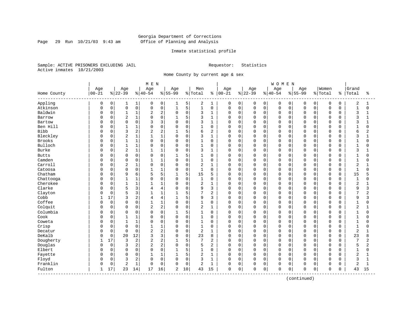Page 29 Run  $10/21/03$  9:43 am

# Inmate statistical profile

Sample: ACTIVE PRISONERS EXCLUDING JAIL Requestor: Statistics Active inmates 10/21/2003

Home County by current age & sex

|                         |           |              |                |              | M E N          |                |              |             |                |                |           |             |          |              | <b>WOMEN</b> |             |             |          |                |             |                |                |
|-------------------------|-----------|--------------|----------------|--------------|----------------|----------------|--------------|-------------|----------------|----------------|-----------|-------------|----------|--------------|--------------|-------------|-------------|----------|----------------|-------------|----------------|----------------|
|                         | Age       |              | Age            |              | Age            |                | Age          |             | Men            |                | Age       |             | Age      |              | Age          |             | Age         |          | Women          |             | Grand          |                |
| Home County<br>-------- | $00 - 21$ |              | $8 22-39$      |              | $8140 - 54$    |                | $8155 - 99$  |             | % Total        | ႜ              | $00 - 21$ |             | $ 22-39$ |              | $ 40-54$     |             | $8 55-99$   |          | % Total        | နွ          | Total          | ႜ              |
| Appling                 | 0         | 0            | 1              | 1            | 0              | 0              | 1            | 5           | 2              | 1              | 0         | 0           | 0        | 0            | 0            | 0           | 0           | 0        | 0              | 0           | 2              | 1              |
| Atkinson                | $\Omega$  | $\mathsf{O}$ | $\mathsf 0$    | $\mathsf 0$  | $\mathbf 0$    | 0              | $\mathbf{1}$ | 5           | $\mathbf{1}$   | $\mathbf 0$    | $\Omega$  | $\mathbf 0$ | 0        | $\mathsf{O}$ | $\mathsf 0$  | $\mathbf 0$ | $\mathbf 0$ | 0        | $\mathsf 0$    | $\mathbf 0$ | $\mathbf{1}$   | $\Omega$       |
| Baldwin                 | C         | 0            | $\mathbf{1}$   | 1            | $\overline{2}$ | 2              | $\Omega$     | $\mathbf 0$ | 3              | $\mathbf{1}$   | 0         | $\mathbf 0$ | $\Omega$ | $\mathbf 0$  | $\mathbf 0$  | $\mathbf 0$ | $\Omega$    | $\Omega$ | $\mathbf 0$    | 0           | 3              | 1              |
| Barrow                  | C         | $\Omega$     | $\overline{c}$ | $\mathbf 1$  | $\Omega$       | 0              |              | 5           | 3              | 1              | 0         | $\mathbf 0$ | 0        | $\mathbf 0$  | $\mathbf 0$  | $\Omega$    | $\Omega$    | O        | $\Omega$       | $\Omega$    | 3              |                |
| Bartow                  | C         | $\Omega$     | $\Omega$       | 0            | 3              | 3              | $\Omega$     | $\mathbf 0$ | 3              | $\mathbf{1}$   | O         | $\mathbf 0$ | $\Omega$ | $\Omega$     | $\Omega$     | $\Omega$    | $\Omega$    | $\cap$   | $\Omega$       | $\cap$      | 3              |                |
| Ben Hill                | C         | $\Omega$     | $\mathbf{1}$   | 1            | $\Omega$       | 0              | $\mathbf 0$  | $\mathbf 0$ | $\mathbf{1}$   | $\mathbf 0$    | 0         | $\mathbf 0$ | 0        | $\Omega$     | $\mathbf 0$  | $\Omega$    | $\Omega$    | $\Omega$ | $\Omega$       | $\Omega$    | $\mathbf{1}$   | 0              |
| Bibb                    | C         | 0            | 3              | 2            | $\overline{2}$ | 2              | $\mathbf{1}$ | 5           | 6              | 2              | 0         | $\mathbf 0$ | $\Omega$ | $\mathbf 0$  | $\mathbf 0$  | 0           | $\Omega$    | 0        | $\Omega$       | 0           | 6              | $\overline{2}$ |
| Bleckley                | C         | $\Omega$     | $\overline{2}$ | $\mathbf 1$  | $\mathbf{1}$   | 1              | $\Omega$     | $\mathbf 0$ | 3              | $\mathbf{1}$   | 0         | $\mathbf 0$ | 0        | $\mathbf 0$  | $\mathbf 0$  | $\Omega$    | $\Omega$    | 0        | $\mathbf 0$    | $\Omega$    | 3              |                |
| Brooks                  | C         | 0            | 1              | 1            | $\Omega$       | 0              | $\Omega$     | 0           | $\mathbf{1}$   | $\mathbf 0$    | 0         | $\mathbf 0$ | 0        | 0            | 0            | $\Omega$    | $\Omega$    | $\Omega$ | 0              | $\Omega$    | 1              | O              |
| Bulloch                 | C         | 0            | $\mathbf{1}$   | 1            | $\Omega$       | 0              | $\Omega$     | $\mathbf 0$ | 1              | 0              | 0         | $\mathbf 0$ | $\Omega$ | $\mathbf 0$  | $\mathbf 0$  | $\Omega$    | $\Omega$    | O        | $\Omega$       | $\Omega$    | $\mathbf{1}$   |                |
| Burke                   | C         | 0            | $\overline{2}$ | 1            | 1              | 1              | $\Omega$     | $\mathbf 0$ | 3              | 1              | 0         | $\mathbf 0$ | 0        | $\mathbf 0$  | $\mathbf 0$  | $\Omega$    | $\Omega$    | $\Omega$ | $\mathbf 0$    | $\Omega$    | 3              |                |
| <b>Butts</b>            | C         | $\Omega$     | $\Omega$       | 0            | $\Omega$       | $\Omega$       | -1           | 5           | 1              | $\Omega$       | 0         | $\mathbf 0$ | 0        | $\Omega$     | $\mathbf 0$  | $\Omega$    | $\Omega$    | $\Omega$ | $\Omega$       | O           | $\mathbf{1}$   | O              |
| Camden                  | C         | $\Omega$     | $\Omega$       | 0            | 1              | 1              | $\Omega$     | $\mathsf 0$ | $\mathbf{1}$   | 0              | 0         | $\mathbf 0$ | 0        | $\mathbf 0$  | $\mathbf 0$  | $\mathbf 0$ | $\Omega$    | $\Omega$ | $\Omega$       | $\Omega$    | $\mathbf{1}$   | O              |
| Carroll                 |           | $\Omega$     | $\sqrt{2}$     | $\mathbf 1$  | $\Omega$       | 0              | $\Omega$     | $\mathbf 0$ | $\overline{2}$ | 1              | 0         | $\mathbf 0$ | $\Omega$ | $\mathbf 0$  | $\mathbf 0$  | $\mathbf 0$ | $\Omega$    | $\Omega$ | $\mathbf 0$    | $\Omega$    | $\overline{a}$ |                |
| Catoosa                 | C         | 0            | $\Omega$       | $\mathbf 0$  | $\mathbf{1}$   | 1              | $\Omega$     | $\mathbf 0$ | 1              | $\mathbf 0$    | 0         | $\mathbf 0$ | 0        | 0            | $\mathbf 0$  | $\Omega$    | $\Omega$    | 0        | $\mathbf 0$    | 0           | $\mathbf{1}$   | U              |
| Chatham                 | C         | $\Omega$     | 9              | 6            | 5              | 5              | $\mathbf{1}$ | 5           | 15             | 5              | 0         | $\mathbf 0$ | $\Omega$ | $\mathbf 0$  | $\mathbf 0$  | $\Omega$    | $\Omega$    | O        | $\Omega$       | $\Omega$    | 15             |                |
| Chattooga               | C         | $\Omega$     | $\mathbf{1}$   | 1            | $\cap$         | $\Omega$       | $\Omega$     | $\mathbf 0$ | 1              | $\Omega$       | 0         | $\mathbf 0$ | 0        | $\Omega$     | $\Omega$     | $\Omega$    | $\Omega$    | U        | $\Omega$       | $\Omega$    | $\mathbf 1$    | ∩              |
| Cherokee                | C         | $\Omega$     | $\mathbf{1}$   | $\mathbf{1}$ | 1              | 1              | $\Omega$     | $\mathsf 0$ | $\overline{2}$ | $\mathbf{1}$   | 0         | $\mathbf 0$ | $\Omega$ | $\Omega$     | $\mathbf 0$  | 0           | $\Omega$    | $\Omega$ | $\mathbf 0$    | $\Omega$    | $\overline{c}$ |                |
| Clarke                  | C         | 0            | 5              | 3            | 4              | 4              | $\Omega$     | 0           | 9              | 3              | 0         | $\mathbf 0$ | $\Omega$ | $\mathbf 0$  | 0            | $\Omega$    | $\Omega$    | 0        | $\mathbf 0$    | $\Omega$    | 9              | 3              |
| Clayton                 | C         | $\mathbf 0$  | 5              | 3            | $\mathbf{1}$   | 1              | 1            | 5           | 7              | $\overline{2}$ | 0         | $\mathbf 0$ | $\Omega$ | $\mathbf 0$  | $\mathbf 0$  | $\Omega$    | $\Omega$    | 0        | $\Omega$       | $\Omega$    | 7              | $\overline{2}$ |
| Cobb                    |           | 17           | 3              | 2            | 4              | 4              |              | 5           | 9              | 3              | 0         | $\mathbf 0$ | 0        | 0            | $\mathbf 0$  | $\Omega$    | $\Omega$    | O        | $\Omega$       | $\Omega$    | 9              | ζ              |
| Coffee                  | C         | $\mathbf 0$  | $\mathbf 0$    | 0            | $\mathbf{1}$   | 1              | $\Omega$     | $\mathbf 0$ | $\mathbf{1}$   | $\mathbf 0$    | 0         | $\mathbf 0$ | 0        | $\mathbf 0$  | $\mathbf 0$  | $\Omega$    | $\Omega$    | $\Omega$ | $\Omega$       | $\Omega$    | $\mathbf{1}$   | $\Omega$       |
| Colquit                 | U         | $\Omega$     | $\Omega$       | 0            | $\overline{c}$ | $\overline{a}$ | $\Omega$     | $\mathbf 0$ | 2              | $\mathbf{1}$   | 0         | $\mathbf 0$ | $\Omega$ | $\Omega$     | $\Omega$     | $\Omega$    | $\Omega$    | $\Omega$ | $\Omega$       | $\Omega$    | $\overline{2}$ |                |
| Columbia                | C         | 0            | $\Omega$       | 0            | $\Omega$       | $\Omega$       | 1            | 5           | $\mathbf{1}$   | $\mathbf 0$    | 0         | $\mathbf 0$ | $\Omega$ | $\Omega$     | $\mathbf 0$  | $\Omega$    | $\Omega$    | $\Omega$ | $\Omega$       | O           | $\mathbf{1}$   | O              |
| Cook                    | C         | 0            | $\mathbf{1}$   | 1            | $\Omega$       | 0              | $\Omega$     | $\mathsf 0$ | $\mathbf{1}$   | 0              | 0         | $\mathbf 0$ | 0        | $\mathbf 0$  | $\mathbf 0$  | 0           | $\Omega$    | 0        | $\overline{0}$ | $\Omega$    | $1\,$          |                |
| Coweta                  | C         | $\Omega$     | $\mathbf{1}$   | $\mathbf 1$  | $\Omega$       | 0              | $\Omega$     | $\mathbf 0$ | 1              | $\mathbf 0$    | 0         | $\mathbf 0$ | 0        | $\Omega$     | $\mathbf 0$  | $\Omega$    | $\Omega$    | O        | $\Omega$       | $\Omega$    | $\mathbf{1}$   | U              |
| Crisp                   | C         | 0            | $\mathbf 0$    | 0            |                | 1              | $\Omega$     | $\mathbf 0$ | 1              | 0              | 0         | $\mathbf 0$ | 0        | 0            | 0            | $\Omega$    | $\Omega$    | O        | 0              | $\Omega$    | $\mathbf{1}$   | U              |
| Decatur                 | C         | 0            | $\mathbf 0$    | $\mathbf 0$  | $\overline{2}$ | 2              | $\Omega$     | 0           | 2              | 1              | 0         | $\mathbf 0$ | $\Omega$ | $\mathbf 0$  | $\mathbf 0$  | $\Omega$    | $\Omega$    | O        | $\Omega$       | 0           | $\overline{2}$ |                |
| DeKalb                  | C         | 0            | 20             | 12           | 3              | 3              | $\Omega$     | $\mathbf 0$ | 23             | 8              | 0         | $\mathbf 0$ | 0        | $\mathbf 0$  | $\mathbf 0$  | $\Omega$    | $\Omega$    | $\Omega$ | $\mathbf 0$    | $\Omega$    | 23             | 8              |
| Dougherty               |           | 17           | 3              | 2            | $\overline{2}$ | 2              |              | 5           | 7              | 2              | 0         | $\mathbf 0$ | 0        | $\mathbf 0$  | $\mathbf 0$  | 0           | $\Omega$    | $\Omega$ | $\mathbf 0$    | 0           | 7              | 2              |
| Douglas                 | C         | $\mathbf 0$  | 3              | 2            | $\overline{2}$ | 2              | $\Omega$     | $\mathbf 0$ | 5              | $\overline{2}$ | 0         | $\mathbf 0$ | 0        | $\mathbf 0$  | $\mathbf 0$  | $\Omega$    | $\Omega$    | 0        | $\mathbf 0$    | 0           | 5              | 2              |
| Elbert                  | C         | $\mathbf 0$  | $\Omega$       | $\mathbf 0$  | $\Omega$       | $\Omega$       | $\mathbf{1}$ | 5           | $\mathbf{1}$   | $\mathbf 0$    | 0         | $\mathbf 0$ | $\Omega$ | $\Omega$     | $\mathbf 0$  | $\Omega$    | $\Omega$    | $\Omega$ | $\Omega$       | $\Omega$    | $\mathbf{1}$   | $\Omega$       |
| Fayette                 | C         | 0            | $\Omega$       | 0            | 1              | 1              |              | 5           | $\overline{c}$ | 1              | 0         | $\mathbf 0$ | $\Omega$ | $\mathbf 0$  | $\mathbf 0$  | $\Omega$    | $\Omega$    | 0        | $\Omega$       | $\Omega$    | $\overline{2}$ |                |
| Floyd                   | 0         | 0            | 3              | 2            | $\Omega$       | 0              | $\Omega$     | $\mathbf 0$ | 3              | $\mathbf{1}$   | 0         | $\mathbf 0$ | 0        | $\Omega$     | $\Omega$     | $\Omega$    | $\Omega$    | $\Omega$ | $\Omega$       | $\Omega$    | 3              | $\mathbf{1}$   |
| Franklin                | 0         | 0            | $\overline{2}$ | $\mathbf 1$  | $\Omega$       | 0              | $\Omega$     | $\mathsf 0$ | $\overline{2}$ | $\mathbf{1}$   | 0         | $\mathbf 0$ | $\Omega$ | 0            | $\mathbf 0$  | $\mathbf 0$ | $\Omega$    | 0        | $\mathbf 0$    | $\Omega$    | $\overline{2}$ | $\mathbf{1}$   |
| Fulton                  | 1         | 17           | 23             | 14           | 17             | 16             | 2            | 10          | 43             | 15             | 0         | $\mathbf 0$ | 0        | 0            | $\mathbf 0$  | 0           | $\Omega$    | 0        | $\mathbf 0$    | 0           | 43             | 15             |

(continued)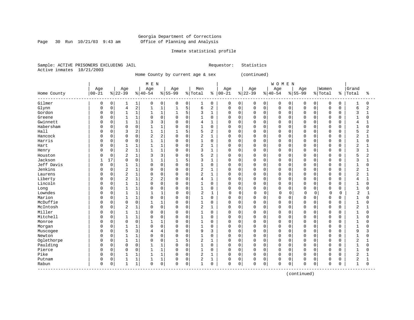Page 30 Run  $10/21/03$  9:43 am

# Inmate statistical profile

Sample: ACTIVE PRISONERS EXCLUDING JAIL Requestor: Statistics Active inmates 10/21/2003

Home County by current age & sex (continued)

|                                 |              |             |                |                | M E N          |                |              |             |                |              |             |             |             |          | <b>WOMEN</b> |             |             |             |             |             |                |              |
|---------------------------------|--------------|-------------|----------------|----------------|----------------|----------------|--------------|-------------|----------------|--------------|-------------|-------------|-------------|----------|--------------|-------------|-------------|-------------|-------------|-------------|----------------|--------------|
|                                 | Age          |             | Age            |                | Age            |                | Age          |             | Men            |              | Age         |             | Age         |          | Age          |             | Age         |             | Women       |             | Grand          |              |
| Home County<br>-------          | $00 - 21$    |             | $ 22-39$       |                | $ 40-54$       |                | $8 55-99$    |             | % Total        | ႜ            | $ 00 - 21$  |             | $ 22-39$    |          | $ 40-54$     |             | $8155 - 99$ |             | % Total     | န္          | Total          | ႜ            |
| Gilmer                          | 0            | 0           |                | 1              | 0              | $\mathbf 0$    | 0            | 0           | 1              | $\mathbf 0$  | $\mathbf 0$ | 0           | 0           | 0        | $\mathbf 0$  | 0           | 0           | 0           | $\mathbf 0$ | $\mathbf 0$ | $\mathbf{1}$   | $\Omega$     |
| Glynn                           | $\Omega$     | $\mathbf 0$ | 4              | $\overline{c}$ | $\mathbf{1}$   | $\mathbf{1}$   | $\mathbf{1}$ | 5           | 6              | 2            | $\mathbf 0$ | $\mathbf 0$ | $\mathbf 0$ | 0        | $\mathbf 0$  | 0           | $\Omega$    | $\Omega$    | $\mathbf 0$ | $\mathbf 0$ | 6              | 2            |
| Gordon                          | $\Omega$     | $\mathbf 0$ |                | 1              | 1              | $\mathbf{1}$   | 1            | 5           | 3              | $\mathbf{1}$ | 0           | $\mathbf 0$ | $\mathbf 0$ | $\Omega$ | $\Omega$     | $\Omega$    | $\Omega$    | $\Omega$    | $\mathbf 0$ | $\mathbf 0$ | 3              | $\mathbf{1}$ |
| Greene                          | $\Omega$     | $\mathbf 0$ |                | $\mathbf 1$    | $\Omega$       | $\mathbf 0$    | $\Omega$     | $\Omega$    | $\mathbf{1}$   | $\mathbf 0$  | 0           | $\mathbf 0$ | $\Omega$    | $\Omega$ | $\Omega$     | 0           | $\Omega$    | $\Omega$    | $\Omega$    | $\Omega$    | $\mathbf{1}$   | 0            |
| Gwinnett                        |              | $\mathbf 0$ | 1              | $\mathbf{1}$   | 3              | 3              | $\Omega$     | $\Omega$    | 4              | 1            | O           | $\mathbf 0$ | $\mathbf 0$ | $\Omega$ | $\Omega$     | 0           | $\Omega$    | $\Omega$    | $\mathbf 0$ | $\Omega$    | 4              |              |
| Habersham                       | $\Omega$     | $\mathbf 0$ | $\Omega$       | $\mathbf 0$    |                | $\mathbf{1}$   | $\Omega$     | $\Omega$    | $\mathbf{1}$   | $\mathbf 0$  | 0           | $\mathbf 0$ | $\mathbf 0$ | $\Omega$ | $\Omega$     | 0           | $\Omega$    | $\Omega$    | $\Omega$    | $\Omega$    | $\mathbf{1}$   | $\Omega$     |
| Hall                            | $\Omega$     | $\mathbf 0$ | 3              | 2              |                | $\mathbf{1}$   |              | 5           | 5              | 2            | U           | 0           | 0           | $\Omega$ | $\Omega$     | 0           | $\Omega$    | $\Omega$    | $\Omega$    | $\Omega$    | 5              | 2            |
| Hancock                         | <sup>0</sup> | $\Omega$    | $\Omega$       | $\Omega$       | $\overline{2}$ | $\overline{2}$ | $\Omega$     | $\Omega$    | $\overline{2}$ | $\mathbf{1}$ | $\Omega$    | $\Omega$    | $\Omega$    | $\Omega$ | $\Omega$     | $\Omega$    | $\Omega$    | $\Omega$    | $\Omega$    | $\Omega$    | $\overline{2}$ | $\mathbf{1}$ |
| Harris                          | <sup>0</sup> | $\mathbf 0$ | $\Omega$       | $\mathbf 0$    | 1              | $\mathbf{1}$   | $\mathbf 0$  | $\Omega$    | $\mathbf{1}$   | $\mathbf 0$  | 0           | $\mathbf 0$ | $\Omega$    | $\Omega$ | $\Omega$     | $\Omega$    | $\Omega$    | $\Omega$    | $\Omega$    | $\Omega$    | $\mathbf{1}$   | $\Omega$     |
| Hart                            | <sup>0</sup> | $\mathbf 0$ |                | 1              | 1              | $\mathbf{1}$   | $\mathbf 0$  | $\Omega$    | 2              | 1            | 0           | $\mathbf 0$ | $\Omega$    | $\Omega$ | $\Omega$     | $\Omega$    | $\Omega$    | $\Omega$    | $\mathbf 0$ | $\Omega$    | $\overline{2}$ | -1           |
| Henry                           | <sup>0</sup> | $\mathbf 0$ | 2              | $\mathbf{1}$   |                | $\mathbf{1}$   | $\Omega$     | $\mathbf 0$ | 3              | 1            | 0           | 0           | 0           | 0        | $\Omega$     | 0           | $\Omega$    | $\mathbf 0$ | $\Omega$    | $\Omega$    | 3              |              |
| Houston                         |              | 0           | 2              | 1              | 3              | 3              | $\mathbf 0$  | $\mathbf 0$ | 5              | 2            | 0           | $\mathbf 0$ | 0           | 0        | $\Omega$     | 0           | $\Omega$    | $\mathbf 0$ | $\mathbf 0$ | $\Omega$    | 5              | 2            |
| Jackson                         | 1            | 17          | $\Omega$       | $\mathbf 0$    |                | $\mathbf{1}$   | 1            | 5           | 3              | $\mathbf{1}$ | $\Omega$    | 0           | $\mathbf 0$ | $\Omega$ | $\Omega$     | 0           | $\Omega$    | $\Omega$    | $\Omega$    | $\Omega$    | 3              | $\mathbf{1}$ |
| Jeff Davis                      | $\Omega$     | $\mathbf 0$ | 1              | $\mathbf{1}$   | $\Omega$       | $\mathbf 0$    | $\mathbf 0$  | $\Omega$    | $\mathbf{1}$   | $\Omega$     | $\Omega$    | $\Omega$    | 0           | $\Omega$ | $\Omega$     | $\Omega$    | $\Omega$    | $\Omega$    | $\Omega$    | $\Omega$    | $\mathbf{1}$   | $\Omega$     |
| Jenkins                         | <sup>0</sup> | $\mathbf 0$ | $\overline{2}$ | $\mathbf{1}$   | $\Omega$       | $\mathbf 0$    | 0            | $\Omega$    | $\overline{2}$ | 1            | 0           | 0           | 0           | $\Omega$ | $\Omega$     | 0           | $\Omega$    | $\Omega$    | $\Omega$    | $\Omega$    | $\overline{2}$ |              |
| Laurens                         | <sup>0</sup> | $\mathbf 0$ | 2              | $\mathbf 1$    | $\Omega$       | $\mathbf 0$    | $\Omega$     | $\Omega$    | 2              | $\mathbf{1}$ | $\Omega$    | $\Omega$    | $\mathbf 0$ | $\Omega$ | $\mathbf 0$  | $\Omega$    | $\Omega$    | $\Omega$    | $\Omega$    | $\Omega$    | 2              |              |
| Liberty                         | <sup>0</sup> | $\Omega$    | 2              | 1              | $\overline{2}$ | $\overline{2}$ | $\Omega$     | $\Omega$    | 4              | 1            | $\Omega$    | $\Omega$    | $\Omega$    | $\Omega$ | $\Omega$     | $\Omega$    | $\Omega$    | $\Omega$    | $\Omega$    | $\Omega$    | 4              |              |
| Lincoln                         | <sup>0</sup> | $\Omega$    |                | 1              | $\Omega$       | $\mathbf 0$    | $\mathbf 0$  | $\Omega$    | $\mathbf{1}$   | $\Omega$     | 0           | $\Omega$    | $\Omega$    | $\Omega$ | $\Omega$     | $\Omega$    | $\Omega$    | $\Omega$    | $\Omega$    | $\Omega$    | $\mathbf{1}$   | $\Omega$     |
| Long                            | $\Omega$     | $\mathbf 0$ |                | 1              | 0              | $\mathbf 0$    | 0            | $\mathbf 0$ | 1              | $\mathbf 0$  | 0           | $\mathbf 0$ | 0           | 0        | $\mathbf 0$  | 0           | $\Omega$    | $\mathbf 0$ | $\mathbf 0$ | 0           | $\mathbf{1}$   | 0            |
| Lowndes                         |              | 0           | $\mathbf{1}$   | 1              | $\mathbf{1}$   | $\mathbf{1}$   | $\Omega$     | $\mathbf 0$ | $\overline{2}$ | $\mathbf{1}$ | $\Omega$    | $\mathbf 0$ | $\Omega$    | 0        | $\mathbf 0$  | $\mathbf 0$ | $\Omega$    | $\Omega$    | $\mathbf 0$ | 0           | $\overline{2}$ | $\mathbf{1}$ |
| Marion                          | $\Omega$     | $\mathbf 0$ | 1              | 1              | $\Omega$       | $\mathbf 0$    | $\Omega$     | $\Omega$    | $\mathbf{1}$   | $\Omega$     | $\Omega$    | 0           | 0           | $\Omega$ | $\Omega$     | 0           | $\Omega$    | $\Omega$    | $\Omega$    | $\Omega$    | 1              | $\Omega$     |
| McDuffie                        | <sup>0</sup> | $\mathbf 0$ | $\Omega$       | $\mathbf 0$    |                | $\mathbf{1}$   | $\Omega$     | $\Omega$    | 1              | $\Omega$     | 0           | 0           | $\Omega$    | $\Omega$ | $\mathbf 0$  | $\Omega$    | $\Omega$    | $\Omega$    | $\Omega$    | 0           | $\mathbf{1}$   | O            |
| McIntosh                        | $\Omega$     | $\mathbf 0$ | $\overline{2}$ | 1              | $\Omega$       | $\mathbf 0$    | $\mathbf 0$  | $\mathbf 0$ | $\overline{2}$ | $\mathbf{1}$ | $\mathbf 0$ | $\Omega$    | $\mathbf 0$ | 0        | $\mathbf 0$  | 0           | $\Omega$    | 0           | $\Omega$    | $\Omega$    | $\overline{2}$ |              |
| Miller                          | $\Omega$     | $\mathbf 0$ |                | $\mathbf{1}$   | $\Omega$       | $\Omega$       | $\Omega$     | $\Omega$    | 1              | $\Omega$     | $\Omega$    | $\Omega$    | 0           | $\Omega$ | $\Omega$     | $\Omega$    | $\Omega$    | $\Omega$    | $\Omega$    | O           | $\mathbf{1}$   |              |
| Mitchell                        | n            | $\mathbf 0$ | 1              | 1              | $\Omega$       | $\Omega$       | $\mathbf 0$  | $\Omega$    | $\mathbf{1}$   | $\Omega$     | $\Omega$    | $\Omega$    | $\Omega$    | $\Omega$ | $\Omega$     | $\Omega$    | $\Omega$    | $\cap$      | $\Omega$    | $\Omega$    | $\mathbf{1}$   | ∩            |
| Monroe                          | <sup>0</sup> | $\mathbf 0$ | $\Omega$       | $\mathbf 0$    |                | $\mathbf{1}$   | $\Omega$     | $\Omega$    | $\mathbf{1}$   | $\Omega$     | 0           | $\mathbf 0$ | $\Omega$    | $\Omega$ | $\Omega$     | $\Omega$    | $\Omega$    | $\Omega$    | $\Omega$    | $\Omega$    | $\mathbf{1}$   | O            |
| Morgan                          | <sup>0</sup> | $\mathsf 0$ |                | 1              | $\Omega$       | $\mathbf 0$    | $\mathbf 0$  | $\Omega$    | 1              | 0            | U           | $\mathbf 0$ | 0           | $\Omega$ | $\Omega$     | 0           | $\Omega$    | $\Omega$    | $\Omega$    | $\Omega$    | $\mathbf{1}$   | O            |
| Muscogee                        |              | $\mathbf 0$ | 5              | 3              | 4              | $\overline{4}$ | $\Omega$     | $\Omega$    | 9              | 3            | 0           | $\mathbf 0$ | $\mathbf 0$ | $\Omega$ | $\Omega$     | 0           | $\Omega$    | $\Omega$    | $\Omega$    | $\Omega$    | 9              | 3            |
| Newton                          | $\Omega$     | $\mathbf 0$ | $\mathbf{1}$   | $\mathbf{1}$   | $\Omega$       | $\mathbf 0$    | $\mathbf 0$  | $\Omega$    | $\mathbf{1}$   | $\mathbf 0$  | $\mathbf 0$ | $\mathbf 0$ | $\mathbf 0$ | $\Omega$ | $\Omega$     | 0           | $\Omega$    | $\Omega$    | $\mathbf 0$ | $\Omega$    | $\mathbf{1}$   | O            |
| Oglethorpe                      | $\Omega$     | 0           |                | 1              | 0              | $\mathbf 0$    |              | 5           | 2              | 1            | O           | 0           | 0           | $\Omega$ | $\Omega$     | 0           | $\Omega$    | $\Omega$    | $\Omega$    | $\Omega$    | 2              |              |
| Paulding                        | $\Omega$     | $\mathbf 0$ | $\Omega$       | $\mathbf 0$    |                | $\mathbf{1}$   | $\Omega$     | $\Omega$    | 1              | 0            | $\Omega$    | 0           | 0           | $\Omega$ | $\mathbf 0$  | 0           | $\Omega$    | $\Omega$    | $\Omega$    | $\Omega$    | $\mathbf{1}$   | O            |
| Pierce                          | <sup>0</sup> | $\Omega$    | $\Omega$       | $\mathbf 0$    | 1              | $\mathbf{1}$   | $\Omega$     | $\Omega$    | 1              | $\Omega$     | $\Omega$    | $\Omega$    | $\mathbf 0$ | $\Omega$ | $\Omega$     | $\Omega$    | $\Omega$    | $\Omega$    | $\Omega$    | $\Omega$    | $\mathbf{1}$   | $\cap$       |
| Pike                            | $\Omega$     | $\mathbf 0$ | 1              | 1              | 1              | $\mathbf{1}$   | $\mathbf 0$  | $\Omega$    | $\overline{2}$ | 1            | $\mathbf 0$ | $\mathbf 0$ | $\mathbf 0$ | $\Omega$ | $\mathbf 0$  | 0           | $\Omega$    | $\Omega$    | $\Omega$    | $\Omega$    | $\overline{2}$ |              |
| Putnam                          | 0            | 0           |                | 1              |                | $\mathbf{1}$   | 0            | $\mathbf 0$ | 2              | 1            | 0           | $\mathbf 0$ | 0           | 0        | $\Omega$     | 0           | $\Omega$    | $\mathbf 0$ | $\Omega$    | O           | 2              |              |
| Rabun<br>---------------------- | $\Omega$     | 0           | $\mathbf{1}$   | 1              | $\Omega$       | $\mathsf 0$    | $\Omega$     | 0           | $\mathbf{1}$   | 0            | $\mathbf 0$ | 0           | $\Omega$    | 0        | $\mathbf 0$  | 0           | $\Omega$    | 0           | $\mathbf 0$ | $\Omega$    | $\mathbf{1}$   | $\Omega$     |

(continued)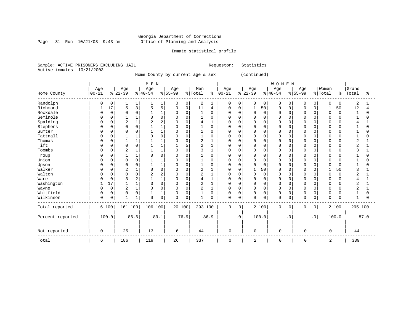Page 31 Run  $10/21/03$  9:43 am

# Inmate statistical profile

Sample: ACTIVE PRISONERS EXCLUDING JAIL Requestor: Statistics Active inmates 10/21/2003

Home County by current age & sex (continued)

|                  |           |             |                |          | M E N    |                |          |          |              |          |             |                |                |                | WOMEN       |           |             |           |             |          |              |          |
|------------------|-----------|-------------|----------------|----------|----------|----------------|----------|----------|--------------|----------|-------------|----------------|----------------|----------------|-------------|-----------|-------------|-----------|-------------|----------|--------------|----------|
|                  | Age       |             | Age            |          | Age      |                | Age      |          | Men          |          | Age         |                | Age            |                | Age         |           | Age         |           | Women       |          | Grand        |          |
| Home County      | $00 - 21$ |             | $ 22-39 $      |          | $ 40-54$ |                | $ 55-99$ |          | % Total      | နွ       | $00 - 21$   |                | $ 22-39$       |                | $ 40-54$    |           | $8 55-99$   |           | % Total     | န္       | Total        | ిక       |
| Randolph         | 0         | 0           |                | 1        |          | 1              | 0        | 0        | 2            |          | 0           | 0              | 0              | $\overline{0}$ | 0           | 0         | $\Omega$    | 0         | 0           | $\Omega$ | 2            |          |
| Richmond         |           | 17          | 5              | 3        | 5        | 5              | 0        | 0        | 11           | 4        | 0           | 0              | 1              | 50             | 0           | 0         | O           | 0         |             | 50       | 12           |          |
| Rockdale         |           | $\mathbf 0$ | $\Omega$       | $\Omega$ |          | $\mathbf{1}$   | $\Omega$ | $\Omega$ | 1            | $\Omega$ | U           | $\Omega$       | $\Omega$       | $\Omega$       | $\Omega$    | $\Omega$  |             | $\Omega$  | $\mathbf 0$ | $\Omega$ | $\mathbf{1}$ | $\Omega$ |
| Seminole         |           | 0           |                | 1        |          | $\Omega$       | $\cap$   | $\Omega$ | $\mathbf{1}$ | $\Omega$ | U           | $\Omega$       | <sup>0</sup>   | $\Omega$       | $\cap$      | $\Omega$  |             | $\cap$    | $\Omega$    |          | $\mathbf{1}$ | O        |
| Spalding         |           | 0           | 2              | 1        |          | 2              |          | $\Omega$ | 4            |          |             | $\Omega$       | 0              | $\Omega$       | $\Omega$    | 0         |             |           | $\Omega$    |          |              |          |
| Stephens         |           | 0           | $\Omega$       | 0        |          | 1              |          | $\Omega$ |              | $\Omega$ | U           | $\Omega$       | 0              | $\Omega$       | $\Omega$    | $\Omega$  |             |           | $\Omega$    |          |              | N        |
| Sumter           |           | 0           | 0              | 0        |          | $\mathbf{1}$   |          | $\Omega$ |              | $\Omega$ | U           | $\Omega$       | 0              | 0              | $\Omega$    | 0         |             | $\Omega$  | $\Omega$    |          |              |          |
| Tattnall         |           | O           |                |          |          | $\Omega$       |          | $\Omega$ |              | O        |             | $\Omega$       | 0              | 0              | $\Omega$    | $\Omega$  |             | $\Omega$  | $\Omega$    |          |              |          |
| Thomas           |           | $\Omega$    | $\mathbf{1}$   | 1        |          | $\mathbf{1}$   |          | $\Omega$ | 2            |          | U           | $\Omega$       | $\Omega$       | $\Omega$       | $\Omega$    | $\Omega$  |             | $\Omega$  | $\Omega$    | ∩        | 2            |          |
| Tift             |           | 0           | $\mathbf 0$    | 0        |          | 1              |          | 5        | 2            |          | U           | 0              | 0              | $\Omega$       | $\Omega$    | 0         |             | $\Omega$  | 0           |          |              |          |
| Toombs           |           | 0           | $\overline{2}$ | 1        |          | 1              | $\cap$   | $\Omega$ | 3            |          | U           | $\Omega$       | 0              | $\Omega$       | $\Omega$    | $\Omega$  |             | $\Omega$  | 0           | U        |              |          |
| Troup            |           | 0           |                | 1        |          | $\Omega$       |          | $\Omega$ |              | $\Omega$ |             | $\Omega$       | 0              | 0              | $\Omega$    | $\Omega$  |             | $\Omega$  | 0           |          |              | O        |
| Union            |           | $\Omega$    | $\Omega$       | 0        |          | $\mathbf{1}$   | $\cap$   | $\Omega$ |              | $\Omega$ | U           | $\Omega$       | 0              | $\Omega$       | $\Omega$    | $\Omega$  |             | $\Omega$  | $\Omega$    | U        |              | O        |
| Upson            |           | 0           | $\Omega$       | 0        |          | $\mathbf{1}$   |          | $\Omega$ |              | $\Omega$ | U           | $\Omega$       | 0              | 0              | $\Omega$    | 0         |             | $\Omega$  | $\Omega$    |          |              | N        |
| Walker           |           | 0           | $\overline{2}$ | 1        |          | $\Omega$       |          | $\Omega$ | 2            |          |             | $\Omega$       | 1              | 50             | $\Omega$    | $\Omega$  |             |           |             | 50       |              |          |
| Walton           |           | 0           | $\Omega$       | 0        |          | $\overline{2}$ |          | $\Omega$ | 2            |          | U           | $\Omega$       | 0              | $\mathbf 0$    | $\Omega$    | 0         |             | $\Omega$  | $\mathbf 0$ | $\Omega$ | 2            |          |
| Ware             |           | 0           |                | 2        |          | 1              |          | $\Omega$ |              |          |             | $\Omega$       | 0              | 0              | $\Omega$    | $\Omega$  |             | $\Omega$  | $\Omega$    |          |              |          |
| Washington       |           | 17          |                | 1        |          | $\Omega$       | $\Omega$ | $\Omega$ | 2            |          | U           | $\Omega$       | $\Omega$       | $\Omega$       | $\Omega$    | $\Omega$  |             | $\Omega$  | $\Omega$    | U        | 2            |          |
| Wayne            |           | $\mathbf 0$ | 2              | 1        | $\Omega$ | 0              | $\Omega$ | 0        | 2            |          | U           | 0              | 0              | 0              | $\Omega$    | 0         | n           | 0         | 0           |          | ◠<br>∠       |          |
| Whitfield        |           | 0           | 0              | 0        |          | $\mathbf{1}$   |          | $\Omega$ |              | $\Omega$ | 0           | $\Omega$       | 0              | 0              | $\Omega$    | 0         | $\Omega$    | 0         | 0           |          |              | O        |
| Wilkinson        | 0         | 0           | $\mathbf{1}$   | 1        | $\Omega$ | 0              | $\Omega$ | 0        | $\mathbf{1}$ | $\Omega$ | 0           | 0              | 0              | 0              | $\Omega$    | 0         | $\Omega$    | 0         | $\mathbf 0$ | U        | $\mathbf{1}$ | O        |
| Total reported   |           | 6 100       | 161 100        |          | 106 100  |                | 20 100   |          | 293 100      |          | $\mathbf 0$ | $\overline{0}$ |                | 2 100          | 0           | 0         | 0           | 0         |             | 2 100    | 295 100      |          |
| Percent reported |           | 100.0       |                | 86.6     |          | 89.1           |          | 76.9     |              | 86.9     |             | $\cdot$ 0      |                | 100.0          |             | $\cdot$ 0 |             | $\cdot$ 0 |             | 100.0    |              | 87.0     |
| Not reported     | 0         |             | 25             |          | 13       |                | 6        |          | 44           |          | $\mathsf 0$ |                | $\mathbf 0$    |                | $\mathbf 0$ |           | 0           |           | 0           |          | 44           |          |
| Total            | 6         |             | 186            |          | 119      |                | 26       |          | 337          |          | 0           |                | $\overline{c}$ |                | 0           |           | $\mathbf 0$ |           | 2           |          | 339          |          |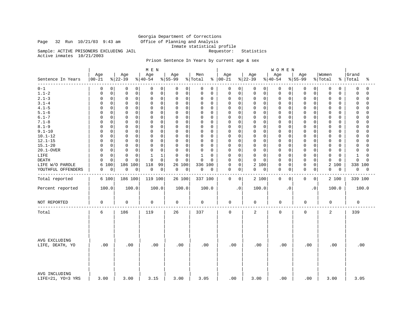# Georgia Department of Corrections Page 32 Run 10/21/03 9:43 am Office of Planning and Analysis Inmate statistical profile Sample: ACTIVE PRISONERS EXCLUDING JAIL Requestor: Statistics

Active inmates 10/21/2003

# Prison Sentence In Years by current age & sex

|                                    |                  |                 | M E N           |                    |                |                      |                     | <b>WOMEN</b>     |                 |                  |                         |
|------------------------------------|------------------|-----------------|-----------------|--------------------|----------------|----------------------|---------------------|------------------|-----------------|------------------|-------------------------|
| Sentence In Years                  | Age<br>$00 - 21$ | Age<br>$ 22-39$ | Age<br>$ 40-54$ | Age<br>$8155 - 99$ | Men<br>% Total | Age<br>$8   00 - 21$ | Age<br>$ 22-39 $    | Age<br>$ 40-54$  | Age<br>$ 55-99$ | Women<br>% Total | Grand<br>%   Total<br>ႜ |
| $0 - 1$                            | 0                | 0               | 0               | 0                  | 0              | 0                    | 0                   | $\overline{0}$   | 0               | 0                | 0                       |
|                                    | 0                | 0               | 0               | 0                  | 0              | 0                    | 0                   | 0                | 0               | 0                | $\Omega$                |
| $1.1 - 2$                          | $\mathsf 0$      | $\mathsf 0$     | $\mathsf 0$     | 0                  | 0              | 0                    | $\mathbf 0$         | $\mathbf 0$      | 0               | 0                | $\Omega$                |
|                                    | $\Omega$         | $\mathbf 0$     | $\mathbf 0$     | 0                  | 0              | 0                    | 0                   | $\mathbf 0$      | 0               | 0                | 0                       |
| $2.1 - 3$                          | $\mathsf 0$      | $\mathbf 0$     | 0               | $\mathbf 0$        | 0              | $\mathbf 0$          | 0                   | 0                | $\mathbf 0$     | 0                | $\mathbf 0$             |
|                                    | $\Omega$         | 0               | $\mathbf 0$     | 0                  | 0              | 0                    | $\mathbf 0$         | 0                | $\Omega$        | 0                | $\Omega$                |
| $3.1 - 4$                          | $\mathbf 0$      | $\mathbf 0$     | $\mathbf 0$     | $\mathbf 0$        | 0              | $\Omega$             | $\mathbf 0$         | $\mathbf 0$      | 0               | $\Omega$         | $\Omega$                |
|                                    | <sup>0</sup>     | $\Omega$        | $\mathbf 0$     | 0                  | $\Omega$       | 0                    | $\Omega$            | $\mathbf 0$      | $\Omega$        | 0                | $\Omega$                |
| $4.1 - 5$                          | 0                | $\mathbf 0$     | 0               | 0                  | 0              | 0                    | $\mathbf 0$         | $\mathbf 0$      | $\mathbf 0$     | 0                | 0                       |
|                                    | <sup>0</sup>     | $\mathbf 0$     | $\mathbf 0$     | $\mathbf 0$        | 0              | 0                    | $\mathbf 0$         | $\mathbf 0$      | $\Omega$        | 0                | $\Omega$                |
| $5.1 - 6$                          | $\mathbf 0$      | $\mathbf 0$     | $\mathbf 0$     | $\mathbf 0$        | 0              | $\mathbf 0$          | $\mathbf 0$         | $\mathbf 0$      | $\Omega$        | 0                | $\Omega$                |
|                                    | <sup>0</sup>     | $\Omega$        | 0               | 0                  | $\Omega$       | $\Omega$             | $\Omega$            | 0                | 0               | 0                | $\Omega$                |
| $6.1 - 7$                          | $\mathbf 0$      | $\mathbf 0$     | $\mathbf 0$     | $\mathbf 0$        | 0              | $\Omega$             | $\mathbf 0$         | $\mathbf 0$      | $\mathbf 0$     | 0                | $\Omega$                |
|                                    | $\Omega$         | $\Omega$        | $\mathbf 0$     | 0                  | $\Omega$       | 0                    | $\Omega$            | $\mathbf 0$      | $\Omega$        | 0                | $\Omega$                |
| $7.1 - 8$                          | $\mathbf 0$      | $\mathbf 0$     | $\mathbf 0$     | $\mathbf 0$        | 0              | 0                    | $\Omega$            | $\mathbf 0$      | $\mathbf 0$     | 0                | $\Omega$                |
|                                    | 0                | $\mathbf 0$     | 0               | 0                  | $\Omega$       | $\Omega$             | 0                   | $\mathbf 0$      | $\Omega$        | 0                | $\Omega$                |
| $8.1 - 9$                          | 0                | $\mathbf 0$     | $\mathbf 0$     | $\mathbf 0$        | 0              | 0                    | $\mathbf 0$         | $\mathbf 0$      | $\Omega$        | 0                | $\Omega$                |
|                                    | $\Omega$         | $\mathbf 0$     | $\mathbf 0$     | 0                  | $\Omega$       | $\mathbf 0$          | $\mathbf 0$         | 0                | $\mathbf 0$     | 0                | $\cap$                  |
| $9.1 - 10$                         | $\mathbf 0$      | $\mathbf 0$     | $\mathbf 0$     | $\mathbf 0$        | 0              | $\mathbf 0$          | $\mathbf 0$         | $\mathbf 0$      | $\Omega$        | 0                | $\Omega$                |
|                                    | 0                | $\mathbf 0$     | $\mathbf 0$     | 0                  | 0              | 0                    | 0                   | $\mathbf 0$      | 0               | 0                | $\cap$                  |
| $10.1 - 12$                        | $\mathsf 0$      | $\mathbf 0$     | $\mathbf 0$     | $\mathbf 0$        | 0              | 0                    | $\mathbf 0$         | $\mathbf 0$      | 0               | 0                | $\cap$                  |
|                                    | $\Omega$         | 0               | 0               | 0                  | $\Omega$       | 0                    | 0                   | 0                | $\Omega$        | 0                | 0                       |
| $12.1 - 15$                        | 0                | $\mathbf 0$     | 0               | $\mathbf 0$        | 0              | 0                    | 0                   | $\mathbf 0$      | $\mathbf 0$     | 0                | $\mathbf 0$             |
|                                    | $\Omega$         | $\mathbf 0$     | $\mathbf 0$     | 0                  | 0              | 0                    | $\mathbf 0$         | 0                | $\Omega$        | 0                | $\cap$                  |
| $15.1 - 20$                        | $\mathbf 0$      | $\mathbf 0$     | $\mathbf 0$     | 0                  | 0              | $\Omega$             | $\mathbf 0$         | $\mathbf 0$      | $\Omega$        | 0                | $\Omega$                |
|                                    | <sup>0</sup>     | $\Omega$        | 0               | $\mathbf 0$        | 0              | 0                    | $\Omega$            | 0                | 0               | O                | $\cap$                  |
| 20.1-OVER                          | $\mathsf 0$      | $\mathsf 0$     | $\mathsf 0$     | $\mathbf 0$        | 0              | 0                    | $\mathbf 0$         | $\mathbf 0$      | $\mathsf 0$     | 0                | 0                       |
|                                    | $\Omega$         | $\mathbf 0$     | $\mathbf 0$     | 0                  | $\Omega$       | 0                    | $\mathsf 0$         | 0                | $\Omega$        | 0                | $\cap$                  |
| LIFE                               | $\mathbf 0$      | $\Omega$        | 1               | $\mathbf 0$        | 1              | $\mathbf 0$          | $\mathbf 0$         | $\mathbf 0$      | $\Omega$        | 0                | 1                       |
|                                    | $\Omega$         | $\Omega$        | 1               | 0                  | 0              | 0                    | $\Omega$            | 0                | 0               | 0                | $\Omega$                |
| <b>DEATH</b>                       | $\mathsf 0$      | $\Omega$        | $\mathbf 0$     | $\mathbf 0$        | 0              | $\mathbf 0$          | 0                   | $\mathbf 0$      | 0               | 0                | $\mathbf 0$             |
|                                    | $\Omega$         | O               | $\mathbf 0$     | $\mathbf 0$        | 0              | 0                    | $\mathbf 0$         | 0                | $\Omega$        | $\mathbf 0$      | $\cap$                  |
| LIFE W/O PAROLE                    | 100<br>6         | 186<br>100      | 118<br>99       | 26<br>100          | 336 100        | 0<br>0               | 2 100               | $\mathbf 0$<br>0 | 0<br>0          | 2<br>100         | 338 100                 |
| YOUTHFUL OFFENDERS                 | 0                | $\mathbf 0$     | 0               | 0                  | 0              | 0                    | $\mathsf{O}\xspace$ | $\mathbf 0$      | 0               | 0                | 0                       |
|                                    | 0                | 0               | 0               | $\mathbf 0$        | 0              | 0                    | $\mathsf 0$         | $\overline{0}$   | 0               | 0                | 0                       |
|                                    |                  |                 |                 |                    |                |                      |                     |                  |                 |                  |                         |
| Total reported                     | 6 100            | 186 100         | 119 100         | 26 100             | 337 100        | $\mathbf 0$<br>0     | 2 100               | $\mathbf 0$<br>0 | 0<br>0          | 2 100            | 339 100                 |
| Percent reported                   | 100.0            | 100.0           | 100.0           | 100.0              | 100.0          | $\cdot$ 0            | 100.0               | $\cdot$ 0        | $\cdot$ 0       | 100.0            | 100.0                   |
| NOT REPORTED                       | $\mathbf 0$      | 0               | 0               | 0                  | 0              | $\mathbf 0$          | 0                   | 0                | 0               | 0                | 0                       |
| Total                              | 6                | 186             | 119             | 26                 | 337            | $\mathbf 0$          | 2                   | 0                | $\mathbf 0$     | 2                | 339                     |
| AVG EXCLUDING<br>LIFE, DEATH, YO   | .00              | .00             | .00             | .00                | .00            | .00                  | .00                 | .00              | .00             | .00              | .00                     |
| AVG INCLUDING<br>LIFE=21, YO=3 YRS | 3.00             | 3.00            | 3.15            | 3.00               | 3.05           | .00.                 | 3.00                | .00              | .00             | 3.00             | 3.05                    |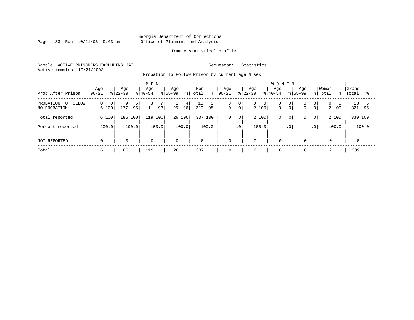Page 33 Run  $10/21/03$  9:43 am

# Inmate statistical profile

Sample: ACTIVE PRISONERS EXCLUDING JAIL Requestor: Statistics Active inmates 10/21/2003

Probation To Follow Prison by current age & sex

| Prob After Prison                   | Age<br>$00 - 21$       | Age<br>$ 22-39 $ | M E N<br>Age<br>$ 40-54 $ | Age<br>$8155 - 99$<br>% Total | Men<br>Aqe<br>៖<br>$ 00-21 $        | <b>WOMEN</b><br>Age<br>Age<br>$ 22-39 $<br>$8 40-54$                     | Aqe<br>$8155 - 99$<br>% Total                                                    | Women<br>  Grand<br>ႜႜ<br>Total<br>ႜ |
|-------------------------------------|------------------------|------------------|---------------------------|-------------------------------|-------------------------------------|--------------------------------------------------------------------------|----------------------------------------------------------------------------------|--------------------------------------|
| PROBATION TO FOLLOW<br>NO PROBATION | $\Omega$<br>0<br>6 100 | 9<br>177<br>95   | 8<br>93 <br>111           | 4<br>96 <br>25                | 18<br>0<br>$\mathbf 0$<br>319<br>95 | 0 <br>0<br>$\overline{0}$<br>0<br>0 <sup>1</sup><br>$\mathbf 0$<br>2 100 | 0 <sup>1</sup><br>0 <sup>1</sup><br>0 <sup>1</sup><br>$\Omega$<br>0 <sup>1</sup> | 18<br>$\Omega$<br>2 100<br>321<br>95 |
| Total reported                      | 6 100                  | 186 100          | 100<br>119                | 26 100                        | 337 100<br>$\mathbf 0$              | 2 100<br>$\mathsf{O}$<br>0                                               | 0<br>$\overline{0}$<br>$\circ$                                                   | 339 100<br>2 100                     |
| Percent reported                    | 100.0                  | 100.0            | 100.0                     | 100.0                         | 100.0                               | 100.0<br>$\cdot$ 0                                                       | .0 <sup>1</sup><br>$\cdot$ 0                                                     | 100.0<br>100.0                       |
| NOT REPORTED                        | $\mathbf 0$            | $\mathbf 0$      | 0                         | $\mathbf 0$                   | $\mathbf 0$<br>$\mathbf 0$          | $\mathbf 0$<br>$\Omega$                                                  | $\mathbf 0$                                                                      | $\mathbf 0$                          |
| Total                               | 6                      | 186              | 119                       | 26                            | 337<br>0                            | $\mathbf 0$                                                              | $\mathbf 0$                                                                      | 339                                  |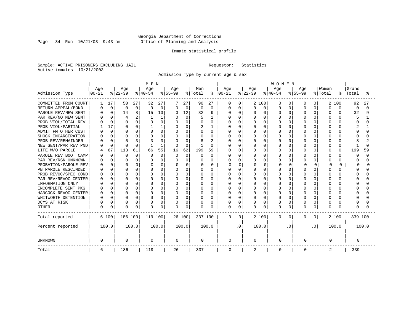Page 34 Run  $10/21/03$  9:43 am

# Inmate statistical profile

Sample: ACTIVE PRISONERS EXCLUDING JAIL Requestor: Statistics Active inmates 10/21/2003

Admission Type by current age & sex

|                      |              |             |              |             | M E N    |             |             |          |          |                |            |          |              |          | <b>WOMEN</b> |          |           |              |              |              |              |       |
|----------------------|--------------|-------------|--------------|-------------|----------|-------------|-------------|----------|----------|----------------|------------|----------|--------------|----------|--------------|----------|-----------|--------------|--------------|--------------|--------------|-------|
|                      | Age          |             | Age          |             | Age      |             | Age         |          | Men      |                | Age        |          | Age          |          | Age          |          | Age       |              | Women        |              | Grand        |       |
| Admission Type       | $00 - 21$    |             | $ 22-39 $    |             | $ 40-54$ |             | $8 55-99$   |          | % Total  | ⊱              | $ 00 - 21$ |          | $ 22-39 $    |          | $ 40-54$     |          | $8 55-99$ |              | % Total      | ៖            | Total        | °     |
| COMMITTED FROM COURT |              | 17          | 50           | 27          | 32       | 27          |             | 27       | 90       | 27             | 0          | 0        |              | 2 100    | O            | 0        | O         | 0            | 2            | 100          | 92           | 27    |
| RETURN APPEAL/BOND   |              | $\mathbf 0$ | 0            | $\mathbf 0$ | $\Omega$ | $\mathbf 0$ | 0           | 0        | 0        | 0              | 0          | 0        | 0            | 0        | O            | $\Omega$ | $\Omega$  | O            | $\Omega$     | $\Omega$     | 0            | ∩     |
| PAROLE REV/NEW SENT  |              | $\Omega$    | 14           | 8           | 15       | 13          |             | 12       | 32       | 9              | N          | 0        | N            | O        | O            | $\Omega$ | $\Omega$  | O            | $\Omega$     | 0            | 32           | 9     |
| PAR REV/NO NEW SENT  |              |             | 4            | 2           |          |             |             | $\Omega$ |          |                |            | $\Omega$ |              | $\Omega$ | O            | O        | O         | O            |              |              | 5            |       |
| PROB VIOL/TOTAL REV  |              | $\Omega$    | $\Omega$     | 0           |          | $\Omega$    | $\Omega$    | U        |          | 0              | U          | $\Omega$ | 0            | $\Omega$ | O            | O        |           | O            |              | O            |              |       |
| PROB VIOL/PARTIAL    |              | 17          | ∩            | 0           |          |             | O           | O        |          |                | N          | $\Omega$ | N            | $\Omega$ | O            | O        | U         | U            | ∩            | 0            |              |       |
| ADMIT FM OTHER CUST  |              | $\Omega$    | <sup>0</sup> | 0           |          | 0           | $\Omega$    | $\Omega$ | U        | $\Omega$       | U          | $\Omega$ | ი            | $\Omega$ | U            | U        | U         | U            | ∩            | 0            | Λ            |       |
| SHOCK INCARCERATION  |              | $\Omega$    | $\Omega$     | 0           |          | U           | O           | $\Omega$ | U        | <sup>0</sup>   | በ          | $\Omega$ | U            | $\Omega$ | U            | U        | U         | 0            | ∩            | <sup>n</sup> |              |       |
| PROB REV/REMAINDER   |              | $\Omega$    | Д            | 3           |          | 3           |             | $\Omega$ |          | $\overline{2}$ | በ          | $\Omega$ | U            | $\Omega$ | U            | U        | U         | 0            | ∩            | <sup>n</sup> |              |       |
| NEW SENT/PAR REV PND |              | $\Omega$    | C            | 0           |          | 1           | $\Omega$    | $\Omega$ |          | $\Omega$       |            | 0        | ი            | $\Omega$ | O            | O        | U         | 0            | $\Omega$     | 0            |              | U     |
| LIFE W/O PAROLE      |              | 67          | 113          | 61          | 66       | 55          | 16          | 62       | 199      | 59             |            | 0        | O            | $\Omega$ | O            | $\Omega$ | $\Omega$  | 0            | $\Omega$     | $\Omega$     | 199          | 59    |
| PAROLE REV BOOT CAMP |              | $\Omega$    | $\Omega$     | $\Omega$    | O        | $\Omega$    | $\Omega$    | $\Omega$ | O        | $\Omega$       | ი          | $\Omega$ | U            | $\Omega$ | O            | U        | U         | U            | ∩            | 0            | <sup>0</sup> | ∩     |
| PAR REV/RSN UNKNOWN  |              | $\Omega$    | n            | $\Omega$    |          | $\Omega$    | O           | U        | U        | O              | በ          | $\Omega$ | O            | $\Omega$ | O            | U        | U         | O            | ∩            | 0            |              |       |
| PROBATION/PAROLE REV |              | 0           | $\Omega$     | 0           |          | $\Omega$    | O           | O        | n        | <sup>n</sup>   | U          | ∩        | U            | U        | $\cap$       | O        |           | $\Omega$     | <sup>0</sup> | U            | ∩            |       |
| PB PAROLE RESCINDED  |              | $\cap$      | $\Omega$     | 0           |          | U           | O           | U        | U        | O              | በ          | $\Omega$ | በ            | $\Omega$ | U            | U        | U         | U            | ∩            | ∩            | Λ            |       |
| PROB REVOC/SPEC COND |              | $\Omega$    | $\Omega$     | 0           |          | O           | O           | U        | O        | U              | በ          | 0        | ი            | $\Omega$ | U            | O        | U         | U            | ∩            | U            |              |       |
| PAR REV/REVOC CENTER |              |             | n            | O           |          | O           |             | U        |          | O              |            | $\Omega$ |              | $\Omega$ | U            | N        |           | U            |              |              |              |       |
| INFORMATION ONLY     |              |             | <sup>0</sup> | O           |          | U           |             | U        | U        | O              | በ          | $\Omega$ | ი            | $\Omega$ | U            | O        | U         | U            |              | U            |              |       |
| INCOMPLETE SENT PKG  |              |             | <sup>0</sup> | 0           |          | O           | O           | U        | U        | 0              | ი          | $\Omega$ | ი            | $\Omega$ | O            | O        | U         | U            | ∩            | 0            |              |       |
| HANCOCK REVOC CENTER |              | $\Omega$    | $\Omega$     | 0           |          | O           | $\Omega$    | $\Omega$ | O        | $\Omega$       | U          | $\Omega$ | U            | $\Omega$ | U            | $\Omega$ | $\cap$    | $\Omega$     | $\cap$       | 0            |              |       |
| WHITWORTH DETENTION  |              | $\Omega$    | $\Omega$     | 0           |          | O           | $\Omega$    | $\Omega$ | O        | $\Omega$       | U          | $\Omega$ | U            | $\Omega$ | U            | $\Omega$ | $\cap$    | $\Omega$     | $\cap$       | <sup>n</sup> |              |       |
| DCYS AT RISK         |              | $\Omega$    | $\Omega$     | 0           |          | 0           | 0           | 0        | $\Omega$ | O              | 0          | 0        | 0            | 0        | O            | 0        | $\cap$    | 0            | $\Omega$     | 0            |              |       |
| <b>OTHER</b>         | <sup>0</sup> | 0           | $\Omega$     | 0           | $\cap$   | 0           | 0           | 0        | $\Omega$ | O              | 0          | $\Omega$ | <sup>0</sup> | 0        | O            | 0        | $\cap$    | 0            | $\Omega$     | U            |              |       |
| Total reported       |              | 6 100       | 186 100      |             | 119 100  |             |             | 26 100   | 337 100  |                | 0          | $\Omega$ |              | 2 100    | $\mathbf{0}$ | 0        | 0         | $\mathbf{0}$ |              | 2 100        | 339 100      |       |
| Percent reported     |              | 100.0       |              | 100.0       |          | 100.0       |             | 100.0    |          | 100.0          |            | . 0      |              | 100.0    |              | . 0      |           | . 0          |              | 100.0        |              | 100.0 |
| <b>UNKNOWN</b>       | $\Omega$     |             | $\mathbf 0$  |             | 0        |             | $\mathbf 0$ |          | 0        |                | 0          |          | 0            |          | 0            |          | 0         |              | 0            |              | 0            |       |
| Total                | 6            |             | 186          |             | 119      |             | 26          |          | 337      |                | 0          |          | 2            |          | 0            |          | 0         |              | 2            |              | 339          |       |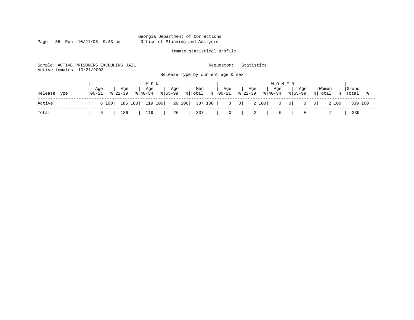Page 35 Run  $10/21/03$  9:43 am

# Inmate statistical profile

Sample: ACTIVE PRISONERS EXCLUDING JAIL Requestor: Statistics Active inmates 10/21/2003 Release Type by current age & sex

|              |                   |          |                    | MEN                |                      |                  |     |     |                                                                      | <b>WOMEN</b>              |     |                                                                                          |                    |  |
|--------------|-------------------|----------|--------------------|--------------------|----------------------|------------------|-----|-----|----------------------------------------------------------------------|---------------------------|-----|------------------------------------------------------------------------------------------|--------------------|--|
| Release Type | Age<br>$100 - 21$ |          | Age<br>$8122 - 39$ | Age<br>$8140 - 54$ | $8155 - 99$          | <sub>1</sub> Age | Men | Age | Age<br>$ \text{Total} \; \text{ } \;   \; 00-21 \; \; \;   \; 22-39$ | Age<br>$ 40-54 \t  55-99$ | Age | Women<br>% Total                                                                         | Grand<br>%   Total |  |
| Active       |                   |          |                    |                    |                      |                  |     |     |                                                                      |                           |     | 6 100   186 100   119 100   26 100   337 100   0 0   2 100   0 0   0 0   2 100   339 100 |                    |  |
| Total        |                   | $6 \mid$ |                    |                    | 186   119   26   337 |                  |     |     |                                                                      |                           |     | 0 2 339                                                                                  |                    |  |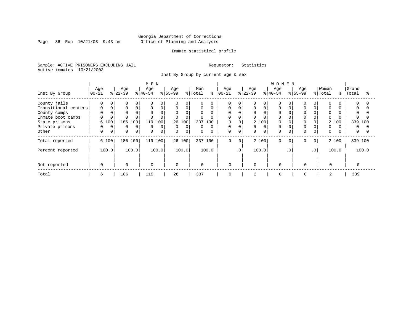Page 36 Run  $10/21/03$  9:43 am

# Inmate statistical profile

Sample: ACTIVE PRISONERS EXCLUDING JAIL Requestor: Statistics Active inmates 10/21/2003

Inst By Group by current age & sex

|                      |             |   |              |             | M E N       |             |             |             |             |          |            |              |           |          | <b>WOMEN</b> |           |           |                 |             |       |          |          |
|----------------------|-------------|---|--------------|-------------|-------------|-------------|-------------|-------------|-------------|----------|------------|--------------|-----------|----------|--------------|-----------|-----------|-----------------|-------------|-------|----------|----------|
|                      | Age         |   | Age          |             | Age         |             | Age         |             | Men         |          | Age        |              | Age       |          | Age          |           | Age       |                 | Women       |       | Grand    |          |
| Inst By Group        | $ 00-21$    |   | $8 22-39$    |             | $ 40-54 $   |             | $ 55-99$    |             | % Total     | နွ       | $ 00 - 21$ |              | $ 22-39 $ |          | $ 40-54$     |           | $ 55-99 $ |                 | % Total     | °≈    | Total    | °        |
| County jails         | 0           | 0 | <sup>0</sup> | $\Omega$    | $\Omega$    | $\Omega$    |             | 0           |             | O        | 0          |              |           | $\Omega$ |              |           |           |                 | $\Omega$    |       | $\Omega$ |          |
| Transitional centers | 0           |   | $\Omega$     | 0           | 0           | $\mathbf 0$ | $\mathbf 0$ | $\Omega$    | $\mathbf 0$ | $\Omega$ | 0          | $\Omega$     |           | $\Omega$ | $\Omega$     |           |           |                 | $\mathbf 0$ |       | $\Omega$ |          |
| County camps         | $\Omega$    |   | $\Omega$     |             | $\Omega$    | $\Omega$    | $\Omega$    | 0           | $\Omega$    |          | $\Omega$   |              | 0         |          | $\Omega$     |           |           |                 | $\Omega$    |       |          |          |
| Inmate boot camps    | 0           |   |              |             | $\Omega$    | $\Omega$    | $\Omega$    | 0           |             | $\Omega$ | $\Omega$   |              | 0         |          | $\Omega$     |           |           |                 | $\Omega$    |       |          |          |
| State prisons        | 6 100       |   | 186          | 100         | 119         | 100         | 26          | 100         | 337         | 100      | 0          |              |           | 2 100    | $\Omega$     |           |           |                 |             | 2 100 | 339      | 100      |
| Private prisons      | 0           | 0 | 0            | 0           | 0           | 0           | $\mathbf 0$ | 0           | 0           | $\Omega$ | 0          | $\Omega$     | 0         | $\Omega$ | $\mathbf 0$  |           |           |                 | 0           |       | 0        |          |
| Other                | 0           | 0 | $\Omega$     | $\mathbf 0$ | 0           | 0           | $\Omega$    | $\mathbf 0$ | $\mathbf 0$ | $\Omega$ | 0          | 0            | 0         | $\Omega$ | $\Omega$     |           |           |                 | $\mathbf 0$ |       | 0        | $\Omega$ |
| Total reported       | 6 100       |   |              | 186 100     |             | 119 100     |             | 26 100      |             | 337 100  | 0          | $\mathbf{0}$ |           | 2 100    | $\Omega$     | $\Omega$  | $\Omega$  | $\circ$         |             | 2 100 | 339 100  |          |
| Percent reported     | 100.0       |   |              | 100.0       |             | 100.0       |             | 100.0       |             | 100.0    |            | $\cdot$ 0    |           | 100.0    |              | $\cdot$ 0 |           | .0 <sup>′</sup> |             | 100.0 |          | 100.0    |
|                      |             |   |              |             |             |             |             |             |             |          |            |              |           |          |              |           |           |                 |             |       |          |          |
| Not reported         | $\mathbf 0$ |   | $\Omega$     |             | $\mathbf 0$ |             | $\Omega$    |             | $\mathbf 0$ |          | 0          |              | $\Omega$  |          | $\Omega$     |           | $\Omega$  |                 | $\Omega$    |       |          |          |
| Total                | 6           |   | 186          |             | 119         |             | 26          |             | 337         |          | 0          |              | 2         |          | 0            |           | 0         |                 | 2           |       | 339      |          |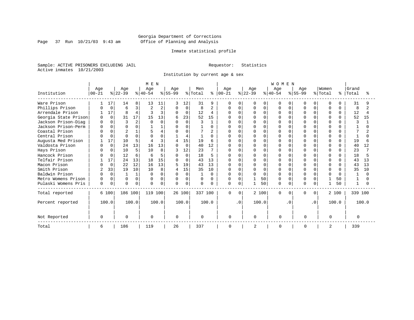Page 37 Run  $10/21/03$  9:43 am

# Inmate statistical profile

Sample: ACTIVE PRISONERS EXCLUDING JAIL Requestor: Statistics Active inmates 10/21/2003

Institution by current age & sex

|                      |          |             |           |          | M E N          |                |              |          |                     |                |               |              |                |          | WOMEN     |           |              |              |              |              |              |       |
|----------------------|----------|-------------|-----------|----------|----------------|----------------|--------------|----------|---------------------|----------------|---------------|--------------|----------------|----------|-----------|-----------|--------------|--------------|--------------|--------------|--------------|-------|
|                      | Age      |             | Age       |          | Age            |                | Age          |          | Men                 |                | Age           |              | Age            |          | Age       |           | Age          |              | Women        |              | Grand        |       |
| Institution          | $ 00-21$ |             | $ 22-39 $ |          | $ 40-54 $      |                | $ 55-99 $    |          | $\frac{1}{2}$ Total |                | $8   00 - 21$ |              | $ 22-39 $      |          | $8 40-54$ |           | $8155 - 99$  |              | % Total      | ⊱            | Total        |       |
| Ware Prison          |          | 17          | 14        | 8        | 13             | 11             | 3            | 12       | 31                  | 9              | $\Omega$      | $\Omega$     | O              | $\Omega$ | $\Omega$  |           | O            | <sup>n</sup> | $\Omega$     |              | 31           |       |
| Phillips Prison      |          | $\Omega$    | 6         | 3        | $\overline{c}$ | $\overline{2}$ | $\Omega$     | $\Omega$ | 8                   | $\overline{a}$ | 0             | <sup>n</sup> | U              | $\Omega$ |           | ∩         | ∩            |              | ∩            | U            | 8            |       |
| Arrendale Prison     |          | 17          | 8         | 4        |                | 3              | $\Omega$     | $\Omega$ | 12                  | 4              | $\cap$        |              |                | $\Omega$ |           |           |              |              | $\Omega$     | 0            | 12           |       |
| Georgia State Prison | $\Omega$ | $\Omega$    | 31        | 17       | 15             | 13             | 6            | 23       | 52                  | 15             |               | $\cap$       |                | $\Omega$ |           | $\cap$    |              |              | $\Omega$     | $\Omega$     | 52           | 15    |
| Jackson Prison-Diag  | $\Omega$ | $\Omega$    | 3         | 2        |                | $\Omega$       | $\Omega$     | $\Omega$ | 3                   |                | U             | $\cap$       |                | $\Omega$ |           | $\cap$    |              |              | $\cap$       |              | κ            |       |
| Jackson Prison-Perm  |          |             | U         | 0        |                |                |              |          |                     |                |               |              |                | $\Omega$ |           |           |              |              | ∩            |              |              |       |
| Coastal Prison       |          |             |           |          | 5              |                |              | U        |                     |                |               |              |                | $\Omega$ |           | $\cap$    |              |              |              |              |              |       |
| Central Prison       |          | $\Omega$    | $\cap$    | $\Omega$ |                | $\cap$         |              | 4        |                     |                | U             |              |                | $\Omega$ |           |           | $\cap$       |              | $\cap$       | <sup>n</sup> |              |       |
| Augusta Med Prison   |          | 17          | 10        | 5        |                | 3              | 4            | 15       | 19                  | 6              | $\Omega$      | ∩            |                | $\Omega$ |           | $\cap$    |              |              | $\Omega$     | $\Omega$     | 19           |       |
| Valdosta Prison      |          | $\Omega$    | 24        | 13       | 16             | 13             | $\cap$       | $\Omega$ | 40                  | 12             | U             | $\cap$       |                | $\Omega$ |           | $\cap$    |              |              | $\Omega$     | <sup>n</sup> | 40           | 12    |
| Hays Prison          |          |             | 10        | 5        | 10             | 8              |              | 12       | 23                  |                |               |              |                | $\Omega$ |           |           |              |              | $\Omega$     |              | 23           |       |
| Hancock Prison       |          | $\Omega$    | 12        | 6        | Б              | 5              | U            | $\Omega$ | 18                  | 5              |               |              |                | $\cap$   |           |           |              |              | n            | <sup>n</sup> | 18           |       |
| Telfair Prison       |          | 17          | 24        | 13       | 18             | 15             | U            | $\Omega$ | 43                  | 13             | $\Omega$      |              |                | $\Omega$ |           |           | $\cap$       |              | $\Omega$     | <sup>n</sup> | 43           | 13    |
| Macon Prison         |          | $\Omega$    | 22        | 12       | 16             | 13             |              | 19       | 43                  | 13             | $\Omega$      | $\Omega$     |                | $\Omega$ |           | $\cap$    |              | $\cap$       | $\Omega$     | $\Omega$     | 43           | 13    |
| Smith Prison         | 2        | 33          | 19        | 10       | 10             | 8              | 4            | 15       | 35                  | 10             | $\cap$        | $\Omega$     | U              | $\Omega$ |           | $\cap$    | $\cap$       |              | $\Omega$     | $\cap$       | 35           | 10    |
| Baldwin Prison       |          | $\Omega$    |           |          |                |                | <sup>0</sup> | $\Omega$ |                     | U              | O             |              |                | $\Omega$ |           |           |              |              | $\cap$       |              |              |       |
| Metro Womens Prison  | 0        | $\Omega$    | ∩         | 0        |                | 0              | $\Omega$     | $\Omega$ | 0                   | 0              | 0             | $\Omega$     |                | 50       |           | $\Omega$  |              |              |              | 50           |              |       |
| Pulaski Womens Pris  | $\Omega$ | $\mathbf 0$ | $\cap$    | 0        | U              | 0              | $\Omega$     | 0        | $\Omega$            | 0              | $\Omega$      | 0            |                | 50       | U         | $\Omega$  | <sup>0</sup> |              | $\mathbf{1}$ | 50           | $\mathbf{1}$ |       |
| Total reported       |          | 6 100       | 186 100   |          | 119 100        |                |              | 26 100   | 337 100             |                | $\Omega$      | $\Omega$     |                | 2 100    | $\Omega$  | $\Omega$  | $\Omega$     | $\Omega$     |              | 2 100        | 339 100      |       |
| Percent reported     |          | 100.0       |           | 100.0    |                | 100.0          |              | 100.0    |                     | 100.0          |               | $\cdot$ 0    |                | 100.0    |           | $\cdot$ 0 |              | $\cdot$ 0    |              | 100.0        |              | 100.0 |
| Not Reported         | $\Omega$ |             | $\Omega$  |          | $\Omega$       |                | $\Omega$     |          | $\Omega$            |                | 0             |              | U              |          | $\Omega$  |           | $\Omega$     |              | $\Omega$     |              | $\Omega$     |       |
| Total                | 6        |             | 186       |          | 119            |                | 26           |          | 337                 |                | 0             |              | $\overline{c}$ |          | $\Omega$  |           | $\Omega$     |              | 2            |              | 339          |       |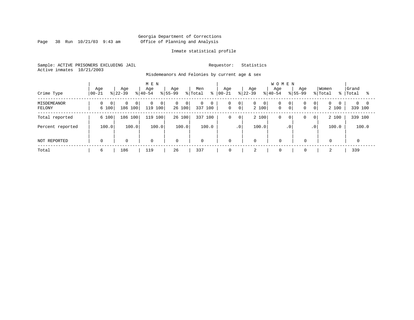Page 38 Run  $10/21/03$  9:43 am

# Inmate statistical profile

Sample: ACTIVE PRISONERS EXCLUDING JAIL Requestor: Statistics Active inmates 10/21/2003

Misdemeanors And Felonies by current age & sex

| Crime Type            | Age<br>$ 00-21$         | Age<br>$8122 - 39$                    | M E N<br>Age<br>$ 40-54 $                   | Age<br>$8155 - 99$                | Men<br>% Total<br>ႜ | Age<br>$ 00 - 21 $             | Age<br>$8 22-39$                        | <b>WOMEN</b><br>Age<br>$8 40-54$              | Age<br>$8155 - 99$                              | Women<br>% Total<br>%         | Grand<br>Total         |
|-----------------------|-------------------------|---------------------------------------|---------------------------------------------|-----------------------------------|---------------------|--------------------------------|-----------------------------------------|-----------------------------------------------|-------------------------------------------------|-------------------------------|------------------------|
| MISDEMEANOR<br>FELONY | $\overline{0}$<br>6 100 | $\Omega$<br>0 <sup>1</sup><br>186 100 | $\overline{0}$<br>$\overline{0}$<br>119 100 | $\overline{0}$<br>- 0 I<br>26 100 | 0<br>0<br>337 100   | 0<br> 0 <br> 0 <br>$\mathbf 0$ | $\overline{0}$<br>$\mathbf{0}$<br>2 100 | 0<br>0 <sup>1</sup><br>$\circ$<br>$\mathbf 0$ | 0 <sup>1</sup><br>$\mathbf 0$<br>$\overline{0}$ | $\Omega$<br>$\Omega$<br>2 100 | $0 \quad 0$<br>339 100 |
| Total reported        | 6 100                   | 186 100                               | 100<br>119                                  | 26 100                            | 337 100             | 0<br>$\circ$                   | 2 100                                   | 0<br>$\circ$                                  | $\overline{0}$<br>0                             | 2 100                         | 339 100                |
| Percent reported      | 100.0                   | 100.0                                 | 100.0                                       | 100.0                             | 100.0               | $\cdot$ 0                      | 100.0                                   | .0'                                           | .0 <sup>′</sup>                                 | 100.0                         | 100.0                  |
| NOT REPORTED          | $\mathbf 0$             | $\mathbf 0$                           | $\mathbf 0$                                 | $\mathbf 0$                       | $\mathbf 0$         | $\mathbf 0$                    | $\mathbf 0$                             | $\mathbf 0$                                   | $\mathbf 0$                                     | 0                             |                        |
| Total                 | 6                       | 186                                   | 119                                         | 26                                | 337                 | 0                              | $\bigcap$<br>∠                          | $\mathbf 0$                                   | $\mathbf 0$                                     | 2                             | 339                    |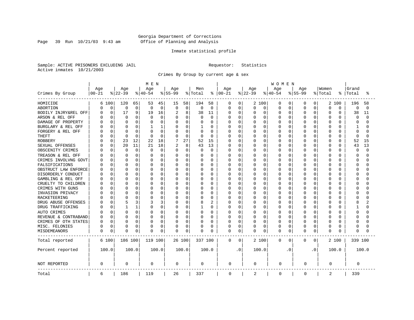Page 39 Run  $10/21/03$  9:43 am

# Inmate statistical profile

Sample: ACTIVE PRISONERS EXCLUDING JAIL Requestor: Statistics Active inmates 10/21/2003

Crimes By Group by current age & sex

|                      | MEN       |             |              |       |          |             |           |          |          |                |             | <b>WOMEN</b> |          |          |             |           |             |                |          |          |          |          |  |  |
|----------------------|-----------|-------------|--------------|-------|----------|-------------|-----------|----------|----------|----------------|-------------|--------------|----------|----------|-------------|-----------|-------------|----------------|----------|----------|----------|----------|--|--|
|                      | Age       |             | Age          |       | Age      |             | Age       |          | Men      |                | Age         |              | Age      |          | Age         |           | Age         |                | Women    |          | Grand    |          |  |  |
| Crimes By Group      | $00 - 21$ |             | $ 22-39$     |       | $ 40-54$ |             | $8 55-99$ |          | % Total  | ႜ              | $ 00 - 21$  |              | $ 22-39$ |          | $ 40-54$    |           | $8 55-99$   |                | % Total  | °        | Total    | °        |  |  |
| HOMICIDE             |           | 6 100       | 120          | 65    | 53       | 45          | 15        | 58       | 194      | 58             | 0           | 0            |          | 2 100    | 0           | 0         | 0           | $\overline{0}$ | 2        | 100      | 196      | 58       |  |  |
| ABORTION             | 0         | $\mathbf 0$ | 0            | 0     | 0        | 0           | 0         | 0        | $\Omega$ | $\mathbf 0$    | 0           | $\mathbf 0$  | 0        | 0        | 0           | 0         | 0           | 0              | $\Omega$ | 0        | 0        | $\Omega$ |  |  |
| BODILY INJRY&REL OFF | U         | 0           | 17           | 9     | 19       | 16          | 2         | 8        | 38       | 11             | 0           | 0            | 0        | 0        | 0           | 0         | 0           | 0              | $\Omega$ | 0        | 38       | 11       |  |  |
| ARSON & REL OFF      |           | 0           | 0            | 0     | 0        | 0           | 0         | 0        | $\Omega$ | 0              | Ω           | 0            | C        | 0        | 0           | 0         | $\Omega$    | O              | $\Omega$ | O        | 0        | $\cap$   |  |  |
| DAMAGE OF PROPERTY   |           | $\Omega$    | <sup>0</sup> | 0     |          | $\Omega$    | 0         | 0        |          | $\Omega$       | Ω           | 0            | U        | $\Omega$ | 0           | $\Omega$  | $\Omega$    | U              | $\Omega$ | $\cap$   | $\Omega$ |          |  |  |
| BURGLARY & REL OFF   |           | $\Omega$    | $\Omega$     | 0     |          | 1           | $\Omega$  | 0        |          | $\Omega$       | Ω           | 0            | 0        | $\Omega$ | 0           | 0         | $\Omega$    | 0              | $\Omega$ | $\Omega$ | 1        |          |  |  |
| FORGERY & REL OFF    |           | 0           | C            | O     |          | 0           | $\Omega$  | 0        | $\Omega$ | $\Omega$       |             | $\mathbf 0$  | C        | $\Omega$ | 0           | $\Omega$  | $\Omega$    | O              | $\Omega$ | $\Omega$ | $\Omega$ |          |  |  |
| <b>THEFT</b>         |           | 0           | $\Omega$     | 0     | $\Omega$ | $\mathbf 0$ | $\Omega$  | 0        | $\Omega$ | 0              | Ω           | 0            | U        | $\Omega$ | 0           | $\Omega$  | $\Omega$    | 0              | $\Omega$ | $\Omega$ | $\Omega$ | n        |  |  |
| <b>ROBBERY</b>       |           | 0           | 23           | 12    | 22       | 18          |           | 27       | 52       | 15             | 0           | 0            | Ω        | $\Omega$ | 0           | $\Omega$  | $\Omega$    | O              | $\Omega$ | $\Omega$ | 52       | 15       |  |  |
| SEXUAL OFFENSES      |           | $\Omega$    | 20           | 11    | 21       | 18          | 2         | 8        | 43       | 13             | 0           | 0            | O        | $\Omega$ | O           | 0         | $\Omega$    | U              | $\Omega$ | $\Omega$ | 43       | 13       |  |  |
| OBSCENITY CRIMES     |           | 0           | 0            | 0     | 0        | $\mathbf 0$ | $\Omega$  | 0        | $\Omega$ | 0              | 0           | 0            | 0        | $\Omega$ | 0           | $\Omega$  | $\Omega$    | 0              | $\Omega$ | $\Omega$ | $\Omega$ | $\cap$   |  |  |
| TREASON & REL OFF    |           | $\Omega$    | <sup>0</sup> | O     | O        | $\Omega$    | O         | 0        | $\left($ | $\Omega$       | Ω           | $\mathbf 0$  | 0        | $\Omega$ | 0           | 0         | O           | 0              | $\Omega$ | O        | ∩        |          |  |  |
| CRIMES INVOLVNG GOVT |           | 0           | C            | 0     |          | 0           | O         | 0        |          | $\Omega$       | Ω           | $\mathbf 0$  | C        | $\Omega$ | $\Omega$    | $\Omega$  | O           | O              | $\Omega$ | O        | $\Omega$ |          |  |  |
| FALSIFICATIONS       |           | $\Omega$    | <sup>0</sup> | 0     | O        | $\Omega$    | O         | $\Omega$ | $\Omega$ | $\Omega$       | Ω           | 0            | U        | $\Omega$ | O           | $\Omega$  | O           | 0              | $\Omega$ | O        | ∩        |          |  |  |
| OBSTRUCT LAW ENFORCE |           | $\Omega$    | C            | 0     | O        | $\Omega$    | O         | O        | O        | $\Omega$       | Ω           | 0            | C        | $\Omega$ | 0           | $\Omega$  | $\Omega$    | O              | $\Omega$ | O        | ∩        |          |  |  |
| DISORDERLY CONDUCT   |           | $\Omega$    | C            | 0     |          | $\Omega$    | O         | O        |          | $\Omega$       | Ω           | 0            | U        | $\Omega$ | O           | $\Omega$  | O           | U              | $\Omega$ | U        | C        |          |  |  |
| GAMBLING & REL OFF   |           | $\Omega$    | $\Omega$     | O     | O        | $\Omega$    | O         | $\Omega$ | O        | $\Omega$       | Ω           | $\mathbf 0$  | U        | $\Omega$ | 0           | $\Omega$  | O           | 0              | $\Omega$ | U        | ∩        |          |  |  |
| CRUELTY TO CHILDREN  |           | $\Omega$    | <sup>0</sup> | 0     |          | 0           | O         | 0        |          | $\Omega$       |             | $\mathbf 0$  | U        | $\Omega$ | 0           | $\Omega$  | $\Omega$    | 0              | $\Omega$ | O        | C        |          |  |  |
| CRIMES WITH GUNS     |           | $\Omega$    | C            | O     |          | $\Omega$    | $\Omega$  | O        |          | $\Omega$       | Ω           | $\mathbf 0$  | U        | $\Omega$ | 0           | $\Omega$  | $\Omega$    | O              | $\Omega$ | $\Omega$ | ∩        |          |  |  |
| INVASION PRIVACY     |           | $\Omega$    | C            | 0     | O        | 0           | O         | 0        | O        | $\Omega$       | Ω           | 0            | O        | $\Omega$ | O           | $\Omega$  | $\Omega$    | O              | $\Omega$ | O        | ∩        |          |  |  |
| RACKETEERING         |           | 0           |              | 0     |          | $\Omega$    | O         | 0        |          | 0              | Ω           | 0            | С        | $\Omega$ | $\Omega$    | n         | O           | O              | $\Omega$ | O        | C        |          |  |  |
| DRUG ABUSE OFFENSES  |           | $\Omega$    | 5            | 3     | 3        | 3           | O         | $\Omega$ | 8        | $\overline{c}$ | Ω           | 0            | O        | $\Omega$ | 0           | $\Omega$  | O           | $\Omega$       | $\Omega$ | O        | 8        |          |  |  |
| DRUG TRAFFICKING     |           | $\Omega$    |              | 1     | O        | $\Omega$    | 0         | 0        |          | $\Omega$       | Ω           | $\mathbf 0$  | 0        | $\Omega$ | 0           | 0         | $\Omega$    | 0              | $\Omega$ | O        |          |          |  |  |
| AUTO CRIMES          |           | 0           | 0            | 0     | O        | 0           | 0         | 0        | 0        | 0              | Ω           | $\mathbf 0$  | 0        | 0        | 0           | 0         | 0           | 0              | 0        | O        | $\Omega$ |          |  |  |
| REVENUE & CONTRABAND |           | 0           | C            | 0     | O        | 0           | 0         | 0        |          | $\Omega$       | Ω           | 0            | 0        | 0        | O           | 0         | $\Omega$    | 0              | $\Omega$ | O        | ∩        |          |  |  |
| CRIMES OF OTH STATES | U         | 0           | 0            | 0     | O        | 0           | 0         | 0        | $\Omega$ | 0              | 0           | 0            | 0        | 0        | 0           | 0         | O           | O              | 0        | $\Omega$ | ∩        |          |  |  |
| MISC. FELONIES       | 0         | 0           | 0            | 0     |          | 0           | 0         | 0        | 0        | 0              | 0           | 0            | 0        | 0        | 0           | 0         | 0           | 0              | 0        | 0        | $\Omega$ |          |  |  |
| MISDEMEANORS         | 0         | 0           | C            | 0     | 0        | 0           | 0         | 0        | 0        | 0              | 0           | 0            | 0        | 0        | O           | 0         | $\Omega$    | 0              | $\Omega$ | O        | 0        |          |  |  |
| Total reported       |           | 6 100       | 186 100      |       | 119 100  |             |           | 26 100   | 337 100  |                | 0           | 0            |          | 2 100    | 0           | 0         | 0           | 0              |          | 2 100    | 339 100  |          |  |  |
| Percent reported     |           | 100.0       |              | 100.0 |          | 100.0       |           | 100.0    |          | 100.0          |             | . 0          |          | 100.0    |             | $\cdot$ 0 |             | $\cdot$ 0      |          | 100.0    |          | 100.0    |  |  |
| NOT REPORTED         | 0         |             | $\Omega$     |       | 0        |             | 0         |          | 0        |                | 0           |              | 0        |          | 0           |           | 0           |                | 0        |          | 0        |          |  |  |
| Total                | 6         |             | 186          |       | 119      |             | 26        |          | 337      |                | $\mathbf 0$ |              | 2        |          | $\mathbf 0$ |           | $\mathbf 0$ |                | 2        |          | 339      |          |  |  |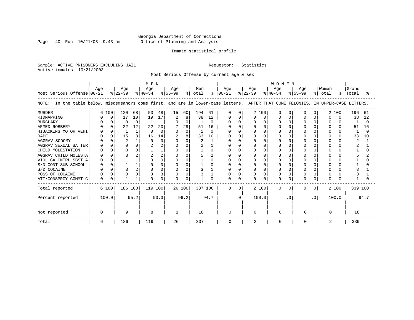Page 40 Run  $10/21/03$  9:43 am

# Inmate statistical profile

Sample: ACTIVE PRISONERS EXCLUDING JAIL Requestor: Statistics Active inmates 10/21/2003

Most Serious Offense by current age & sex

| Most Serious Offense 00-21                                                                                                         | M E N<br>Age<br>Age<br>Men<br>Age<br>$ 22-39 $<br>$ 40-54 $<br>$ 55-99 $<br>% Total |          |          |          |          |          |              |          | Age<br>$8   00 - 21$ |          | Age<br>% 22-39 |              | <b>WOMEN</b><br>Age<br>$8 40-54$ | Women<br>Age<br>$8155 - 99$<br>% Total<br>° |          |          |          | Grand<br> Total |          |              |         |      |
|------------------------------------------------------------------------------------------------------------------------------------|-------------------------------------------------------------------------------------|----------|----------|----------|----------|----------|--------------|----------|----------------------|----------|----------------|--------------|----------------------------------|---------------------------------------------|----------|----------|----------|-----------------|----------|--------------|---------|------|
|                                                                                                                                    |                                                                                     |          |          |          |          |          |              |          |                      |          |                |              |                                  |                                             |          |          |          |                 |          |              |         |      |
| NOTE: In the table below, misdemeanors come first, and are in lower-case letters. AFTER THAT COME FELONIES, IN UPPER-CASE LETTERS. |                                                                                     |          |          |          |          |          |              |          |                      |          |                |              |                                  |                                             |          |          |          |                 |          |              |         |      |
| <b>MURDER</b>                                                                                                                      |                                                                                     | 6 100    | 120      | 68       | 53       | 48       | 15           | 60       | 194                  | 61       | 0              |              |                                  | 2 100                                       | U        | O        |          | <sup>n</sup>    |          | 2 100        | 196     | 61   |
| KIDNAPPING                                                                                                                         |                                                                                     |          | 17       | 10       | 19       | 17       | 2            | 8        | 38                   | 12       |                |              | O                                | 0                                           |          | O        |          |                 | U        | <sup>0</sup> | 38      | 12   |
| <b>BURGLARY</b>                                                                                                                    |                                                                                     |          | $\Omega$ | $\Omega$ |          |          | $\Omega$     | 0        |                      | $\Omega$ |                |              |                                  | $\Omega$                                    |          | O        |          |                 | O        |              |         |      |
| ARMED ROBBERY                                                                                                                      |                                                                                     |          | 22       | 12       | 22       | 20       |              | 28       | 51                   | 16       |                |              |                                  | $\Omega$                                    |          |          |          |                 | O        |              | 51      | 16   |
| HIJACKING MOTOR VEHI                                                                                                               |                                                                                     |          |          |          | $\cap$   | $\Omega$ | $\Omega$     | 0        |                      | $\Omega$ |                |              |                                  | $\Omega$                                    |          | n        |          |                 | U        |              |         |      |
| <b>RAPE</b>                                                                                                                        |                                                                                     |          | 15       | 8        | 16       | 14       |              | 8        | 33                   | 10       |                |              |                                  | $\Omega$                                    |          | n        |          |                 | U        | <sup>0</sup> | 33      | 10   |
| AGGRAV SODOMY                                                                                                                      |                                                                                     |          |          |          | $\Omega$ |          | <sup>n</sup> | O        |                      |          |                |              |                                  | $\Omega$                                    |          |          |          |                 |          |              |         |      |
| AGGRAV SEXUAL BATTER                                                                                                               |                                                                                     |          | $\Omega$ |          |          |          |              | O        |                      |          |                |              |                                  | $\Omega$                                    |          | n        |          |                 | U        |              |         |      |
| CHILD MOLESTATION                                                                                                                  |                                                                                     |          | $\Omega$ |          |          |          |              | O        |                      | O        |                |              |                                  | $\Omega$                                    |          | O        |          |                 | ∩        |              |         |      |
| AGGRAV CHILD MOLESTA                                                                                                               |                                                                                     |          |          |          |          |          |              | 0        |                      |          |                |              |                                  | $\Omega$                                    |          |          |          |                 |          |              |         |      |
| VIOL GA CNTRL SBST A                                                                                                               |                                                                                     |          |          |          |          |          | U            | O        |                      |          |                |              |                                  | $\Omega$                                    |          | n        |          |                 |          |              |         |      |
| S/D CONT SUB SCHOOL                                                                                                                |                                                                                     |          |          |          |          |          |              | O        |                      |          |                |              |                                  | $\Omega$                                    |          | n        |          |                 | U        |              |         |      |
| S/D COCAINE                                                                                                                        |                                                                                     |          |          |          |          |          |              | $\Omega$ |                      |          |                | <sup>0</sup> |                                  | $\Omega$                                    |          | O        |          |                 | U        |              |         |      |
| POSS OF COCAINE                                                                                                                    |                                                                                     |          |          |          |          |          |              | 0        |                      |          |                |              |                                  | $\Omega$                                    |          | O        |          |                 |          |              |         |      |
| ATT/CONSPRCY COMMT C                                                                                                               | U                                                                                   | $\Omega$ |          |          |          | U        |              | O        |                      |          |                | $\Omega$     |                                  | $\Omega$                                    |          | $\Omega$ |          |                 | $\Omega$ |              |         |      |
| Total reported                                                                                                                     |                                                                                     | 6 100    | 186 100  |          | 119 100  |          | 26 100       |          | 337 100              |          | 0              | $\Omega$     |                                  | 2 100                                       | $\Omega$ | $\Omega$ | $\Omega$ | $\Omega$        |          | 2 100        | 339 100 |      |
| Percent reported                                                                                                                   |                                                                                     | 100.0    |          | 95.2     |          | 93.3     |              | 96.2     |                      | 94.7     |                | $\cdot$ 0    |                                  | 100.0                                       |          | . 0      |          | .0              |          | 100.0        |         | 94.7 |
| Not reported                                                                                                                       |                                                                                     |          | 9        |          | 8        |          |              |          | 18                   |          | 0              |              | U                                |                                             | $\Omega$ |          | O        |                 | $\Omega$ |              | 18      |      |
| Total                                                                                                                              | 6                                                                                   |          | 186      |          | 119      |          | 26           |          | 337                  |          | 0              |              | 2                                |                                             | 0        |          |          |                 | 2        |              | 339     |      |